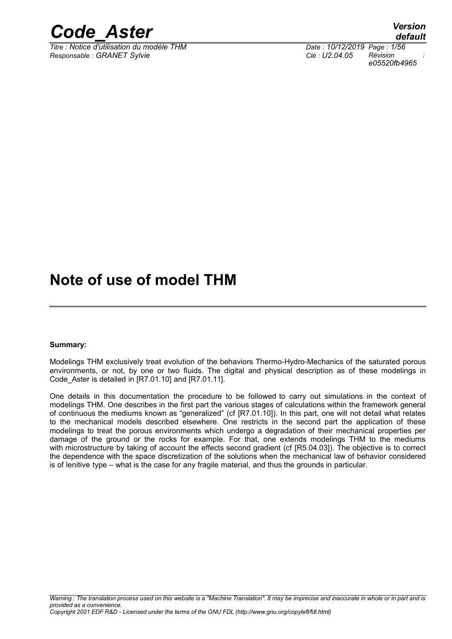

*Titre : Notice d'utilisation du modèle THM Date : 10/12/2019 Page : 1/56 Responsable : GRANET Sylvie Clé : U2.04.05 Révision :*

*default e05520fb4965*

### **Note of use of model THM**

#### **Summary:**

Modelings THM exclusively treat evolution of the behaviors Thermo-Hydro-Mechanics of the saturated porous environments, or not, by one or two fluids. The digital and physical description as of these modelings in Code Aster is detailed in [R7.01.10] and [R7.01.11].

One details in this documentation the procedure to be followed to carry out simulations in the context of modelings THM. One describes in the first part the various stages of calculations within the framework general of continuous the mediums known as "generalized" (cf [R7.01.10]). In this part, one will not detail what relates to the mechanical models described elsewhere. One restricts in the second part the application of these modelings to treat the porous environments which undergo a degradation of their mechanical properties per damage of the ground or the rocks for example. For that, one extends modelings THM to the mediums with microstructure by taking of account the effects second gradient (cf [R5.04.03]). The objective is to correct the dependence with the space discretization of the solutions when the mechanical law of behavior considered is of lenitive type – what is the case for any fragile material, and thus the grounds in particular.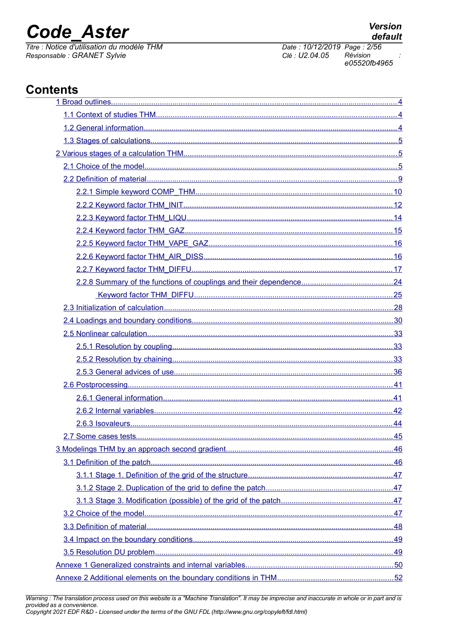# **Code Aster**

Titre : Notice d'utilisation du modèle THM Responsable : GRANET Sylvie

Date: 10/12/2019 Page: 2/56 Clé : U2.04.05 Révision e05520fb4965

### **Contents**

Warning : The translation process used on this website is a "Machine Translation". It may be imprecise and inaccurate in whole or in part and is provided as a convenience.<br>Copyright 2021 EDF R&D - Licensed under the terms of the GNU FDL (http://www.gnu.org/copyleft/fdl.html)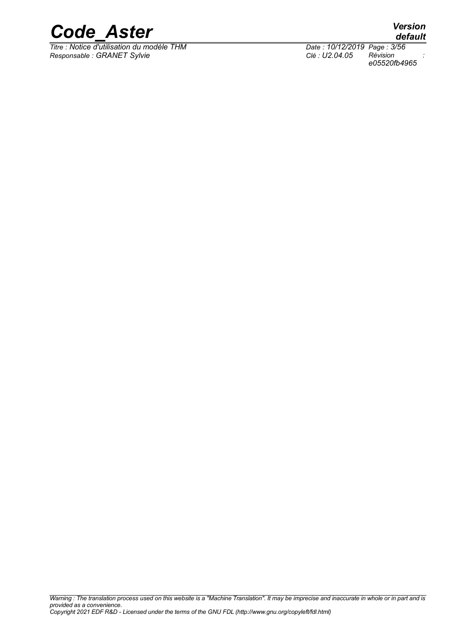

*Titre : Notice d'utilisation du modèle THM Date : 10/12/2019 Page : 3/56*  $Responsible : GRANET$  *Sylvie* 

*e05520fb4965*

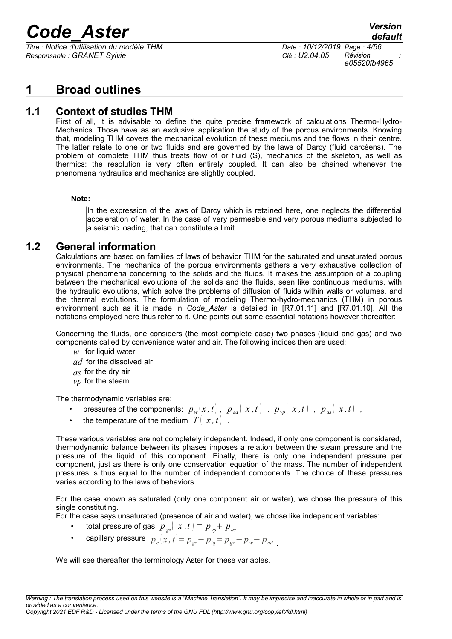# **Code\_Aster**<br>
<u>Code a Unilisation du modèle THM</u><br>
For a Code and the Collection of the Collection du modèle THM Date : 10/12/2019 Page : 4/56

*Titre : Notice d'utilisation du modèle THM Date : 10/12/2019 Page : 4/56 Responsable : GRANET Sylvie Clé : U2.04.05 Révision :*

# *default*

*e05520fb4965*

### <span id="page-3-2"></span>**1 Broad outlines**

### **1.1 Context of studies THM**

<span id="page-3-1"></span>First of all, it is advisable to define the quite precise framework of calculations Thermo-Hydro-Mechanics. Those have as an exclusive application the study of the porous environments. Knowing that, modeling THM covers the mechanical evolution of these mediums and the flows in their centre. The latter relate to one or two fluids and are governed by the laws of Darcy (fluid darcéens). The problem of complete THM thus treats flow of or fluid (S), mechanics of the skeleton, as well as thermics: the resolution is very often entirely coupled. It can also be chained whenever the phenomena hydraulics and mechanics are slightly coupled.

#### **Note:**

In the expression of the laws of Darcy which is retained here, one neglects the differential acceleration of water. In the case of very permeable and very porous mediums subjected to a seismic loading, that can constitute a limit.

### **1.2 General information**

<span id="page-3-0"></span>Calculations are based on families of laws of behavior THM for the saturated and unsaturated porous environments. The mechanics of the porous environments gathers a very exhaustive collection of physical phenomena concerning to the solids and the fluids. It makes the assumption of a coupling between the mechanical evolutions of the solids and the fluids, seen like continuous mediums, with the hydraulic evolutions, which solve the problems of diffusion of fluids within walls or volumes, and the thermal evolutions. The formulation of modeling Thermo-hydro-mechanics (THM) in porous environment such as it is made in *Code\_Aster* is detailed in [R7.01.11] and [R7.01.10]. All the notations employed here thus refer to it. One points out some essential notations however thereafter:

Concerning the fluids, one considers (the most complete case) two phases (liquid and gas) and two components called by convenience water and air. The following indices then are used:

- *w* for liquid water
- *ad* for the dissolved air
- *as* for the dry air
- *vp* for the steam

The thermodynamic variables are:

- pressures of the components:  $p_{_{W}}\!(x,t)$  ,  $p_{_{ad}}\!(\;x,t)\;$  ,  $p_{_{vp}}\!(\;x,t)\;$  ,  $p_{_{as}}\!(\;x,t)\;$  ,
- the temperature of the medium  $T[x,t]$ .

These various variables are not completely independent. Indeed, if only one component is considered, thermodynamic balance between its phases imposes a relation between the steam pressure and the pressure of the liquid of this component. Finally, there is only one independent pressure per component, just as there is only one conservation equation of the mass. The number of independent pressures is thus equal to the number of independent components. The choice of these pressures varies according to the laws of behaviors.

For the case known as saturated (only one component air or water), we chose the pressure of this single constituting.

For the case says unsaturated (presence of air and water), we chose like independent variables:

- total pressure of gas  $p_{gz}$   $(x, t) = p_{vp} + p_{as}$ ,
- capillary pressure  $p_c(x, t) = p_{gz} p_{lq} = p_{gz} p_w p_{ad}$ .

We will see thereafter the terminology Aster for these variables.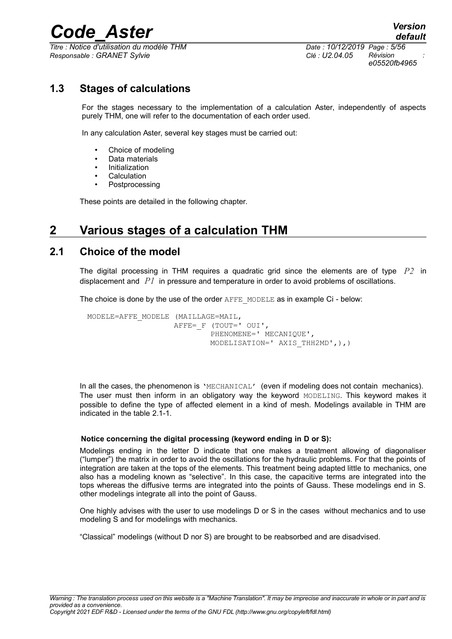*Titre : Notice d'utilisation du modèle THM Date : 10/12/2019 Page : 5/56 Responsable : GRANET Sylvie Clé : U2.04.05 Révision :*

*e05520fb4965*

### **1.3 Stages of calculations**

<span id="page-4-2"></span>For the stages necessary to the implementation of a calculation Aster, independently of aspects purely THM, one will refer to the documentation of each order used.

In any calculation Aster, several key stages must be carried out:

- Choice of modeling
- Data materials
- **Initialization**
- **Calculation**
- **Postprocessing**

<span id="page-4-1"></span>These points are detailed in the following chapter.

### **2 Various stages of a calculation THM**

### **2.1 Choice of the model**

<span id="page-4-0"></span>The digital processing in THM requires a quadratic grid since the elements are of type *P2* in displacement and *P1* in pressure and temperature in order to avoid problems of oscillations.

The choice is done by the use of the order AFFE\_MODELE as in example Ci - below:

MODELE=AFFE\_MODELE (MAILLAGE=MAIL, AFFE= F (TOUT=' OUI', PHENOMENE=' MECANIQUE', MODELISATION=' AXIS\_THH2MD',),)

In all the cases, the phenomenon is 'MECHANICAL' (even if modeling does not contain mechanics). The user must then inform in an obligatory way the keyword MODELING. This keyword makes it possible to define the type of affected element in a kind of mesh. Modelings available in THM are indicated in the table [2.1-1.](#page-7-0)

#### **Notice concerning the digital processing (keyword ending in D or S):**

Modelings ending in the letter D indicate that one makes a treatment allowing of diagonaliser ("lumper") the matrix in order to avoid the oscillations for the hydraulic problems. For that the points of integration are taken at the tops of the elements. This treatment being adapted little to mechanics, one also has a modeling known as "selective". In this case, the capacitive terms are integrated into the tops whereas the diffusive terms are integrated into the points of Gauss. These modelings end in S. other modelings integrate all into the point of Gauss.

One highly advises with the user to use modelings D or S in the cases without mechanics and to use modeling S and for modelings with mechanics.

"Classical" modelings (without D nor S) are brought to be reabsorbed and are disadvised.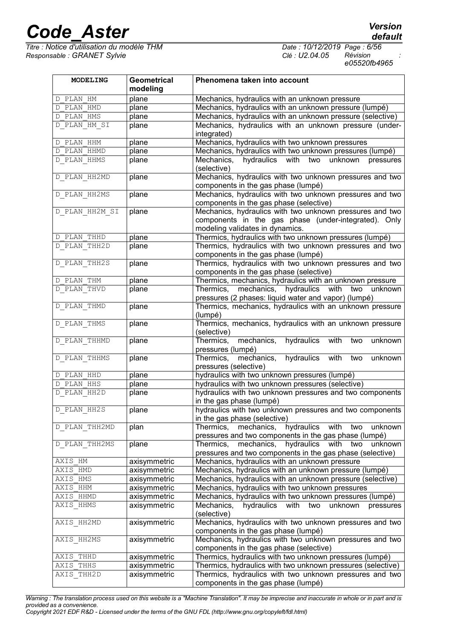*Titre : Notice d'utilisation du modèle THM Date : 10/12/2019 Page : 6/56 Responsable : GRANET Sylvie Clé : U2.04.05 Révision :*

**MODELING Geometrical**

*Warning : The translation process used on this website is a "Machine Translation". It may be imprecise and inaccurate in whole or in part and is provided as a convenience.*

*Copyright 2021 EDF R&D - Licensed under the terms of the GNU FDL (http://www.gnu.org/copyleft/fdl.html)*

|                | modeling     |                                                                                   |  |  |  |  |  |
|----------------|--------------|-----------------------------------------------------------------------------------|--|--|--|--|--|
| D PLAN HM      | plane        | Mechanics, hydraulics with an unknown pressure                                    |  |  |  |  |  |
| D PLAN HMD     | plane        | Mechanics, hydraulics with an unknown pressure (lumpé)                            |  |  |  |  |  |
| D PLAN HMS     | plane        | Mechanics, hydraulics with an unknown pressure (selective)                        |  |  |  |  |  |
| D PLAN HM SI   | plane        | Mechanics, hydraulics with an unknown pressure (under-                            |  |  |  |  |  |
|                |              | integrated)                                                                       |  |  |  |  |  |
| D PLAN HHM     | plane        | Mechanics, hydraulics with two unknown pressures                                  |  |  |  |  |  |
| D PLAN HHMD    | plane        | Mechanics, hydraulics with two unknown pressures (lumpé)                          |  |  |  |  |  |
| D PLAN HHMS    | plane        | hydraulics<br>with<br>Mechanics,<br>two<br>unknown<br>pressures                   |  |  |  |  |  |
|                |              | (selective)                                                                       |  |  |  |  |  |
| D PLAN HH2MD   | plane        | Mechanics, hydraulics with two unknown pressures and two                          |  |  |  |  |  |
|                |              | components in the gas phase (lumpé)                                               |  |  |  |  |  |
| D PLAN HH2MS   | plane        | Mechanics, hydraulics with two unknown pressures and two                          |  |  |  |  |  |
|                |              | components in the gas phase (selective)                                           |  |  |  |  |  |
| D PLAN HH2M SI | plane        | Mechanics, hydraulics with two unknown pressures and two                          |  |  |  |  |  |
|                |              | components in the gas phase (under-integrated). Only                              |  |  |  |  |  |
|                |              | modeling validates in dynamics.                                                   |  |  |  |  |  |
| D PLAN THHD    | plane        | Thermics, hydraulics with two unknown pressures (lumpé)                           |  |  |  |  |  |
| D PLAN THH2D   | plane        | Thermics, hydraulics with two unknown pressures and two                           |  |  |  |  |  |
|                |              | components in the gas phase (lumpé)                                               |  |  |  |  |  |
| D PLAN THH2S   | plane        | Thermics, hydraulics with two unknown pressures and two                           |  |  |  |  |  |
|                |              | components in the gas phase (selective)                                           |  |  |  |  |  |
| D PLAN THM     | plane        | Thermics, mechanics, hydraulics with an unknown pressure                          |  |  |  |  |  |
| D PLAN THVD    | plane        | mechanics, hydraulics with two<br>Thermics,<br>unknown                            |  |  |  |  |  |
|                |              | pressures (2 phases: liquid water and vapor) (lumpé)                              |  |  |  |  |  |
| D PLAN THMD    | plane        | Thermics, mechanics, hydraulics with an unknown pressure                          |  |  |  |  |  |
|                |              | (lumpé)                                                                           |  |  |  |  |  |
| D PLAN THMS    | plane        | Thermics, mechanics, hydraulics with an unknown pressure                          |  |  |  |  |  |
|                |              | (selective)                                                                       |  |  |  |  |  |
| D PLAN THHMD   | plane        | hydraulics<br>with<br>Thermics,<br>mechanics,<br>two<br>unknown                   |  |  |  |  |  |
| D PLAN THHMS   | plane        | pressures (lumpé)<br>hydraulics<br>with<br>Thermics, mechanics,<br>two<br>unknown |  |  |  |  |  |
|                |              | pressures (selective)                                                             |  |  |  |  |  |
| D PLAN HHD     | plane        | hydraulics with two unknown pressures (lumpé)                                     |  |  |  |  |  |
| D PLAN HHS     | plane        | hydraulics with two unknown pressures (selective)                                 |  |  |  |  |  |
| D PLAN HH2D    | plane        | hydraulics with two unknown pressures and two components                          |  |  |  |  |  |
|                |              | in the gas phase (lumpé)                                                          |  |  |  |  |  |
| D PLAN HH2S    | plane        | hydraulics with two unknown pressures and two components                          |  |  |  |  |  |
|                |              | in the gas phase (selective)                                                      |  |  |  |  |  |
| D PLAN THH2MD  | pi           | Thermics, mechanics, hydraulics with two unknown                                  |  |  |  |  |  |
|                |              | pressures and two components in the gas phase (lumpé)                             |  |  |  |  |  |
| D PLAN THH2MS  | plane        | mechanics,<br>hydraulics with<br>Thermics,<br>two<br>unknown                      |  |  |  |  |  |
|                |              | pressures and two components in the gas phase (selective)                         |  |  |  |  |  |
| AXIS HM        | axisymmetric | Mechanics, hydraulics with an unknown pressure                                    |  |  |  |  |  |
| AXIS HMD       | axisymmetric | Mechanics, hydraulics with an unknown pressure (lumpé)                            |  |  |  |  |  |
| AXIS HMS       | axisymmetric | Mechanics, hydraulics with an unknown pressure (selective)                        |  |  |  |  |  |
| AXIS HHM       | axisymmetric | Mechanics, hydraulics with two unknown pressures                                  |  |  |  |  |  |
| AXIS HHMD      | axisymmetric | Mechanics, hydraulics with two unknown pressures (lumpé)                          |  |  |  |  |  |
| AXIS HHMS      | axisymmetric | with<br>Mechanics,<br>hydraulics<br>two<br>unknown<br>pressures                   |  |  |  |  |  |
|                |              | (selective)                                                                       |  |  |  |  |  |
| AXIS HH2MD     | axisymmetric | Mechanics, hydraulics with two unknown pressures and two                          |  |  |  |  |  |
|                |              | components in the gas phase (lumpé)                                               |  |  |  |  |  |
| AXIS HH2MS     | axisymmetric | Mechanics, hydraulics with two unknown pressures and two                          |  |  |  |  |  |
|                |              | components in the gas phase (selective)                                           |  |  |  |  |  |
| AXIS THHD      | axisymmetric | Thermics, hydraulics with two unknown pressures (lumpé)                           |  |  |  |  |  |
| AXIS THHS      | axisymmetric | Thermics, hydraulics with two unknown pressures (selective)                       |  |  |  |  |  |
| AXIS THH2D     | axisymmetric | Thermics, hydraulics with two unknown pressures and two                           |  |  |  |  |  |
|                |              | components in the gas phase (lumpé)                                               |  |  |  |  |  |

**Phenomena taken into account**

*e05520fb4965*

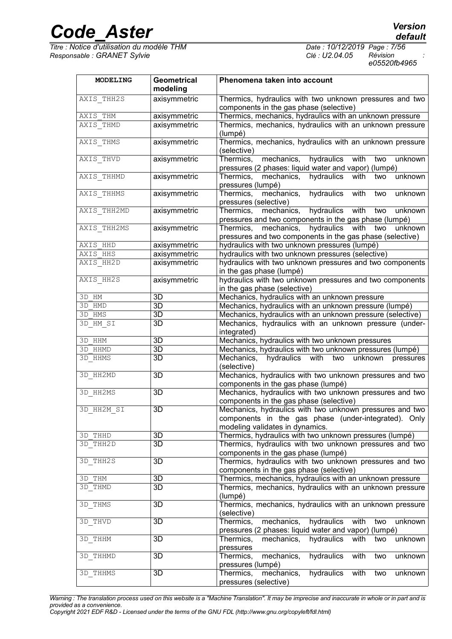*Titre : Notice d'utilisation du modèle THM Date : 10/12/2019 Page : 7/56*  $Responsible : GRANET$  *Sylvie* 

*default*

| MODELING    | <b>Geometrical</b><br>modeling | Phenomena taken into account                                                                                                                        |
|-------------|--------------------------------|-----------------------------------------------------------------------------------------------------------------------------------------------------|
| AXIS THH2S  | axisymmetric                   | Thermics, hydraulics with two unknown pressures and two<br>components in the gas phase (selective)                                                  |
| AXIS THM    | axisymmetric                   | Thermics, mechanics, hydraulics with an unknown pressure                                                                                            |
| AXIS THMD   | axisymmetric                   | Thermics, mechanics, hydraulics with an unknown pressure<br>(lumpé)                                                                                 |
| AXIS_THMS   | axisymmetric                   | Thermics, mechanics, hydraulics with an unknown pressure<br>(selective)                                                                             |
| AXIS_THVD   | axisymmetric                   | mechanics,<br>hydraulics<br>with<br>Thermics,<br>two<br>unknown<br>pressures (2 phases: liquid water and vapor) (lumpé)                             |
| AXIS THHMD  | axisymmetric                   | hydraulics<br>Thermics,<br>mechanics,<br>with<br>unknown<br>two<br>pressures (lumpé)                                                                |
| AXIS THHMS  | axisymmetric                   | Thermics,<br>mechanics,<br>hydraulics<br>with<br>unknown<br>two<br>pressures (selective)                                                            |
| AXIS THH2MD | axisymmetric                   | Thermics, mechanics,<br>hydraulics<br>with<br>two<br>unknown<br>pressures and two components in the gas phase (lumpé)                               |
| AXIS THH2MS | axisymmetric                   | Thermics, mechanics, hydraulics with<br>two<br>unknown<br>pressures and two components in the gas phase (selective)                                 |
| AXIS HHD    | axisymmetric                   | hydraulics with two unknown pressures (lumpé)                                                                                                       |
| AXIS HHS    | axisymmetric                   | hydraulics with two unknown pressures (selective)                                                                                                   |
| AXIS HH2D   | axisymmetric                   | hydraulics with two unknown pressures and two components<br>in the gas phase (lumpé)                                                                |
| AXIS HH2S   | axisymmetric                   | hydraulics with two unknown pressures and two components<br>in the gas phase (selective)                                                            |
| 3D HM       | 3D                             | Mechanics, hydraulics with an unknown pressure                                                                                                      |
| 3D HMD      | $\overline{3D}$                | Mechanics, hydraulics with an unknown pressure (lumpé)                                                                                              |
| 3D HMS      | 3D                             | Mechanics, hydraulics with an unknown pressure (selective)                                                                                          |
| 3D HM SI    | 3D                             | Mechanics, hydraulics with an unknown pressure (under-<br>integrated)                                                                               |
| 3D HHM      | $\overline{3D}$                | Mechanics, hydraulics with two unknown pressures                                                                                                    |
| 3D HHMD     | 3D                             | Mechanics, hydraulics with two unknown pressures (lumpé)                                                                                            |
| 3D HHMS     | 3D                             | hydraulics<br>with<br>Mechanics,<br>two<br>unknown<br>pressures<br>(selective)                                                                      |
| 3D HH2MD    | 3D                             | Mechanics, hydraulics with two unknown pressures and two<br>components in the gas phase (lumpé)                                                     |
| 3D HH2MS    | 3D                             | Mechanics, hydraulics with two unknown pressures and two<br>components in the gas phase (selective)                                                 |
| 3D HH2M SI  | 3D                             | Mechanics, hydraulics with two unknown pressures and two<br>components in the gas phase (under-integrated). Only<br>modeling validates in dynamics. |
| 3D THHD     | 3D                             | Thermics, hydraulics with two unknown pressures (lumpé)                                                                                             |
| 3D THH2D    | 3D                             | Thermics, hydraulics with two unknown pressures and two<br>components in the gas phase (lumpé)                                                      |
| 3D THH2S    | 3D                             | Thermics, hydraulics with two unknown pressures and two<br>components in the gas phase (selective)                                                  |
| 3D THM      | 3D                             | Thermics, mechanics, hydraulics with an unknown pressure                                                                                            |
| 3D THMD     | 3D                             | Thermics, mechanics, hydraulics with an unknown pressure<br>(lumpé)                                                                                 |
| 3D THMS     | 3D                             | Thermics, mechanics, hydraulics with an unknown pressure<br>(selective)                                                                             |
| 3D THVD     | 3D                             | Thermics,<br>mechanics,<br>hydraulics<br>with<br>unknown<br>two<br>pressures (2 phases: liquid water and vapor) (lumpé)                             |
| 3D THHM     | 3D                             | mechanics,<br>hydraulics<br>with<br>unknown<br>Thermics,<br>two<br>pressures                                                                        |
| 3D THHMD    | 3D                             | Thermics,<br>hydraulics<br>with<br>unknown<br>mechanics,<br>two<br>pressures (lumpé)                                                                |
| 3D THHMS    | 3D                             | mechanics,<br>hydraulics<br>with<br>unknown<br>Thermics,<br>two<br>pressures (selective)                                                            |

*Warning : The translation process used on this website is a "Machine Translation". It may be imprecise and inaccurate in whole or in part and is provided as a convenience.*

*Copyright 2021 EDF R&D - Licensed under the terms of the GNU FDL (http://www.gnu.org/copyleft/fdl.html)*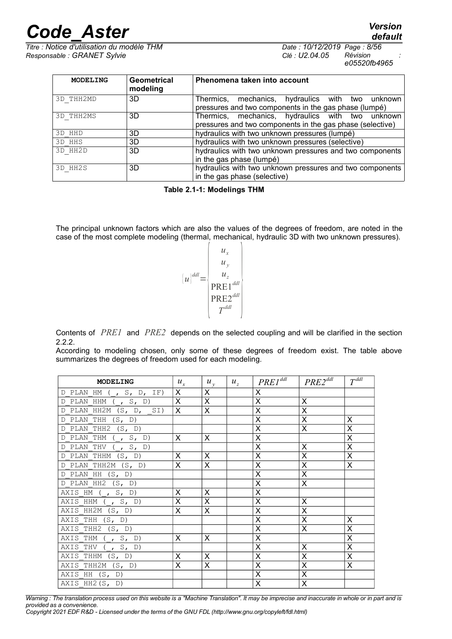# *Code\_Aster Version*<br>*Citre* : Notice d'utilisation du modèle THM Date : 10/12/2019 Page : 8/56

*Titre : Notice d'utilisation du modèle THM Date : 10/12/2019 Page : 8/56 Responsable : GRANET Sylvie Clé : U2.04.05 Révision :*

*e05520fb4965*

| <b>MODELING</b> | Geometrical<br>modeling | Phenomena taken into account                                                                                     |
|-----------------|-------------------------|------------------------------------------------------------------------------------------------------------------|
| 3D THH2MD       | 3D                      | Thermics, mechanics, hydraulics with two<br>unknown<br>pressures and two components in the gas phase (lumpé)     |
| 3D THH2MS       | 3D                      | Thermics, mechanics, hydraulics with two<br>unknown<br>pressures and two components in the gas phase (selective) |
| 3D HHD          | 3D                      | hydraulics with two unknown pressures (lumpé)                                                                    |
| 3D HHS          | 3D                      | hydraulics with two unknown pressures (selective)                                                                |
| 3D HH2D         | 3D                      | hydraulics with two unknown pressures and two components<br>in the gas phase (lumpé)                             |
| 3D HH2S         | 3D                      | hydraulics with two unknown pressures and two components<br>in the gas phase (selective)                         |

<span id="page-7-0"></span>**Table 2.1-1: Modelings THM**

The principal unknown factors which are also the values of the degrees of freedom, are noted in the case of the most complete modeling (thermal, mechanical, hydraulic 3D with two unknown pressures).

### $|u|^{ddl} =$   $|u_z|$  $\left| \frac{\text{PRE2}^{ddl}}{T^{ddl}} \right|$  $u_{x}$  $u_y$ PRE1*ddl T*

Contents of *PRE1* and *PRE2* depends on the selected coupling and will be clarified in the section [2.2.2.](#page-11-0)

According to modeling chosen, only some of these degrees of freedom exist. The table above summarizes the degrees of freedom used for each modeling.

| MODELING                  | $u_x$ | $u_{v}$ | $u_{\tau}$ | $PREI$ <sup>ddl</sup>   | $PRE2^{d\overline{d}}$  | $T^{d\overline{dl}}$    |
|---------------------------|-------|---------|------------|-------------------------|-------------------------|-------------------------|
| D PLAN HM $($ , S, D, IF) | X.    | X       |            | X                       |                         |                         |
| D PLAN HHM $($ , S, D)    | X     | X       |            | X                       | X                       |                         |
| PLAN HH2M (S, D, SI)      | X     | X       |            | X                       | X                       |                         |
| PLAN THH (S, D)<br>D      |       |         |            | $\overline{\mathsf{x}}$ | $\overline{\mathsf{x}}$ | X                       |
| $D$ PLAN THH2 (S, D)      |       |         |            | $\overline{\mathsf{x}}$ | $\overline{\mathsf{x}}$ | X                       |
| D PLAN THM $( , S, D)$    | X.    | X       |            | $\overline{\mathsf{x}}$ |                         | $\overline{\mathsf{x}}$ |
| D PLAN THV $( , S, D)$    |       |         |            | $\overline{\mathsf{x}}$ | $\overline{\mathsf{x}}$ | $\overline{\mathsf{x}}$ |
| D PLAN THHM $(S, D)$      | X     | X       |            | X                       | X                       | $\overline{\sf x}$      |
| D PLAN THH2M (S, D)       | X     | X       |            | X                       | $\overline{\mathsf{x}}$ | X                       |
| D PLAN HH $(S, D)$        |       |         |            | $\overline{\mathsf{x}}$ | $\overline{\mathsf{x}}$ |                         |
| D PLAN HH2 $(S, D)$       |       |         |            | $\overline{\mathsf{x}}$ | $\overline{\mathsf{x}}$ |                         |
| AXIS HM $( , S, D)$       | X.    | X       |            | X                       |                         |                         |
| AXIS HHM (, S, D)         | X     | X       |            | X                       | X                       |                         |
| AXIS HH2M (S, D)          | X     | X       |            | X                       | X                       |                         |
| AXIS THH (S, D)           |       |         |            | X                       | X                       | X                       |
| AXIS THH2 (S, D)          |       |         |            | $\overline{\mathsf{x}}$ | $\overline{\mathsf{x}}$ | X                       |
| AXIS THM ( , S, D)        | X.    | X       |            | $\overline{\mathsf{x}}$ |                         | $\overline{\mathsf{x}}$ |
| AXIS THV (, S, D)         |       |         |            | X                       | X                       | X                       |
| AXIS THHM (S, D)          | X     | X       |            | X                       | X                       | X                       |
| AXIS THH2M (S, D)         | X     | X       |            | X                       | X                       | X                       |
| AXIS HH $(S, D)$          |       |         |            | X                       | $\pmb{\times}$          |                         |
| AXIS HH $2(S, D)$         |       |         |            | $\overline{\mathsf{x}}$ | $\overline{\mathsf{x}}$ |                         |

*Warning : The translation process used on this website is a "Machine Translation". It may be imprecise and inaccurate in whole or in part and is provided as a convenience.*

*Copyright 2021 EDF R&D - Licensed under the terms of the GNU FDL (http://www.gnu.org/copyleft/fdl.html)*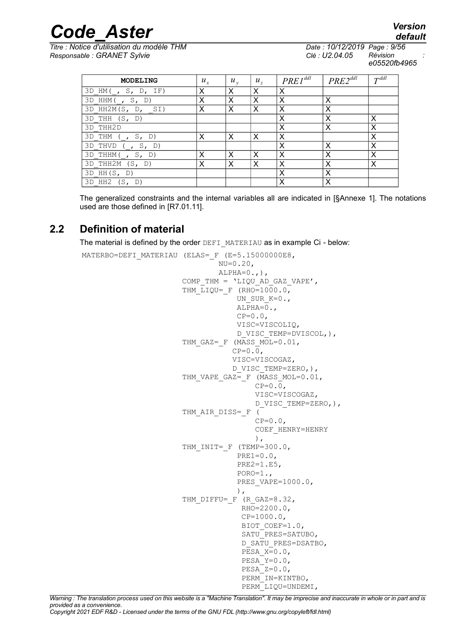*Titre : Notice d'utilisation du modèle THM Date : 10/12/2019 Page : 9/56 Responsable : GRANET Sylvie Clé : U2.04.05 Révision :*

*e05520fb4965*

| MODELING            | $u_{x}$ | $u_{v}$ | $u_{\overline{z}}$ | $PREI$ <sup>ddl</sup> | $PRE2^{ddl}$ | $T$ ddl |
|---------------------|---------|---------|--------------------|-----------------------|--------------|---------|
| 3D HM ( , S, D, IF) | X       | X       | X                  | X                     |              |         |
| 3D HHM ( , S, D)    | X       | X       | X                  | X                     | X            |         |
| 3D HH2M(S, D, SI)   | X       | X       | X                  | X                     | X            |         |
| 3D THH (S,<br>D)    |         |         |                    | X                     | X            | х       |
| 3D THH2D            |         |         |                    | X                     | X            | Χ       |
| 3D THM $($ , S, D)  | X       | X       | X                  | X                     |              | X       |
| 3D THVD (, S, D)    |         |         |                    | X                     | x            | Χ       |
| 3D THHM (, S, D)    | x       | X       | х                  | X                     | Χ            | Χ       |
| 3D THH2M (S, D)     | x       | х       | X                  | х                     | X            | X       |
| $3D$ HH $(S, D)$    |         |         |                    | X                     | x            |         |
| 3D HH2<br>(S, D)    |         |         |                    | X                     | X            |         |

The generalized constraints and the internal variables all are indicated in [§Annexe 1]. The notations used are those defined in [R7.01.11].

### **2.2 Definition of material**

<span id="page-8-0"></span>The material is defined by the order DEFI\_MATERIAU as in example Ci - below:

MATERBO=DEFI\_MATERIAU (ELAS= F (E=5.15000000E8,  $NU=0.20$ ,  $ALPHA=0.$ ,  $,$   $)$ , COMP\_THM = 'LIQU\_AD\_GAZ\_VAPE', THM  $LIQU=$  F (RHO=1000.0, UN SUR  $K=0.$ ,  $ALPHA=0$ .,  $CP=0.0$ , VISC=VISCOLIQ, D\_VISC\_TEMP=DVISCOL, ), THM GAZ= F (MASS MOL=0.01,  $CP=0.0$ , VISC=VISCOGAZ, D\_VISC\_TEMP=ZERO,), THM VAPE  $GAZ=$  F (MASS MOL=0.01,  $CP=0.0$ , VISC=VISCOGAZ, D\_VISC\_TEMP=ZERO,), THM AIR DISS= F (  $CP=0.0$ , COEF\_HENRY=HENRY  $\left( \begin{array}{c} 1 \end{array} \right)$ , THM INIT= F (TEMP=300.0, PRE1=0.0, PRE2=1.E5, PORO=1., PRES VAPE=1000.0,  $\,$ ,  $\,$ ,  $\,$ ,  $\,$ ,  $\,$ ,  $\,$ ,  $\,$ ,  $\,$ ,  $\,$ ,  $\,$ ,  $\,$ ,  $\,$ ,  $\,$ ,  $\,$ ,  $\,$ ,  $\,$ ,  $\,$ ,  $\,$ ,  $\,$ ,  $\,$ ,  $\,$ ,  $\,$ ,  $\,$ ,  $\,$ ,  $\,$ ,  $\,$ ,  $\,$ ,  $\,$ ,  $\,$ ,  $\,$ ,  $\,$ ,  $\,$ ,  $\,$ ,  $\,$ ,  $\,$ ,  $\,$ ,  $\,$ , THM\_DIFFU=\_F (R\_GAZ=8.32, RHO=2200.0, CP=1000.0, BIOT COEF=1.0, SATU\_PRES=SATUBO, D\_SATU\_PRES=DSATBO,  $PESA$   $X=0.0$ ,  $PESA^{-}Y=0.0$ ,  $PESA<sup>-</sup>Z=0.0$ , PERM\_IN=KINTBO, PERM\_LIQU=UNDEMI,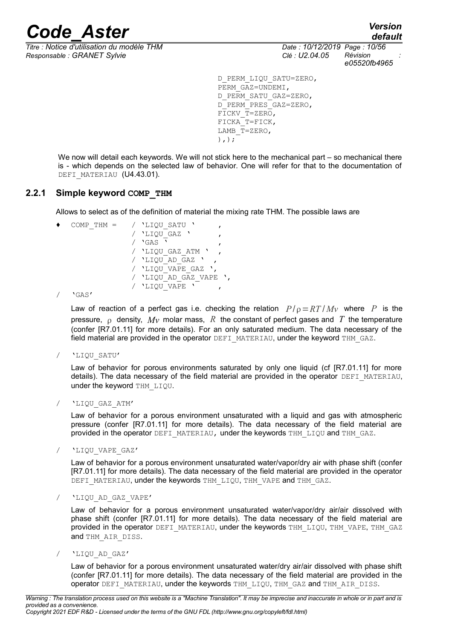*default*

*Titre : Notice d'utilisation du modèle THM Date : 10/12/2019 Page : 10/56 Responsable : GRANET Sylvie Clé : U2.04.05 Révision :*

*e05520fb4965*

 D\_PERM\_LIQU\_SATU=ZERO, PERM\_GAZ=UNDEMI, D\_PERM\_SATU\_GAZ=ZERO, D\_PERM\_PRES\_GAZ=ZERO,  $FICKV$  T=ZERO, FICKA\_T=FICK, LAMB  $T=ZERO$ ,  $),$ ;

We now will detail each keywords. We will not stick here to the mechanical part – so mechanical there is - which depends on the selected law of behavior. One will refer for that to the documentation of DEFI MATERIAU (U4.43.01).

#### **2.2.1 Simple keyword COMP\_THM**

<span id="page-9-0"></span>Allows to select as of the definition of material the mixing rate THM. The possible laws are

COMP THM =  $/$  'LIQU SATU ' / 'LIQU\_GAZ ' , / 'GAS ' , / 'LIQU\_GAZ\_ATM ' , / 'LIQU\_AD\_GAZ ' , / 'LIQU\_VAPE\_GAZ ', / 'LIQU\_AD\_GAZ\_VAPE ',  $/$  'LIQU VAPE '

 $/$  'GAS'

Law of reaction of a perfect gas i.e. checking the relation  $P/\rho = RT/Mv$  where P is the pressure,  $\rho$  density,  $M_v$  molar mass, R the constant of perfect gases and T the temperature (confer [R7.01.11] for more details). For an only saturated medium. The data necessary of the field material are provided in the operator DEFI\_MATERIAU, under the keyword THM\_GAZ.

/ 'LIQU\_SATU'

Law of behavior for porous environments saturated by only one liquid (cf [R7.01.11] for more details). The data necessary of the field material are provided in the operator DEFI\_MATERIAU, under the keyword THM LIQU.

/ 'LIQU\_GAZ\_ATM'

Law of behavior for a porous environment unsaturated with a liquid and gas with atmospheric pressure (confer [R7.01.11] for more details). The data necessary of the field material are provided in the operator DEFI\_MATERIAU, under the keywords THM\_LIQU and THM\_GAZ.

/ 'LIQU\_VAPE\_GAZ'

Law of behavior for a porous environment unsaturated water/vapor/dry air with phase shift (confer [R7.01.11] for more details). The data necessary of the field material are provided in the operator DEFI\_MATERIAU, under the keywords THM\_LIQU, THM\_VAPE and THM\_GAZ.

/ 'LIQU\_AD\_GAZ\_VAPE'

Law of behavior for a porous environment unsaturated water/vapor/dry air/air dissolved with phase shift (confer [R7.01.11] for more details). The data necessary of the field material are provided in the operator DEFI\_MATERIAU, under the keywords THM\_LIQU, THM\_VAPE, THM\_GAZ and THM AIR DISS.

/ 'LIQU\_AD\_GAZ'

Law of behavior for a porous environment unsaturated water/dry air/air dissolved with phase shift (confer [R7.01.11] for more details). The data necessary of the field material are provided in the operator DEFI\_MATERIAU, under the keywords THM\_LIQU, THM\_GAZ and THM\_AIR\_DISS.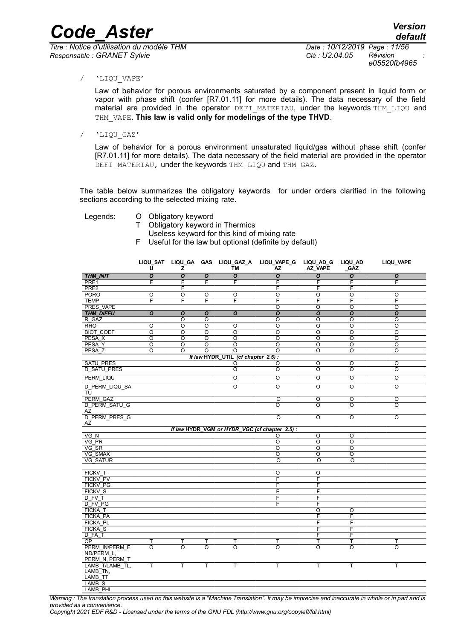*Titre : Notice d'utilisation du modèle THM Date : 10/12/2019 Page : 11/56 Responsable : GRANET Sylvie Clé : U2.04.05 Révision :*

*e05520fb4965*

#### / 'LIQU\_VAPE'

Law of behavior for porous environments saturated by a component present in liquid form or vapor with phase shift (confer [R7.01.11] for more details). The data necessary of the field material are provided in the operator DEFI MATERIAU, under the keywords THM LIQU and THM\_VAPE. **This law is valid only for modelings of the type THVD**.

/ 'LIQU\_GAZ'

Law of behavior for a porous environment unsaturated liquid/gas without phase shift (confer [R7.01.11] for more details). The data necessary of the field material are provided in the operator DEFI\_MATERIAU, under the keywords THM\_LIQU and THM\_GAZ.

The table below summarizes the obligatory keywords for under orders clarified in the following sections according to the selected mixing rate.

Legends: O Obligatory keyword

- T Obligatory keyword in Thermics
	- Useless keyword for this kind of mixing rate
- F Useful for the law but optional (definite by default)

|                                      | U                       | z                       |                         | LIQU_SAT LIQU_GA GAS LIQU_GAZ_A<br>TM | LIQU_VAPE_G<br>ΑZ                              | LIQU AD G<br>AZ VAPE | LIQU_AD<br>_GAZ    | LIQU_VAPE          |
|--------------------------------------|-------------------------|-------------------------|-------------------------|---------------------------------------|------------------------------------------------|----------------------|--------------------|--------------------|
| <b>THM INIT</b>                      | $\overline{o}$          | $\overline{o}$          | O                       | $\mathbf o$                           | $\overline{o}$                                 | O                    | O                  | O                  |
| PRE1                                 | F                       | F                       | F                       | F                                     | F                                              | F                    | F                  | F                  |
| PRE2                                 |                         | F                       |                         |                                       | F                                              | F                    | F                  |                    |
| <b>PORO</b>                          | $\overline{\circ}$      | $\overline{\circ}$      | $\overline{\mathsf{o}}$ | $\overline{o}$                        | $\overline{\circ}$                             | $\overline{\circ}$   | $\overline{\circ}$ | $\overline{\circ}$ |
| <b>TEMP</b>                          | F                       | F                       | F                       | F                                     | F                                              | F                    | F                  | F                  |
| <b>PRES VAPE</b>                     |                         |                         |                         |                                       | O                                              | O                    | O                  | O                  |
| <b>THM DIFFU</b>                     | O                       | O                       | O                       | $\overline{o}$                        | $\overline{o}$                                 | $\overline{o}$       | $\mathbf o$        | $\overline{o}$     |
| R GAZ                                |                         | O                       | O                       |                                       | O                                              | O                    | O                  | O                  |
| <b>RHO</b>                           | O                       | O                       | $\overline{\mathsf{o}}$ | $\Omega$                              | O                                              | O                    | $\Omega$           | $\overline{\circ}$ |
| <b>BIOT COEF</b>                     | ত                       | $\overline{\circ}$      | ত                       | $\overline{\circ}$                    | $\overline{\circ}$                             | $\overline{\circ}$   | $\overline{\circ}$ | ত                  |
| PESA X                               | $\overline{\circ}$      | $\overline{\circ}$      | $\overline{\circ}$      | $\circ$                               | O                                              | O                    | O                  | $\overline{\circ}$ |
| PESA Y                               | O                       | O                       | O                       | O                                     | O                                              | O                    | O                  | $\overline{\circ}$ |
| PESA Z                               | $\overline{O}$          | $\overline{O}$          | $\overline{\rm o}$      | $\overline{O}$                        | $\overline{O}$                                 | $\overline{O}$       | O                  | $\overline{O}$     |
|                                      |                         |                         |                         | If law HYDR UTIL (cf chapter 2.5):    |                                                |                      |                    |                    |
| <b>SATU PRES</b>                     |                         |                         |                         | O                                     | O                                              | O                    | O                  | O                  |
| D_SATU_PRES                          |                         |                         |                         | O                                     | O                                              | O                    | O                  | O                  |
| PERM_LIQU                            |                         |                         |                         | $\overline{\circ}$                    | ত                                              | $\overline{\circ}$   | $\overline{\circ}$ | $\overline{\circ}$ |
| D_PERM_LIQU_SA<br>TU                 |                         |                         |                         | $\overline{\circ}$                    | $\overline{\circ}$                             | $\overline{\circ}$   | $\overline{\circ}$ | $\overline{\circ}$ |
| PERM GAZ                             |                         |                         |                         |                                       | O                                              | O                    | O                  | O                  |
| D_PERM_SATU_G<br>AZ                  |                         |                         |                         |                                       | O                                              | O                    | O                  | O                  |
| <b>D PERM PRES G</b>                 |                         |                         |                         |                                       | O                                              | $\Omega$             | $\circ$            | O                  |
| AZ                                   |                         |                         |                         |                                       |                                                |                      |                    |                    |
|                                      |                         |                         |                         |                                       | If law HYDR_VGM or HYDR_VGC (cf chapter 2.5) : |                      |                    |                    |
| VG N                                 |                         |                         |                         |                                       | O                                              | O                    | $\circ$            |                    |
| VG PR                                |                         |                         |                         |                                       | $\overline{O}$                                 | O                    | O                  |                    |
| VG SR                                |                         |                         |                         |                                       | $\overline{O}$                                 | $\overline{O}$       | $\overline{O}$     |                    |
| VG SMAX                              |                         |                         |                         |                                       | O                                              | O                    | O                  |                    |
| <b>VG SATUR</b>                      |                         |                         |                         |                                       | Ō                                              | $\overline{\circ}$   | $\overline{\circ}$ |                    |
| <b>FICKV T</b>                       |                         |                         |                         |                                       | O                                              | O                    |                    |                    |
| <b>FICKV PV</b>                      |                         |                         |                         |                                       | F                                              | F                    |                    |                    |
| <b>FICKV PG</b>                      |                         |                         |                         |                                       | F                                              | F                    |                    |                    |
| <b>FICKV S</b>                       |                         |                         |                         |                                       | F                                              | F                    |                    |                    |
| D FV T                               |                         |                         |                         |                                       | $\overline{F}$                                 | F                    |                    |                    |
| D FV PG                              |                         |                         |                         |                                       | F                                              | F                    |                    |                    |
| <b>FICKA T</b>                       |                         |                         |                         |                                       |                                                | $\overline{\circ}$   | O                  |                    |
| <b>FICKA PA</b>                      |                         |                         |                         |                                       |                                                | F                    | F                  |                    |
| FICKA PL                             |                         |                         |                         |                                       |                                                | F                    | F                  |                    |
| <b>FICKA S</b>                       |                         |                         |                         |                                       |                                                | F                    | F                  |                    |
| D FA T                               |                         |                         |                         |                                       |                                                | F                    | F                  |                    |
| CP                                   | Т                       | Т                       | Τ                       | т                                     | Τ                                              | T                    | T                  | Т                  |
| PERM_IN/PERM_E<br>ND/PERM L,         | $\overline{O}$          | $\overline{O}$          | $\overline{\rm o}$      | $\overline{O}$                        | $\overline{O}$                                 | $\overline{O}$       | $\overline{O}$     | $\overline{O}$     |
| PERM N, PERM T                       |                         |                         |                         |                                       |                                                |                      |                    |                    |
| LAMB_T/LAMB_TL,                      | $\overline{\mathsf{T}}$ | $\overline{\mathsf{T}}$ | Ŧ                       | T                                     | Ŧ                                              | Ŧ                    | Ŧ                  | T                  |
| LAMB_TN,                             |                         |                         |                         |                                       |                                                |                      |                    |                    |
| <b>LAMB TT</b>                       |                         |                         |                         |                                       |                                                |                      |                    |                    |
| LAMB <sub>S</sub><br><b>LAMB PHI</b> |                         |                         |                         |                                       |                                                |                      |                    |                    |
|                                      |                         |                         |                         |                                       |                                                |                      |                    |                    |

*Warning : The translation process used on this website is a "Machine Translation". It may be imprecise and inaccurate in whole or in part and is provided as a convenience. Copyright 2021 EDF R&D - Licensed under the terms of the GNU FDL (http://www.gnu.org/copyleft/fdl.html)*

*default*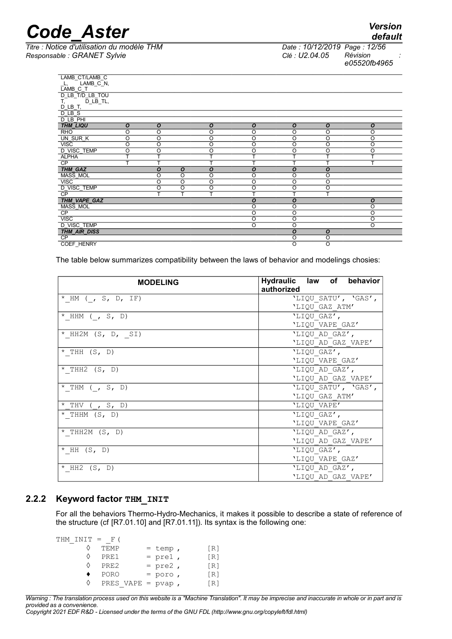*Titre : Notice d'utilisation du modèle THM Date : 10/12/2019 Page : 12/56 Responsable : GRANET Sylvie Clé : U2.04.05 Révision :*

| Date : 10/12/2019 Page : 12/56 |              |
|--------------------------------|--------------|
| Clé : U2.04.05                 | Révision     |
|                                | e05520fb4965 |

| LAMB_CT/LAMB_C                                                               |                    |              |                    |   |                         |                    |                    |                    |  |
|------------------------------------------------------------------------------|--------------------|--------------|--------------------|---|-------------------------|--------------------|--------------------|--------------------|--|
|                                                                              |                    |              |                    |   |                         |                    |                    |                    |  |
|                                                                              |                    |              |                    |   |                         |                    |                    |                    |  |
|                                                                              |                    |              |                    |   |                         |                    |                    |                    |  |
|                                                                              |                    |              |                    |   |                         |                    |                    |                    |  |
| L, LAMB_C_N,<br>LAMB_C_T<br>D_LB_T/D_LB_TOU<br>T, D_LB_TL,<br><u>D_LB_T,</u> |                    |              |                    |   |                         |                    |                    |                    |  |
| $D_l$ LB_S                                                                   |                    |              |                    |   |                         |                    |                    |                    |  |
| D LB PHI                                                                     |                    |              |                    |   |                         |                    |                    |                    |  |
| <b>THM LIQU</b>                                                              | $\mathbf{o}$       | $\mathbf{o}$ |                    | O | $\mathbf{o}$            | $\mathbf{o}$       | $\mathbf{o}$       | $\mathbf{o}$       |  |
| <b>RHO</b>                                                                   | $\circ$            | O            |                    | O | O                       | $\circ$            | $\circ$            | O                  |  |
| UN SUR K                                                                     | $\overline{\circ}$ | O            |                    | O | $\overline{\circ}$      | $\overline{\circ}$ | $\circ$            | $\overline{\circ}$ |  |
| <b>VISC</b>                                                                  | $\overline{O}$     | O            |                    | O | O                       | $\circ$            | $\circ$            | $\overline{O}$     |  |
| <b>D VISC TEMP</b>                                                           | $\circ$            | $\circ$      |                    | O | $\overline{\rm o}$      | $\circ$            | $\overline{\circ}$ | $\overline{\circ}$ |  |
| <b>ALPHA</b>                                                                 |                    |              |                    |   | т                       |                    |                    |                    |  |
| CP                                                                           | $\mathbf{r}$       |              |                    | ᠇ | T                       | т                  | Т                  | $\mathbf \tau$     |  |
| <b>THM GAZ</b>                                                               |                    | O            | $\mathbf{o}$       | Ο | $\mathbf o$             | O                  | O                  |                    |  |
| <b>MASS MOL</b>                                                              |                    | O            | $\circ$            | O | $\overline{\circ}$      | $\circ$            | $\circ$            |                    |  |
|                                                                              |                    |              | $\overline{\circ}$ | O | $\overline{\circ}$      |                    | $\overline{\circ}$ |                    |  |
| <b>VISC</b>                                                                  |                    | O            |                    |   |                         | $\overline{\circ}$ |                    |                    |  |
|                                                                              |                    | O            | $\overline{O}$     | O | $\overline{\circ}$      | O                  | $\overline{\circ}$ |                    |  |
| D_VISC_TEMP<br>$\overline{CP}$                                               |                    | T            | т                  | т | $\overline{\mathsf{T}}$ |                    | т                  |                    |  |
| <b>THM VAPE GAZ</b>                                                          |                    |              |                    |   | $\overline{o}$          | $\overline{O}$     |                    | $\overline{O}$     |  |
| <b>MASS MOL</b>                                                              |                    |              |                    |   | O                       | O                  |                    | $\circ$            |  |
| CP                                                                           |                    |              |                    |   | $\overline{\circ}$      | $\overline{\circ}$ |                    | $\overline{\circ}$ |  |
| <b>VISC</b>                                                                  |                    |              |                    |   | $\overline{\circ}$      | $\circ$            |                    | $\overline{\circ}$ |  |
| <b>D VISC TEMP</b>                                                           |                    |              |                    |   | $\overline{\circ}$      | $\circ$            |                    | $\overline{O}$     |  |
| <b>THM AIR DISS</b>                                                          |                    |              |                    |   |                         | $\mathbf{o}$       | $\mathbf{o}$       |                    |  |
| CP                                                                           |                    |              |                    |   |                         | O                  | $\circ$            |                    |  |

The table below summarizes compatibility between the laws of behavior and modelings chosies:

| <b>MODELING</b>     | Hydraulic law of behavior<br>authorized |
|---------------------|-----------------------------------------|
| * HM ( , S, D, IF)  | 'LIQU SATU', 'GAS',                     |
|                     | 'LIQU GAZ ATM'                          |
| $*$ HHM ( , S, D)   | 'LIQU GAZ',                             |
|                     | 'LIQU VAPE GAZ'                         |
| * HH2M $(S, D, SI)$ | 'LIQU AD GAZ',                          |
|                     | 'LIQU AD GAZ VAPE'                      |
| $*$ THH $(S, D)$    | 'LIQU GAZ',                             |
|                     | 'LIQU VAPE GAZ'                         |
| * THH2 $(S, D)$     | 'LIQU AD GAZ',                          |
|                     | 'LIQU AD GAZ VAPE'                      |
| * THM $( , S, D)$   | 'LIQU SATU', 'GAS',                     |
|                     | 'LIQU GAZ ATM'                          |
| * THV $( , S, D)$   | 'LIQU VAPE'                             |
| $*$ THHM $(S, D)$   | 'LIQU GAZ',                             |
|                     | 'LIQU VAPE GAZ'                         |
| $*$ THH2M (S, D)    | 'LIQU AD GAZ',                          |
|                     | 'LIQU AD GAZ VAPE'                      |
| $*$ HH $(S, D)$     | 'LIQU GAZ',                             |
|                     | 'LIQU VAPE GAZ'                         |
| $*$ HH2 (S, D)      | 'LIQU AD GAZ',                          |
|                     | 'LIQU AD GAZ VAPE'                      |

#### **2.2.2 Keyword factor THM\_INIT**

<span id="page-11-0"></span>For all the behaviors Thermo-Hydro-Mechanics, it makes it possible to describe a state of reference of the structure (cf [R7.01.10] and [R7.01.11]). Its syntax is the following one:

```
THM_INIT = _F (<br> \Diamond TEMP
       \sqrt[3]{TEMP} = temp, [R]<br>\sqrt[3]{PRE1} = pre1, [R]
       ◊ PRE1 = pre1 , [R]
                       = pre2, [R]\bullet PORO = poro, [R]\Diamond PRES VAPE = pvap , [R]
```
*Warning : The translation process used on this website is a "Machine Translation". It may be imprecise and inaccurate in whole or in part and is provided as a convenience.*

*Copyright 2021 EDF R&D - Licensed under the terms of the GNU FDL (http://www.gnu.org/copyleft/fdl.html)*

*default*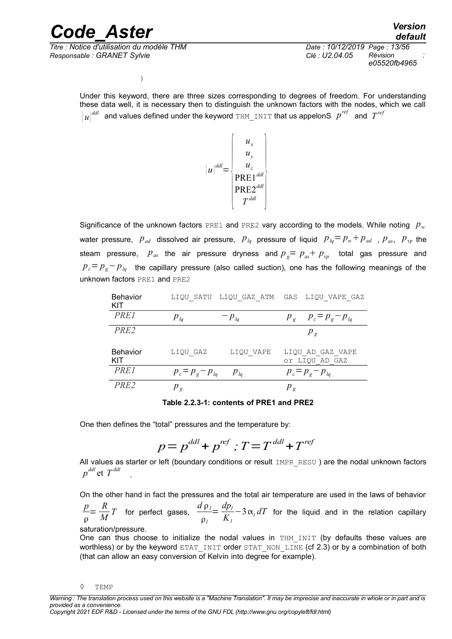*Titre : Notice d'utilisation du modèle THM Date : 10/12/2019 Page : 13/56 Responsable : GRANET Sylvie Clé : U2.04.05 Révision :*

*e05520fb4965*

)

Under this keyword, there are three sizes corresponding to degrees of freedom. For understanding these data well, it is necessary then to distinguish the unknown factors with the nodes, which we call  $|u|^{ddl}$  $^{ddl}$  and values defined under the keyword  $\text{\tt THM\_INIT}$  that us appelonS  $\ \ p^{ref} \ \ \text{and} \ \ T^{ref}$ 

$$
\left[u\right]^{ddl} = \begin{pmatrix} u_x \\ u_y \\ u_z \\ \text{PRE1}^{ddl} \\ \text{PRE2}^{ddl} \\ T^{ddl} \end{pmatrix}
$$

Significance of the unknown factors PRE1 and PRE2 vary according to the models. While noting  $p_w$ water pressure,  $p_{ad}$  dissolved air pressure,  $p_{lq}$  pressure of liquid  $p_{lq} = p_w + p_{ad}$ ,  $p_{as}$ ,  $p_{vp}$  the steam pressure,  $p_{as}$  the air pressure dryness and  $p_{g} = p_{as} + p_{yn}$  total gas pressure and *p*<sub>*c</sub>*= *p*<sub>*g*</sub>−*p*<sub>*lq*</sub> the capillary pressure (also called suction), one has the following meanings of the</sub> unknown factors PRE1 and PRE2

| <b>Behavior</b>        |                      | LIQU SATU LIQU GAZ ATM | GAS LIQU VAPE GAZ                  |
|------------------------|----------------------|------------------------|------------------------------------|
| KIT                    |                      |                        |                                    |
| <b>PRE1</b>            | $p_{lq}$             | $-p_{lq}$              | $p_g$ $p_c = p_g - p_{lq}$         |
| PRE2                   |                      |                        | $p_{\rho}$                         |
| <b>Behavior</b><br>KIT | LIQU GAZ             | LIQU VAPE              | LIQU AD GAZ VAPE<br>or LIQU AD GAZ |
| <b>PRE1</b>            | $p_c = p_g - p_{lq}$ | $p_{lq}$               | $p_c = p_g - p_{lq}$               |
| PRE <sub>2</sub>       | $p_{g}$              |                        | $p_{g}$                            |

**Table 2.2.3-1: contents of PRE1 and PRE2**

One then defines the "total" pressures and the temperature by:

$$
p = p^{ddl} + p^{ref} \; ; \; T = T^{ddl} + T^{ref}
$$

All values as starter or left (boundary conditions or result IMPR\_RESU) are the nodal unknown factors *p ddl* et *T ddl* .

On the other hand in fact the pressures and the total air temperature are used in the laws of behavior *p*  $\rho$  $=\frac{R}{M}$  $\frac{R}{M}T$  for perfect gases,  $\frac{d\rho}{\rho}$  $\rho_l$  $=\frac{dp_i}{p}$ *Kl*  $-3 \alpha_l dT$  for the liquid and in the relation capillary saturation/pressure.

One can thus choose to initialize the nodal values in THM INIT (by defaults these values are worthless) or by the keyword ETAT\_INIT order STAT\_NON\_LINE (cf 2.3) or by a combination of both (that can allow an easy conversion of Kelvin into degree for example).

◊ TEMP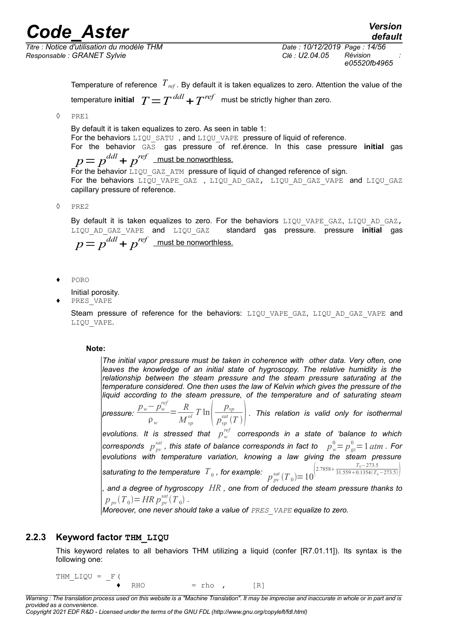# Ode\_Aster *Version*<br>default *Code d'utilisation du modèle* THM *Code Code Date* : 10/12/2019 Page : 14/56

*Titre : Notice d'utilisation du modèle THM Date : 10/12/2019 Page : 14/56 Responsable : GRANET Sylvie Clé : U2.04.05 Révision :*

*e05520fb4965*

*default*

Temperature of reference *Tref* . By default it is taken equalizes to zero. Attention the value of the temperature  $\boldsymbol{\mathsf{initial}}\;\; T\!=\!T^{\,ddl}\!+\!T^{\,ref}\;$  must be strictly higher than zero.

◊ PRE1

By default it is taken equalizes to zero. As seen in table 1:

For the behaviors LIQU\_SATU , and LIQU\_VAPE pressure of liquid of reference.

For the behavior GAS gas pressure of ref.érence. In this case pressure *initial* gas  $p \!=\! p^{ddl} \!+\! p^{ref}$  \_must be nonworthless.

For the behavior LIQU GAZ ATM pressure of liquid of changed reference of sign. For the behaviors LIQU VAPE GAZ, LIQU AD GAZ, LIQU AD GAZ VAPE and LIQU GAZ capillary pressure of reference.

◊ PRE2

By default it is taken equalizes to zero. For the behaviors LIQU VAPE GAZ, LIQU AD GAZ, LIQU\_AD\_GAZ\_VAPE and LIQU\_GAZ standard gas pressure. pressure **initial** gas  $p = p^{ddl} + p^{ref}$  must be nonworthless.

- ♦ PORO
- Initial porosity.
- PRES VAPE

Steam pressure of reference for the behaviors: LIQU VAPE GAZ, LIQU AD GAZ VAPE and LIQU\_VAPE.

#### **Note:**

*The initial vapor pressure must be taken in coherence with other data. Very often, one leaves the knowledge of an initial state of hygroscopy. The relative humidity is the relationship between the steam pressure and the steam pressure saturating at the temperature considered. One then uses the law of Kelvin which gives the pressure of the liquid according to the steam pressure, of the temperature and of saturating steam*

*pressure:*  $\frac{p_w-p_w^{ref}}{p_w}$ *w*  $=\frac{R}{\sqrt{R}}$  $\frac{R}{M_{vp}^{ol}}T\ln\left(\frac{1}{P}\right)$ *pvp*  $\left(\frac{p}{p_{vp}^{sat}\left(T\right)}\right)$ . This relation is valid only for isothermal

*evolutions. It is stressed that p<sup>w</sup> ref corresponds in a state of 'balance to which*  $\alpha$  *corresponds*  $\alpha \stackrel{sat}{p}$  *, this state of balance corresponds in fact to*  $\alpha \stackrel{0}{p}{}_{w}^{0}=p_{gz}^{0}=1$  $atm$  *. For evolutions with temperature variation, knowing a law giving the steam pressure*  $\textit{saturating to the temperature} \;\; T_{0}$  , for example:  $\; \; \; p^{sat}_{pv}(T_{0})\!\!=\!10^{\left(2.7858+\frac{T_{0}-273.5}{31.559+0.1354(T_{0}-273.5)}\right)} \; .$ 

*, and a degree of hygroscopy HR , one from of deduced the steam pressure thanks to*  $p_{pv}(T_0) = HR p_{pv}^{sat}(T_0)$ .

*Moreover, one never should take a value of PRES\_VAPE equalize to zero.*

#### **2.2.3 Keyword factor THM\_LIQU**

<span id="page-13-0"></span>This keyword relates to all behaviors THM utilizing a liquid (confer [R7.01.11]). Its syntax is the following one:

THM  $LIQU = F$  (  $RHO = rho$ ,  $[R]$ 

*Warning : The translation process used on this website is a "Machine Translation". It may be imprecise and inaccurate in whole or in part and is provided as a convenience.*

*Copyright 2021 EDF R&D - Licensed under the terms of the GNU FDL (http://www.gnu.org/copyleft/fdl.html)*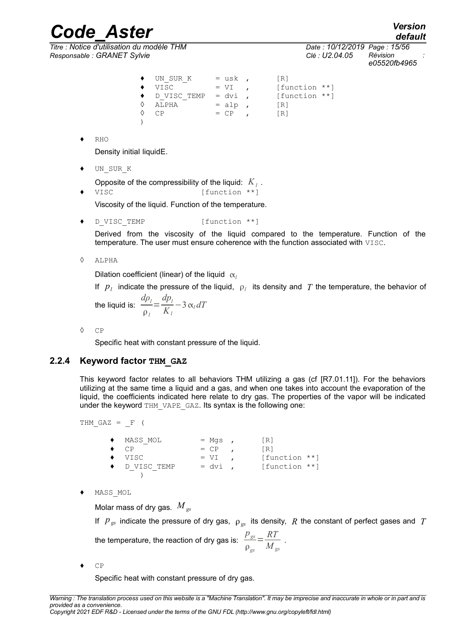*Titre : Notice d'utilisation du modèle THM Date : 10/12/2019 Page : 15/56 Responsable : GRANET Sylvie Clé : U2.04.05 Révision :*

*default e05520fb4965*

| $\bullet$ UN SUR K | $=$ usk,  | [R]           |
|--------------------|-----------|---------------|
| VISC               | $= VI$ ,  | [function **] |
| ◆ D VISC TEMP      | $=$ dvi , | [function **] |
| ALPHA              | $=$ alp , | [R]           |
| - CP               | $= CP$    | [R]           |
|                    |           |               |

♦ RHO

Density initial liquidE.

UN SUR K

Opposite of the compressibility of the liquid:  $|K_{\tilde{I}}|$  .

VISC [function \*\*]

Viscosity of the liquid. Function of the temperature.

♦ D\_VISC\_TEMP [function \*\*]

Derived from the viscosity of the liquid compared to the temperature. Function of the temperature. The user must ensure coherence with the function associated with VISC.

◊ ALPHA

Dilation coefficient (linear) of the liquid  $\alpha$ 

If  $|p|$  indicate the pressure of the liquid,  $|p|$  its density and  $|T|$  the temperature, the behavior of

the liquid is: *dρl*  $\rho_l$  $=\frac{dp_l}{v}$ *Kl*  $-3\alpha_l dT$ 

◊ CP

Specific heat with constant pressure of the liquid.

#### **2.2.4 Keyword factor THM\_GAZ**

<span id="page-14-0"></span>This keyword factor relates to all behaviors THM utilizing a gas (cf [R7.01.11]). For the behaviors utilizing at the same time a liquid and a gas, and when one takes into account the evaporation of the liquid, the coefficients indicated here relate to dry gas. The properties of the vapor will be indicated under the keyword THM\_VAPE\_GAZ. Its syntax is the following one:

THM  $GAZ = F$  (

| MASS MOL      | $=$ Mqs , | [R]           |
|---------------|-----------|---------------|
| CP            | $= CP$    | [R]           |
| VISC          | $= VI$    | [function **] |
| ◆ D VISC TEMP | $=$ dvi , | [function **] |
|               |           |               |

MASS MOL

Molar mass of dry gas. *M gs*

If  $p_{gs}$  indicate the pressure of dry gas,  $p_{gs}$  its density, R the constant of perfect gases and T

the temperature, the reaction of dry gas is:  $\frac{p_{gs}}{2}$  $\rho_{gs}$  $=\frac{RT}{16}$  $\frac{1}{M_{gs}}$  .

♦ CP

Specific heat with constant pressure of dry gas.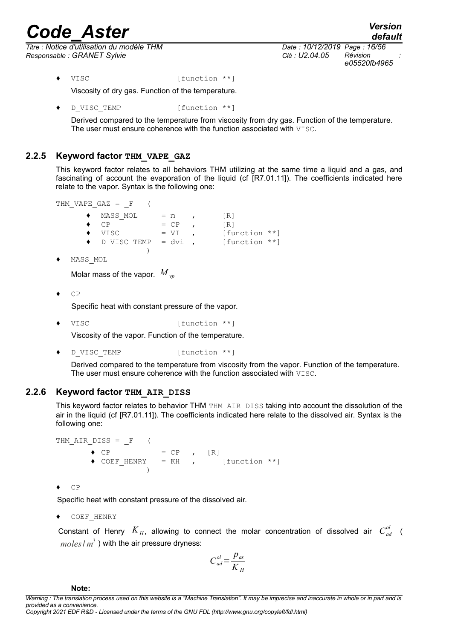*Titre : Notice d'utilisation du modèle THM Date : 10/12/2019 Page : 16/56 Responsable : GRANET Sylvie Clé : U2.04.05 Révision :*

*e05520fb4965*

*default*

◆ VISC [function \*\*]

Viscosity of dry gas. Function of the temperature.

♦ D\_VISC\_TEMP [function \*\*]

Derived compared to the temperature from viscosity from dry gas. Function of the temperature. The user must ensure coherence with the function associated with VISC.

#### **2.2.5 Keyword factor THM\_VAPE\_GAZ**

<span id="page-15-1"></span>This keyword factor relates to all behaviors THM utilizing at the same time a liquid and a gas, and fascinating of account the evaporation of the liquid (cf [R7.01.11]). The coefficients indicated here relate to the vapor. Syntax is the following one:

THM VAPE  $GAZ = F$  (

| $\blacklozenge$ mass mol      | $=$ m |          | R             |  |
|-------------------------------|-------|----------|---------------|--|
| $\bullet$ CP                  |       | $= CP$   | [R]           |  |
| $\blacklozenge$ visc          |       | $= VI$ , | [function **] |  |
| $\bullet$ D VISC TEMP = dvi , |       |          | [function **] |  |

♦ MASS\_MOL

Molar mass of the vapor. *M vp*

 $\bullet$  CP

Specific heat with constant pressure of the vapor.

VISC [function  $**$ ]

)

Viscosity of the vapor. Function of the temperature.

♦ D\_VISC\_TEMP [function \*\*]

Derived compared to the temperature from viscosity from the vapor. Function of the temperature. The user must ensure coherence with the function associated with  $VISC$ .

#### **2.2.6 Keyword factor THM\_AIR\_DISS**

<span id="page-15-0"></span>This keyword factor relates to behavior THM THM AIR DISS taking into account the dissolution of the air in the liquid (cf [R7.01.11]). The coefficients indicated here relate to the dissolved air. Syntax is the following one:

THM AIR DISS = F ( ◆ CP = CP ,  $[R]$ <br>◆ COEF HENRY = KH , [function \*\*] )

♦ CP

Specific heat with constant pressure of the dissolved air.

♦ COEF\_HENRY

Constant of Henry  $K_H$ , allowing to connect the molar concentration of dissolved air  $C_{ad}^{ol}$  (  $moles$  /  $m^3$  ) with the air pressure dryness:

$$
C_{ad}^{ol} = \frac{p_{as}}{K_H}
$$

**Note:**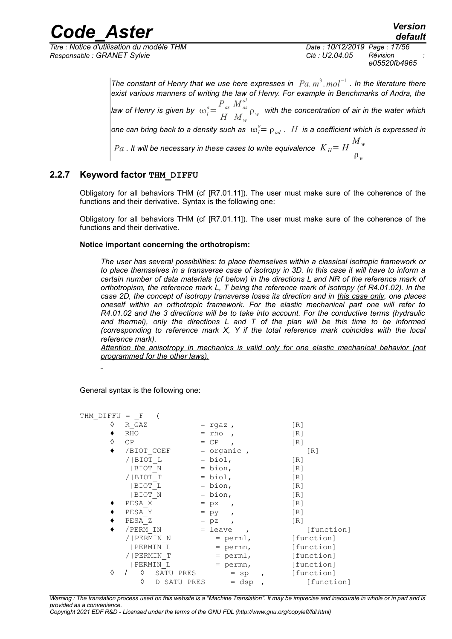*Titre : Notice d'utilisation du modèle THM Date : 10/12/2019 Page : 17/56 Responsable : GRANET Sylvie Clé : U2.04.05 Révision :*

*e05520fb4965*

*default*

*The constant of Henry that we use here expresses in Pa.m* 3 .*mol*<sup>−</sup><sup>1</sup> *. In the literature there exist various manners of writing the law of Henry. For example in Benchmarks of Andra, the law of Henry is given by*  $\omega_i^a = \frac{P_{as}}{H}$ *H*  $M^{ol}_{\textit{as}}$ *M <sup>w</sup> w with the concentration of air in the water which one can bring back to a density such as*  $\;\omega^a_l\!\!=\rho_{\rm\scriptscriptstyle ad}$  *.*  $\;H$  *is a coefficient which is expressed in*  $Pa$  . It will be necessary in these cases to write equivalence  $\ K_H^{\vphantom{E}}=H$ *M <sup>w</sup> w*

#### **2.2.7 Keyword factor THM\_DIFFU**

<span id="page-16-0"></span>Obligatory for all behaviors THM (cf [R7.01.11]). The user must make sure of the coherence of the functions and their derivative. Syntax is the following one:

Obligatory for all behaviors THM (cf [R7.01.11]). The user must make sure of the coherence of the functions and their derivative.

#### **Notice important concerning the orthotropism:**

*The user has several possibilities: to place themselves within a classical isotropic framework or to place themselves in a transverse case of isotropy in 3D. In this case it will have to inform a certain number of data materials (cf below) in the directions L and NR of the reference mark of orthotropism, the reference mark L, T being the reference mark of isotropy (cf R4.01.02). In the case 2D, the concept of isotropy transverse loses its direction and in this case only, one places oneself within an orthotropic framework. For the elastic mechanical part one will refer to R4.01.02 and the 3 directions will be to take into account. For the conductive terms (hydraulic and thermal), only the directions L and T of the plan will be this time to be informed (corresponding to reference mark X, Y if the total reference mark coincides with the local reference mark).*

*Attention the anisotropy in mechanics is valid only for one elastic mechanical behavior (not programmed for the other laws).*

General syntax is the following one:

| THM DIFFU | F<br>$=$             |                        |              |                   |
|-----------|----------------------|------------------------|--------------|-------------------|
| ♦         | R GAZ                | $=$ rgaz,              |              | [R]               |
|           | <b>RHO</b>           | $=$ rho                |              | [R]               |
| ♦         | CP                   | $= CP$                 |              | [R]               |
|           | /BIOT COEF           | $=$ organic,           |              | [R]               |
|           | /IBIOT L             | $=$ biol,              |              | [R]               |
|           | BIOT N               | $=$ bion,              |              | $\lceil R \rceil$ |
|           | / BIOT T             | $=$ biol,              |              | [R]               |
|           | BIOT L               | $=$ bion,              |              | [R]               |
|           | BIOT N               | $=$ bion,              |              | $\lceil R \rceil$ |
|           | PESA X               | $= px$                 |              | [R]               |
|           | PESA Y               | $= py$<br>$\mathbf{r}$ |              | [R]               |
|           | PESA Z               | $=$ $pz$               |              | [R]               |
|           | /PERM IN             | $=$ leave              |              | [function]        |
|           | / PERMIN N           | $=$ perml,             |              | [function]        |
|           | PERMIN L             | $=$ permn,             |              | [function]        |
|           | / PERMIN T           | $=$ perml,             |              | [function]        |
|           | PERMIN L             | $=$ permn,             |              | [function]        |
| ♦         | ♦<br>SATU PRES       | $=$ sp                 | $\mathbf{r}$ | [function]        |
|           | ♦<br>SATU PRES<br>D. | $=$ dsp                | $\mathbf{r}$ | [function]        |

*Warning : The translation process used on this website is a "Machine Translation". It may be imprecise and inaccurate in whole or in part and is provided as a convenience.*

*Copyright 2021 EDF R&D - Licensed under the terms of the GNU FDL (http://www.gnu.org/copyleft/fdl.html)*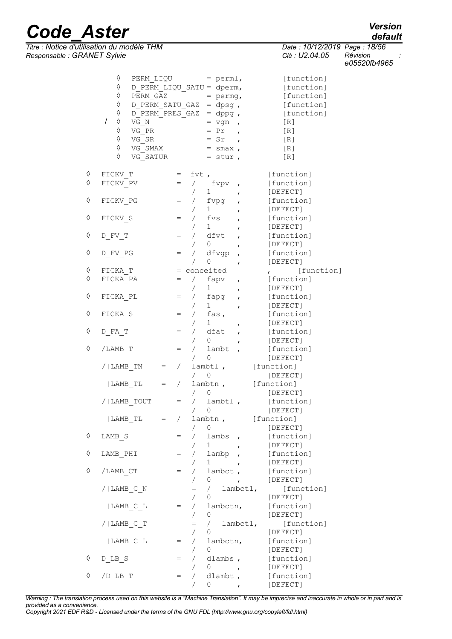*Titre : Notice d'utilisation du modèle THM Date : 10/12/2019 Page : 18/56*  $Responsible : GRANET$  *Sylvie* 

*e05520fb4965*

|            | ♦<br>♦<br>♦<br>♦<br>♦<br>$\prime$<br>♦<br>♦<br>♦<br>♦<br>♦ | VG N<br>VG PR<br>VG SR |     |                   | PERM $LIQU$ = perml,<br>D PERM LIQU SATU = dperm,<br>$PERM$ GAZ = $permg$ ,<br>D PERM SATU GAZ = dpsg,<br>D PERM PRES GAZ = dppg,<br>$= \text{vgn}$ ,<br>$= Pr$ ,<br>$=$ Sr ,<br>$VG$ SMAX = smax,<br>VG SATUR = $stur$ , |               | [function]<br>[function]<br>[function]<br>[function]<br>[function]<br>[R]<br>[R]<br>[R]<br>[R]<br>[R] |  |
|------------|------------------------------------------------------------|------------------------|-----|-------------------|---------------------------------------------------------------------------------------------------------------------------------------------------------------------------------------------------------------------------|---------------|-------------------------------------------------------------------------------------------------------|--|
|            |                                                            |                        |     |                   |                                                                                                                                                                                                                           |               |                                                                                                       |  |
| ♦          | FICKV T                                                    |                        |     | $=$ fvt,          |                                                                                                                                                                                                                           |               | [function]                                                                                            |  |
| ♦          | FICKV PV                                                   |                        |     |                   | $=$ / fvpv                                                                                                                                                                                                                |               | [function]                                                                                            |  |
| ♦          |                                                            |                        |     |                   | $1 \quad \blacksquare$                                                                                                                                                                                                    |               | [DEFECT]                                                                                              |  |
|            | FICKV PG                                                   |                        |     | $\sqrt{2}$        | $=$ / fvpg                                                                                                                                                                                                                |               | [function]                                                                                            |  |
|            |                                                            |                        |     |                   | 1                                                                                                                                                                                                                         |               | [DEFECT]                                                                                              |  |
| ♦          | FICKV S                                                    |                        |     | $=$               | / fvs<br>$/$ 1                                                                                                                                                                                                            |               | [function]                                                                                            |  |
|            |                                                            |                        |     |                   |                                                                                                                                                                                                                           | $\mathbf{r}$  | [DEFECT]                                                                                              |  |
| ♦          | D FV T                                                     |                        |     |                   | $=$ / dfvt                                                                                                                                                                                                                |               | [function]                                                                                            |  |
|            |                                                            |                        |     | $\sqrt{2}$        | $\overline{0}$                                                                                                                                                                                                            | $\mathbf{r}$  | [DEFECT]                                                                                              |  |
| ♦          | D FV PG                                                    |                        |     | $=$               | / dfvgp                                                                                                                                                                                                                   |               | [function]                                                                                            |  |
|            |                                                            |                        |     |                   | 0                                                                                                                                                                                                                         | $\mathbf{r}$  | [DEFECT]                                                                                              |  |
| ♦          | FICKA T                                                    |                        |     |                   | = conceited                                                                                                                                                                                                               |               | [function]<br>$\mathbf{r}$ and $\mathbf{r}$                                                           |  |
| ♦          | FICKA PA                                                   |                        |     | $\lambda = 1$     | / fapv                                                                                                                                                                                                                    | $\mathbf{r}$  | [function]                                                                                            |  |
|            |                                                            |                        |     | $\sqrt{2}$        | 1                                                                                                                                                                                                                         | $\mathbf{r}$  | [DEFECT]                                                                                              |  |
| ♦          | FICKA PL                                                   |                        |     |                   | $=$ / fapg                                                                                                                                                                                                                |               | [function]                                                                                            |  |
|            |                                                            |                        |     |                   | $/$ 1                                                                                                                                                                                                                     | $\mathbf{r}$  | [DEFECT]                                                                                              |  |
| ♦          | FICKA S                                                    |                        |     |                   | $=$ / fas,<br>$/$ 1                                                                                                                                                                                                       |               | [function]                                                                                            |  |
|            |                                                            |                        |     |                   |                                                                                                                                                                                                                           | $\mathbf{r}$  | [DEFECT]                                                                                              |  |
| ♦          | D FA T                                                     |                        |     |                   | $=$ / dfat                                                                                                                                                                                                                |               | [function]                                                                                            |  |
|            |                                                            |                        |     | $\sqrt{2}$        | $\overline{0}$                                                                                                                                                                                                            | $\mathbf{r}$  | [DEFECT]                                                                                              |  |
| ♦          | /LAMB T                                                    |                        |     | $=$<br>$\sqrt{2}$ | lambt,                                                                                                                                                                                                                    |               | [function]                                                                                            |  |
|            |                                                            |                        |     | $\sqrt{2}$        | 0                                                                                                                                                                                                                         |               | [DEFECT]                                                                                              |  |
|            |                                                            | / LAMB TN              | $=$ | $\sqrt{2}$        |                                                                                                                                                                                                                           |               | lambtl, [function]                                                                                    |  |
|            |                                                            |                        |     | $\sqrt{2}$        | 0                                                                                                                                                                                                                         |               | [DEFECT]                                                                                              |  |
|            |                                                            | LAMB TL                | $=$ | $\sqrt{2}$        |                                                                                                                                                                                                                           |               | lambtn, [function]                                                                                    |  |
|            |                                                            |                        |     | $\sqrt{0}$        |                                                                                                                                                                                                                           |               | [DEFECT]                                                                                              |  |
|            |                                                            | /   LAMB TOUT          |     | $=$               | / lambtl,                                                                                                                                                                                                                 |               | [function]                                                                                            |  |
|            |                                                            |                        |     |                   | $\sqrt{0}$                                                                                                                                                                                                                |               | [DEFECT]                                                                                              |  |
|            |                                                            |                        |     |                   |                                                                                                                                                                                                                           |               | $ LAMB TL = / lambtn, [function]$                                                                     |  |
|            |                                                            |                        |     | / 0               |                                                                                                                                                                                                                           |               | [DEFECT]                                                                                              |  |
| ♦          | LAMB S                                                     |                        |     | $=$               | $/$ lambs,                                                                                                                                                                                                                |               | [function]                                                                                            |  |
|            |                                                            |                        |     |                   | $/$ 1                                                                                                                                                                                                                     | $\mathbf{r}$  | [DEFECT]                                                                                              |  |
| ♦          | LAMB PHI                                                   |                        |     |                   | $=$ / lambp,                                                                                                                                                                                                              |               | [function]                                                                                            |  |
| $\Diamond$ |                                                            |                        |     | $=$ $\mathcal{A}$ | $\mathbf{1}$<br>$\mathcal{L}$                                                                                                                                                                                             |               | [DEFECT]<br>[function]                                                                                |  |
|            | /LAMB CT                                                   |                        |     | $\sqrt{0}$        | / $lambct$ ,                                                                                                                                                                                                              |               | [DEFECT]                                                                                              |  |
|            |                                                            |                        |     | $=$ /             |                                                                                                                                                                                                                           | $\mathbf{r}$  | [function]                                                                                            |  |
|            | /   LAMB_C_N                                               |                        |     | $\sqrt{2}$        | $\overline{0}$                                                                                                                                                                                                            | lambctl,      | [DEFECT]                                                                                              |  |
|            |                                                            |                        |     | $=$               | / lambctn,                                                                                                                                                                                                                |               | [function]                                                                                            |  |
|            |                                                            | LAMB C L               |     | $\sqrt{2}$        | $\overline{0}$                                                                                                                                                                                                            |               | [DEFECT]                                                                                              |  |
|            | $/$  LAMB C T                                              |                        |     | $=$               | $\sqrt{2}$                                                                                                                                                                                                                | lambctl,      | [function]                                                                                            |  |
|            |                                                            |                        |     | $\sqrt{2}$        | $\mathbf{0}$                                                                                                                                                                                                              |               | [DEFECT]                                                                                              |  |
|            |                                                            |                        |     |                   | $=$ / lambctn,                                                                                                                                                                                                            |               | [function]                                                                                            |  |
|            |                                                            | LAMB C L               |     | $\sqrt{2}$        | $\circ$                                                                                                                                                                                                                   |               | [DEFECT]                                                                                              |  |
|            |                                                            |                        |     |                   | $=$ / dlambs,                                                                                                                                                                                                             |               |                                                                                                       |  |
| ♦          | D LB S                                                     |                        |     |                   |                                                                                                                                                                                                                           |               | [function]<br>[DEFECT]                                                                                |  |
| ♦          |                                                            |                        |     | $\sqrt{2}$        | 0                                                                                                                                                                                                                         | $\mathcal{L}$ |                                                                                                       |  |
|            | /D LB T                                                    |                        |     | $=$               | / dlambt,                                                                                                                                                                                                                 |               | [function]                                                                                            |  |
|            |                                                            |                        |     |                   | 0<br>$\mathcal{L}$                                                                                                                                                                                                        |               | [DEFECT]                                                                                              |  |

*Warning : The translation process used on this website is a "Machine Translation". It may be imprecise and inaccurate in whole or in part and is provided as a convenience. Copyright 2021 EDF R&D - Licensed under the terms of the GNU FDL (http://www.gnu.org/copyleft/fdl.html)*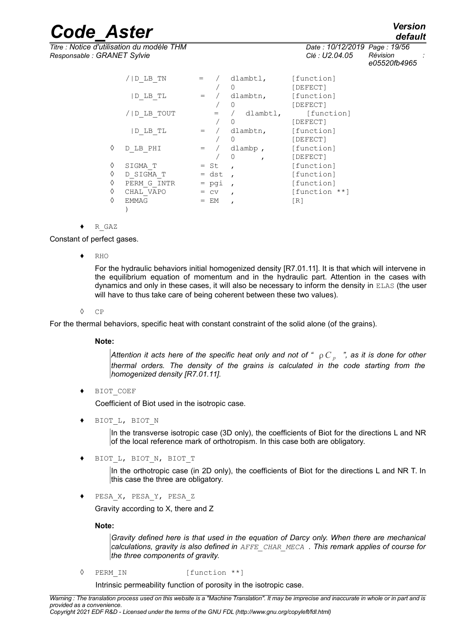*Titre : Notice d'utilisation du modèle THM Date : 10/12/2019 Page : 19/56 Responsable : GRANET Sylvie Clé : U2.04.05 Révision :*

*default e05520fb4965*

|   | D LB TN        |     |           |                  | $d$ lambtl, |             |     | [function]<br>[DEFECT] |
|---|----------------|-----|-----------|------------------|-------------|-------------|-----|------------------------|
|   | D LB TL        | $=$ |           |                  | dlambtn,    |             |     | [function]             |
|   |                |     |           | $\left( \right)$ |             |             |     | [DEFECT]               |
|   | $/$  D LB TOUT |     | $=$       |                  |             | $d$ lambtl, |     | [function]             |
|   |                |     |           |                  |             |             |     | [DEFECT]               |
|   | D LB TL        | $=$ |           |                  | dlambtn,    |             |     | [function]             |
|   |                |     |           | $\left( \right)$ |             |             |     | [DEFECT]               |
| ♦ | D LB PHI       |     |           |                  | dlambp,     |             |     | [function]             |
|   |                |     |           | $\Box$           |             |             |     | [DEFECT]               |
| ♦ | SIGMA T        |     | $=$ St    |                  |             |             |     | [function]             |
| ♦ | D SIGMA T      |     | = dst     |                  |             |             |     | [function]             |
| ♦ | PERM G INTR    |     | $=$ $pqi$ | $\mathbf{r}$     |             |             |     | [function]             |
| ♦ | CHAL VAPO      |     | $= cv$    | $\mathbf{r}$     |             |             |     | [function **]          |
| ♦ | <b>EMMAG</b>   |     | $=$ EM    |                  |             |             | [R] |                        |
|   |                |     |           |                  |             |             |     |                        |

R GAZ

Constant of perfect gases.

♦ RHO

For the hydraulic behaviors initial homogenized density [R7.01.11]. It is that which will intervene in the equilibrium equation of momentum and in the hydraulic part. Attention in the cases with dynamics and only in these cases, it will also be necessary to inform the density in ELAS (the user will have to thus take care of being coherent between these two values).

◊ CP

For the thermal behaviors, specific heat with constant constraint of the solid alone (of the grains).

#### **Note:**

Attention it acts here of the specific heat only and not of "  $\ _\rho\ C_{_{p}}\;$  ", as it is done for other *thermal orders. The density of the grains is calculated in the code starting from the homogenized density [R7.01.11].*

BIOT COEF

Coefficient of Biot used in the isotropic case.

BIOT L, BIOT N

In the transverse isotropic case (3D only), the coefficients of Biot for the directions L and NR of the local reference mark of orthotropism. In this case both are obligatory.

♦ BIOT\_L, BIOT\_N, BIOT\_T

In the orthotropic case (in 2D only), the coefficients of Biot for the directions L and NR T. In this case the three are obligatory.

PESA X, PESA Y, PESA Z

Gravity according to X, there and Z

**Note:**

*Gravity defined here is that used in the equation of Darcy only. When there are mechanical calculations, gravity is also defined in AFFE\_CHAR\_MECA . This remark applies of course for the three components of gravity.*

◊ PERM\_IN [function \*\*]

Intrinsic permeability function of porosity in the isotropic case.

*Warning : The translation process used on this website is a "Machine Translation". It may be imprecise and inaccurate in whole or in part and is provided as a convenience.*

*Copyright 2021 EDF R&D - Licensed under the terms of the GNU FDL (http://www.gnu.org/copyleft/fdl.html)*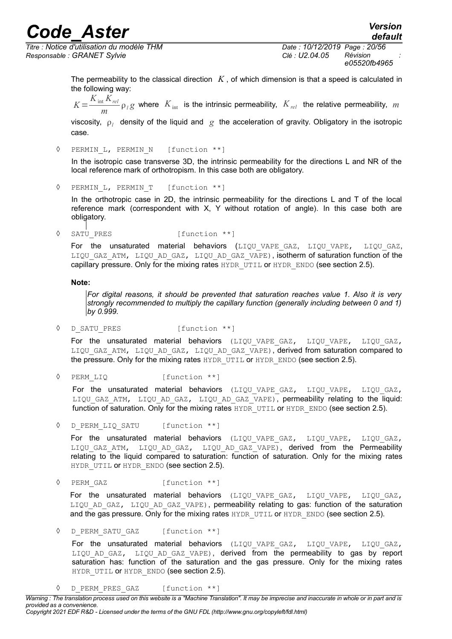*Titre : Notice d'utilisation du modèle THM Date : 10/12/2019 Page : 20/56 Responsable : GRANET Sylvie Clé : U2.04.05 Révision :*

*default*

The permeability to the classical direction  $K$ , of which dimension is that a speed is calculated in the following way:

$$
K = \frac{K_{int} K_{rel}}{m} \rho_l g
$$
 where  $K_{int}$  is the intrinsic permeability,  $K_{rel}$  the relative permeability, m

viscosity,  $\rho_l$  density of the liquid and  $|g|$  the acceleration of gravity. Obligatory in the isotropic case.

◊ PERMIN\_L, PERMIN\_N [function \*\*]

In the isotropic case transverse 3D, the intrinsic permeability for the directions L and NR of the local reference mark of orthotropism. In this case both are obligatory.

◊ PERMIN\_L, PERMIN\_T [function \*\*]

In the orthotropic case in 2D, the intrinsic permeability for the directions L and T of the local reference mark (correspondent with X, Y without rotation of angle). In this case both are obligatory.

◊ SATU\_PRES [function \*\*]

For the unsaturated material behaviors (LIQU\_VAPE\_GAZ, LIQU\_VAPE, LIQU\_GAZ, LIQU\_GAZ\_ATM, LIQU\_AD\_GAZ, LIQU\_AD\_GAZ\_VAPE), isotherm of saturation function of the capillary pressure. Only for the mixing rates HYDR UTIL or HYDR ENDO (see section [2.5\)](#page-32-2).

**Note:**

*For digital reasons, it should be prevented that saturation reaches value 1. Also it is very strongly recommended to multiply the capillary function (generally including between 0 and 1) by 0.999.*

◊ D\_SATU\_PRES [function \*\*]

For the unsaturated material behaviors (LIQU VAPE GAZ, LIQU VAPE, LIQU GAZ, LIQU\_GAZ\_ATM, LIQU\_AD\_GAZ, LIQU\_AD\_GAZ\_VAPE), derived from saturation compared to the pressure. Only for the mixing rates HYDR\_UTIL or HYDR\_ENDO (see section [2.5\)](#page-32-2).

◊ PERM\_LIQ [function \*\*]

For the unsaturated material behaviors (LIQU VAPE GAZ, LIQU VAPE, LIQU GAZ, LIQU GAZ ATM, LIQU AD GAZ, LIQU AD GAZ VAPE), permeability relating to the liquid: function of saturation. Only for the mixing rates HYDR\_UTIL or HYDR\_ENDO (see section [2.5\)](#page-32-2).

◊ D\_PERM\_LIQ\_SATU [function \*\*]

For the unsaturated material behaviors (LIQU VAPE GAZ, LIQU VAPE, LIQU GAZ, LIQU GAZ ATM, LIQU AD GAZ, LIQU AD GAZ VAPE), derived from the Permeability relating to the liquid compared to saturation: function of saturation. Only for the mixing rates HYDR UTIL OF HYDR ENDO (see section [2.5\)](#page-32-2).

◊ PERM\_GAZ [function \*\*]

For the unsaturated material behaviors (LIQU VAPE GAZ, LIQU VAPE, LIQU GAZ, LIQU AD GAZ, LIQU AD GAZ VAPE), permeability relating to gas: function of the saturation and the gas pressure. Only for the mixing rates HYDR, UTIL or HYDR, ENDO (see section [2.5\)](#page-32-2).

◊ D\_PERM\_SATU\_GAZ [function \*\*]

For the unsaturated material behaviors (LIQU VAPE GAZ, LIQU VAPE, LIQU GAZ, LIQU AD GAZ, LIQU AD GAZ VAPE), derived from the permeability to gas by report saturation has: function of the saturation and the gas pressure. Only for the mixing rates HYDR UTIL OT HYDR ENDO (see section [2.5\)](#page-32-2).

◊ D\_PERM\_PRES\_GAZ [function \*\*]

*Warning : The translation process used on this website is a "Machine Translation". It may be imprecise and inaccurate in whole or in part and is provided as a convenience. Copyright 2021 EDF R&D - Licensed under the terms of the GNU FDL (http://www.gnu.org/copyleft/fdl.html)*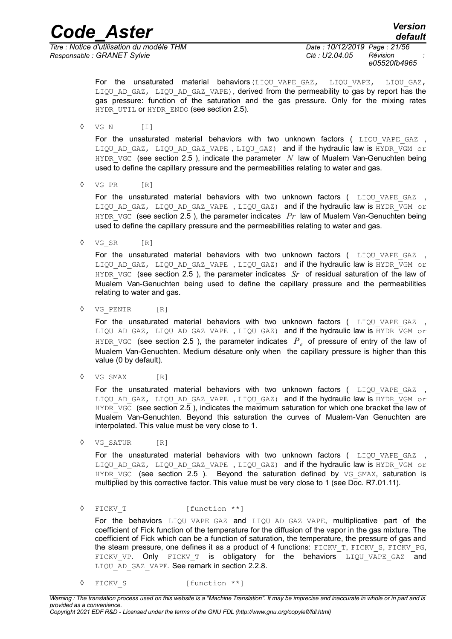*Titre : Notice d'utilisation du modèle THM Date : 10/12/2019 Page : 21/56 Responsable : GRANET Sylvie Clé : U2.04.05 Révision :*

*default e05520fb4965*

For the unsaturated material behaviors(LIQU\_VAPE\_GAZ, LIQU\_VAPE, LIQU\_GAZ, LIQU AD GAZ, LIQU AD GAZ VAPE), derived from the permeability to gas by report has the gas pressure: function of the saturation and the gas pressure. Only for the mixing rates HYDR UTIL OF HYDR ENDO (see section [2.5\)](#page-32-2).

◊ VG\_N [I]

For the unsaturated material behaviors with two unknown factors ( LIQU VAPE GAZ, LIQU AD GAZ, LIQU AD GAZ VAPE, LIQU GAZ) and if the hydraulic law is HYDR VGM or HYDR VGC (see section [2.5](#page-32-2) ), indicate the parameter  $N$  law of Mualem Van-Genuchten being used to define the capillary pressure and the permeabilities relating to water and gas.

◊ VG\_PR [R]

For the unsaturated material behaviors with two unknown factors ( $LIQUVAPEGAZ$ , LIQU AD GAZ, LIQU AD GAZ VAPE, LIQU GAZ) and if the hydraulic law is HYDR VGM or HYDR VGC (see section [2.5](#page-32-2) ), the parameter indicates  $Pr$  law of Mualem Van-Genuchten being used to define the capillary pressure and the permeabilities relating to water and gas.

◊ VG\_SR [R]

For the unsaturated material behaviors with two unknown factors ( LIQU VAPE GAZ LIQU AD GAZ, LIQU AD GAZ VAPE, LIQU GAZ) and if the hydraulic law is HYDR VGM or HYDR VGC (see section [2.5](#page-32-2) ), the parameter indicates *Sr* of residual saturation of the law of Mualem Van-Genuchten being used to define the capillary pressure and the permeabilities relating to water and gas.

◊ VG\_PENTR [R]

For the unsaturated material behaviors with two unknown factors ( $LIUV$ VAPE GAZ , LIQU AD GAZ, LIQU AD GAZ VAPE, LIQU GAZ) and if the hydraulic law is HYDR VGM or  $HYDR\_VGC$  (see section 2.5), the parameter indicates  $\overline{P}_e$  of pressure of entry of the law of Mualem Van-Genuchten. Medium désature only when the capillary pressure is higher than this value (0 by default).

◊ VG\_SMAX [R]

For the unsaturated material behaviors with two unknown factors ( $LIQUVAPEGAZ$ , LIQU AD GAZ, LIQU AD GAZ VAPE, LIQU GAZ) and if the hydraulic law is HYDR VGM or HYDR VGC (see section 2.5), indicates the maximum saturation for which one bracket the law of Mualem Van-Genuchten. Beyond this saturation the curves of Mualem-Van Genuchten are interpolated. This value must be very close to 1.

◊ VG\_SATUR [R]

For the unsaturated material behaviors with two unknown factors ( LIQU VAPE GAZ LIQU AD GAZ, LIQU AD GAZ VAPE, LIQU GAZ) and if the hydraulic law is HYDR VGM or  $HYDR^TVG\overline{C}$  (see section  $\overline{2.5}$  ). Beyond the saturation defined by  $VG$  SMAX, saturation is multiplied by this corrective factor. This value must be very close to 1 (see Doc. R7.01.11).

◊ FICKV\_T [function \*\*]

For the behaviors LIQU VAPE GAZ and LIQU AD GAZ VAPE, multiplicative part of the coefficient of Fick function of the temperature for the diffusion of the vapor in the gas mixture. The coefficient of Fick which can be a function of saturation, the temperature, the pressure of gas and the steam pressure, one defines it as a product of 4 functions:  $FICKV$ ,  $T$ ,  $FICKV$ ,  $S$ ,  $FICKV$ ,  $PG$ , FICKV\_VP. Only FICKV\_T is obligatory for the behaviors LIQU\_VAPE\_GAZ and LIQU AD GAZ VAPE. See remark in section [2.2.8.](#page-23-0)

◊ FICKV\_S [function \*\*]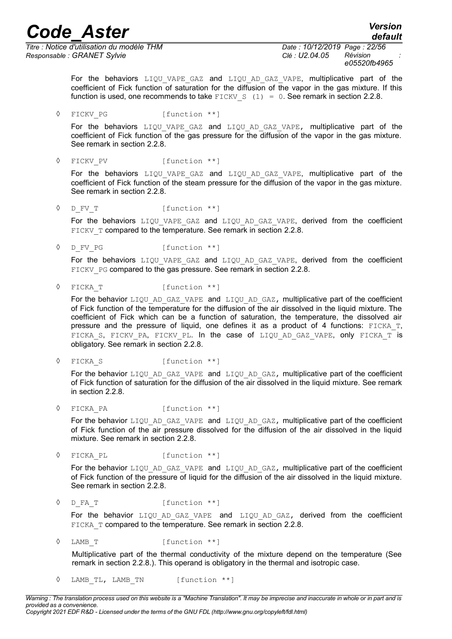*Titre : Notice d'utilisation du modèle THM Date : 10/12/2019 Page : 22/56 Responsable : GRANET Sylvie Clé : U2.04.05 Révision :*

*e05520fb4965*

*default*

For the behaviors LIQU VAPE GAZ and LIQU AD GAZ VAPE, multiplicative part of the coefficient of Fick function of saturation for the diffusion of the vapor in the gas mixture. If this function is used, one recommends to take  $FIGIFY - S = 0$ . See remark in section [2.2.8.](#page-23-0)

◊ FICKV\_PG [function \*\*]

For the behaviors LIQU VAPE GAZ and LIQU AD GAZ VAPE, multiplicative part of the coefficient of Fick function of the gas pressure for the diffusion of the vapor in the gas mixture. See remark in section [2.2.8.](#page-23-0)

◊ FICKV\_PV [function \*\*]

For the behaviors LIQU VAPE GAZ and LIQU AD GAZ VAPE, multiplicative part of the coefficient of Fick function of the steam pressure for the diffusion of the vapor in the gas mixture. See remark in section [2.2.8.](#page-23-0)

◊ D\_FV\_T [function \*\*]

For the behaviors LIQU VAPE GAZ and LIQU AD GAZ VAPE, derived from the coefficient FICKV T compared to the temperature. See remark in section [2.2.8.](#page-23-0)

◊ D\_FV\_PG [function \*\*]

For the behaviors LIQU VAPE GAZ and LIQU AD GAZ VAPE, derived from the coefficient FICKV PG compared to the gas pressure. See remark in section [2.2.8.](#page-23-0)

◊ FICKA\_T [function \*\*]

For the behavior LIQU AD GAZ VAPE and LIQU AD GAZ, multiplicative part of the coefficient of Fick function of the temperature for the diffusion of the air dissolved in the liquid mixture. The coefficient of Fick which can be a function of saturation, the temperature, the dissolved air pressure and the pressure of liquid, one defines it as a product of 4 functions: FICKA\_T, FICKA S, FICKV PA, FICKV PL. In the case of LIQU AD GAZ VAPE, only FICKA T is obligatory. See remark in section [2.2.8.](#page-23-0)

◊ FICKA\_S [function \*\*]

For the behavior LIQU\_AD\_GAZ\_VAPE and LIQU\_AD\_GAZ, multiplicative part of the coefficient of Fick function of saturation for the diffusion of the air dissolved in the liquid mixture. See remark in section [2.2.8.](#page-23-0)

◊ FICKA\_PA [function \*\*]

For the behavior LIQU AD GAZ VAPE and LIQU AD GAZ, multiplicative part of the coefficient of Fick function of the air pressure dissolved for the diffusion of the air dissolved in the liquid mixture. See remark in section [2.2.8.](#page-23-0)

◊ FICKA\_PL [function \*\*]

For the behavior LIQU AD GAZ VAPE and LIQU AD GAZ, multiplicative part of the coefficient of Fick function of the pressure of liquid for the diffusion of the air dissolved in the liquid mixture. See remark in section [2.2.8.](#page-23-0)

◊ D\_FA\_T [function \*\*]

For the behavior LIQU AD GAZ VAPE and LIQU AD GAZ, derived from the coefficient FICKA T compared to the temperature. See remark in section [2.2.8.](#page-23-0)

◊ LAMB\_T [function \*\*]

Multiplicative part of the thermal conductivity of the mixture depend on the temperature (See remark in section [2.2.8.](#page-23-0)). This operand is obligatory in the thermal and isotropic case.

◊ LAMB\_TL, LAMB\_TN [function \*\*]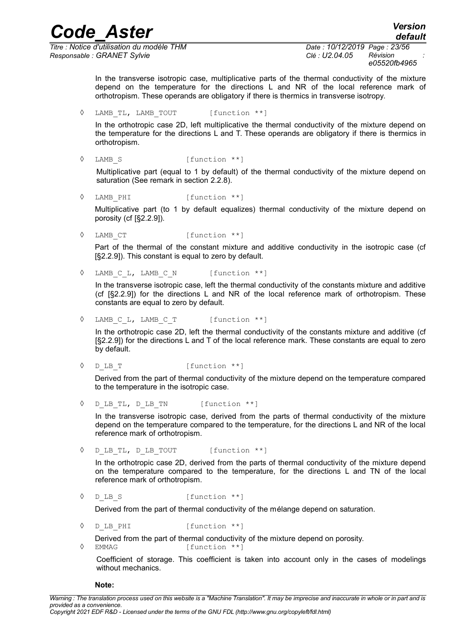*Titre : Notice d'utilisation du modèle THM Date : 10/12/2019 Page : 23/56 Responsable : GRANET Sylvie Clé : U2.04.05 Révision :*

*e05520fb4965*

*default*

In the transverse isotropic case, multiplicative parts of the thermal conductivity of the mixture depend on the temperature for the directions L and NR of the local reference mark of orthotropism. These operands are obligatory if there is thermics in transverse isotropy.

*Code\_Aster Version*

◊ LAMB\_TL, LAMB\_TOUT [function \*\*]

In the orthotropic case 2D, left multiplicative the thermal conductivity of the mixture depend on the temperature for the directions L and T. These operands are obligatory if there is thermics in orthotropism.

◊ LAMB\_S [function \*\*]

Multiplicative part (equal to 1 by default) of the thermal conductivity of the mixture depend on saturation (See remark in section [2.2.8\)](#page-23-0).

◊ LAMB\_PHI [function \*\*]

Multiplicative part (to 1 by default equalizes) thermal conductivity of the mixture depend on porosity (cf [§2.2.9]).

◊ LAMB\_CT [function \*\*]

Part of the thermal of the constant mixture and additive conductivity in the isotropic case (cf [§2.2.9]). This constant is equal to zero by default.

◊ LAMB\_C\_L, LAMB\_C\_N [function \*\*]

In the transverse isotropic case, left the thermal conductivity of the constants mixture and additive (cf [§2.2.9]) for the directions L and NR of the local reference mark of orthotropism. These constants are equal to zero by default.

◊ LAMB\_C\_L, LAMB\_C\_T [function \*\*]

In the orthotropic case 2D, left the thermal conductivity of the constants mixture and additive (cf [§2.2.9]) for the directions L and T of the local reference mark. These constants are equal to zero by default.

◊ D\_LB\_T [function \*\*]

Derived from the part of thermal conductivity of the mixture depend on the temperature compared to the temperature in the isotropic case.

◊ D\_LB\_TL, D\_LB\_TN [function \*\*]

In the transverse isotropic case, derived from the parts of thermal conductivity of the mixture depend on the temperature compared to the temperature, for the directions L and NR of the local reference mark of orthotropism.

◊ D\_LB\_TL, D\_LB\_TOUT [function \*\*]

In the orthotropic case 2D, derived from the parts of thermal conductivity of the mixture depend on the temperature compared to the temperature, for the directions L and TN of the local reference mark of orthotropism.

◊ D\_LB\_S [function \*\*]

Derived from the part of thermal conductivity of the mélange depend on saturation.

◊ D\_LB\_PHI [function \*\*]

Derived from the part of thermal conductivity of the mixture depend on porosity.

◊ EMMAG [function \*\*]

Coefficient of storage. This coefficient is taken into account only in the cases of modelings without mechanics.

**Note:**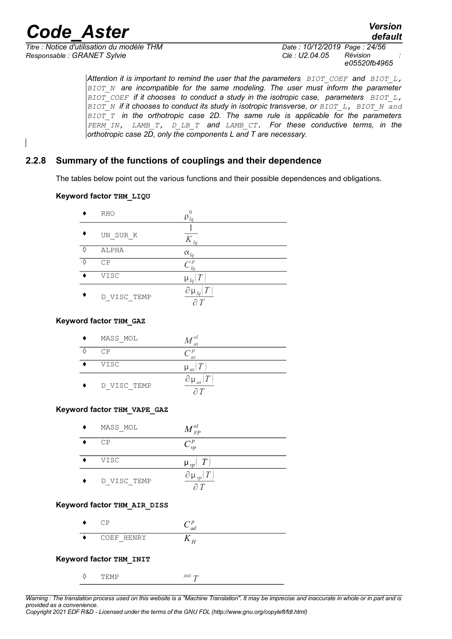*Titre : Notice d'utilisation du modèle THM Date : 10/12/2019 Page : 24/56 Responsable : GRANET Sylvie Clé : U2.04.05 Révision :*

*e05520fb4965*

*default*

*Attention it is important to remind the user that the parameters BIOT\_COEF and BIOT\_L, BIOT\_N are incompatible for the same modeling. The user must inform the parameter BIOT\_COEF if it chooses to conduct a study in the isotropic case, parameters BIOT\_L, BIOT\_N if it chooses to conduct its study in isotropic transverse, or BIOT\_L, BIOT\_N and BIOT\_T in the orthotropic case 2D. The same rule is applicable for the parameters PERM\_IN, LAMB\_T, D\_LB\_T and LAMB\_CT. For these conductive terms, in the orthotropic case 2D, only the components L and T are necessary.*

#### **2.2.8 Summary of the functions of couplings and their dependence**

<span id="page-23-0"></span>The tables below point out the various functions and their possible dependences and obligations.

#### **Keyword factor THM\_LIQU**

|   | <b>RHO</b>  | $\mu_{lq}$                                  |
|---|-------------|---------------------------------------------|
|   | UN SUR K    | la                                          |
| ♦ | ALPHA       | $\alpha_{lq}$                               |
| ♦ | CP          |                                             |
|   | VISC        | $\mu_{lq}$                                  |
|   | D VISC TEMP | $\partial \mu_{\underline{l}\underline{q}}$ |

#### **Keyword factor THM\_GAZ**

| MASS MOL    | $\overline{I}$<br>as        |
|-------------|-----------------------------|
| СP          | a <sub>S</sub>              |
| VISC        | $\vert\mathbf{l}_{as}\vert$ |
| D VISC TEMP |                             |

#### **Keyword factor THM\_VAPE\_GAZ**

| MASS MOL    | $M_{\mathit{VP}}^{\mathit{ol}}$ |
|-------------|---------------------------------|
| CP          | $\sim$ $vp$                     |
| VISC        | $\mu_{vp}$                      |
| D VISC TEMP | $\tau$<br>vn                    |

#### **Keyword factor THM\_AIR\_DISS**

| ( '()H'H')<br>H H'NI H V<br>. . |  |
|---------------------------------|--|

#### **Keyword factor THM\_INIT**

|  |  | <b>Free</b><br>,,,,<br>.<br>. |  |
|--|--|-------------------------------|--|
|--|--|-------------------------------|--|

*Warning : The translation process used on this website is a "Machine Translation". It may be imprecise and inaccurate in whole or in part and is provided as a convenience.*

*Copyright 2021 EDF R&D - Licensed under the terms of the GNU FDL (http://www.gnu.org/copyleft/fdl.html)*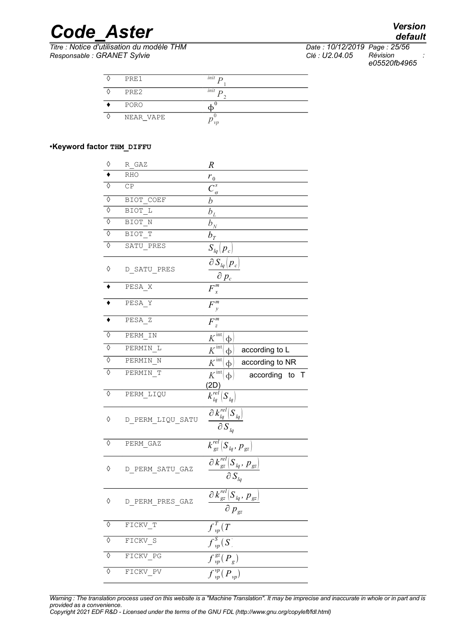*Titre : Notice d'utilisation du modèle THM Date : 10/12/2019 Page : 25/56*  $Responsible : GRANET$  *Sylvie* 

*default e05520fb4965*

| PRE1      | $init$ $\mathbf{D}$  |
|-----------|----------------------|
| PRE2      | init<br>$\mathbf{r}$ |
| PORO      |                      |
| NEAR VAPE | vp                   |

#### <span id="page-24-0"></span>•**Keyword factor THM\_DIFFU**

| $\Diamond$            | R GAZ                  | $\boldsymbol{R}$                                                                                                                                                       |
|-----------------------|------------------------|------------------------------------------------------------------------------------------------------------------------------------------------------------------------|
|                       | RHO                    | $r_{0}$                                                                                                                                                                |
| $\overline{\diamond}$ | $\mathbb{C}\mathbb{P}$ | $C^s_{\sigma}$                                                                                                                                                         |
| $\overline{\diamond}$ | BIOT COEF              | $\boldsymbol{b}$                                                                                                                                                       |
| $\overline{\diamond}$ | BIOT L                 | $\overline{b_L}$                                                                                                                                                       |
| $\overline{\diamond}$ | BIOT N                 | $b_N$                                                                                                                                                                  |
| $\overline{\lozenge}$ | BIOT T                 | $b_T$                                                                                                                                                                  |
| $\overline{\lozenge}$ | SATU_PRES              | $S_{\mathfrak{l}q}\bigl[\mathfrak{p}_{\mathfrak{c}}\bigr]$                                                                                                             |
| ♦                     | D SATU_PRES            | $\partial S_{lq} p_c $<br>$\partial p_c$                                                                                                                               |
|                       | PESA X                 | $\overline{F_x^m}$                                                                                                                                                     |
|                       | PESA Y                 | $\overline{F_y^m}$                                                                                                                                                     |
|                       | PESA Z                 | $F_z^m$                                                                                                                                                                |
| $\overline{\diamond}$ | PERM IN                | $K^{\text{int}}$<br>$\phi$                                                                                                                                             |
| $\overline{\diamond}$ | PERMIN L               | $K^{\overline{\mathrm{int}}}$<br>according to L<br>$\phi$                                                                                                              |
| $\overline{\lozenge}$ | PERMIN N               | $K^{\overrightarrow{\text{int}}}$<br>according to NR<br>$\phi$                                                                                                         |
| $\overline{\lozenge}$ | PERMIN T               | $\overline{K}^{\text{int}}(\Phi)$<br>according to T<br>(2D)                                                                                                            |
| $\overline{\diamond}$ | PERM LIQU              | $\overline{k^{\tiny rel}_{\scriptscriptstyle lq}(S_{\scriptscriptstyle lq})}$                                                                                          |
| ♦                     | D PERM LIQU SATU       | $\partial k_{lq}^{rel} (S_{lq})$<br>$\overline{\partial S}_{lq}$                                                                                                       |
| $\overline{\diamond}$ | PERM GAZ               | $\overline{k_{\rm\,}^{\rm\scriptscriptstyle rel}(S_{\rm\scriptscriptstyle lq},p_{\rm\scriptscriptstyle gz})}$                                                          |
| ♦                     | D PERM_SATU_GAZ        | $\partial k_{\scriptscriptstyle\cal g z}^{\scriptscriptstyle rel}   S_{\scriptscriptstyle lq},\, p_{\scriptscriptstyle\cal g z}  $<br>$\partial S_{lq}$                |
| $\Diamond$            | D PERM PRES GAZ        | $\partial\, k_{\rm\scriptscriptstyle g z}^{\rm\scriptscriptstyle rel} \big  S_{\rm\scriptscriptstyle lq}, \, p_{\rm\scriptscriptstyle g z} \big $<br>$\partial p_{gz}$ |
| $\Diamond$            | FICKV T                |                                                                                                                                                                        |
| $\overline{\diamond}$ | FICKV S                |                                                                                                                                                                        |
| $\overline{\diamond}$ |                        |                                                                                                                                                                        |
|                       | FICKV PG               | $\frac{{\int}_{\nu p}^T (T)}{{\int}_{\nu p}^{\mathcal{S}}(S)}\ \frac{{\int}_{\nu p}^{\mathcal{S}\mathcal{Z}}(P_g)}{{\int}_{\nu p}^{\mathcal{S}\mathcal{Z}}(P_g)}$      |

*Warning : The translation process used on this website is a "Machine Translation". It may be imprecise and inaccurate in whole or in part and is provided as a convenience.*

*Copyright 2021 EDF R&D - Licensed under the terms of the GNU FDL (http://www.gnu.org/copyleft/fdl.html)*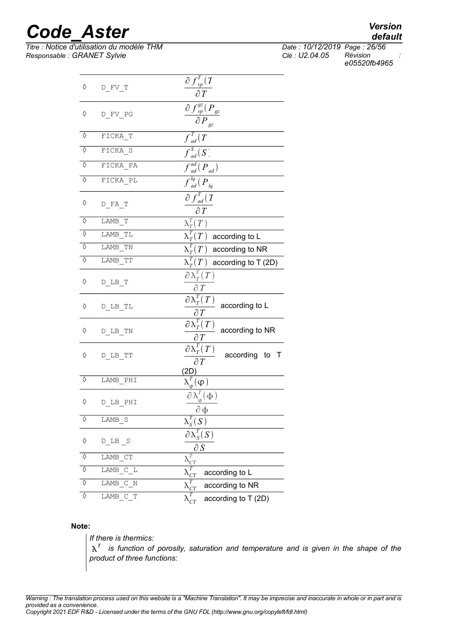*Titre : Notice d'utilisation du modèle THM Date : 10/12/2019 Page : 26/56*  $Responsible : GRANET$  *Sylvie* 

| Date : 10/12/2019 Page : 26/56 |              |  |
|--------------------------------|--------------|--|
| Clé : U2.04.05                 | Révision     |  |
|                                | e05520fb4965 |  |

| ♦                     | $D_FV_T$                           | $\frac{\partial f_{vp}^T(T)}{\partial T}$                                                                      |
|-----------------------|------------------------------------|----------------------------------------------------------------------------------------------------------------|
| ♦                     | D FV PG                            | $\overline{\partial} f^{g_{\mathrm{Z}}}_{vp}(P_{g_{\mathrm{Z}}})$<br>$\left.\partial\, P_{\mathit{gz}}\right.$ |
| ♦                     | FICKA T                            |                                                                                                                |
| $\Diamond$            | FICKA S                            | $\frac{f\frac{T}{ad}(T)}{f\frac{S}{ad}(S)}$                                                                    |
| $\overline{\diamond}$ | FICKA PA                           | $f^{ad}_{ad}(P_{ad})$                                                                                          |
| ♦                     | FICKA_PL                           | $f_{\mathit{ad}}^{\mathit{lq}}(P_{\mathit{lq}}% {\mathit{rq}})$                                                |
| ♦                     | $D$ <sub><math>F</math>A</sub> $T$ | $\partial f_{ad}^T(T)$<br>$\partial T$                                                                         |
| $\overline{\diamond}$ | LAMB T                             | $\frac{\lambda_T^T(T)}{\lambda_T^T(T)}$                                                                        |
| $\overline{\lozenge}$ | LAMB TL                            | according to L                                                                                                 |
| $\overline{\diamond}$ | LAMB TN                            | $\overline{\lambda^T_T(T)}$<br>according to NR                                                                 |
| $\overline{\diamond}$ | LAMB TT                            | $\lambda_T^T(T)$ according to T (2D)                                                                           |
| $\Diamond$            | D LB T                             | $\partial \lambda_T^T(T)$<br>$\partial T$                                                                      |
| ♦                     | $D$ <sup>LB</sup> <sup>TL</sup>    | $\overline{\partial \lambda^T_T(T)}$<br>according to L<br>$\partial T$                                         |
| ♦                     | $D$ <sub>LB</sub> $_TN$            | $\partial \lambda_T^T(T)$<br>according to NR<br>$\partial T$                                                   |
| ♦                     | $D$ <sup>LB</sup> <sup>TT</sup>    | $\overline{\partial \lambda^T_T(T)}$<br>according to T<br>$\overline{\partial T}$                              |
| ♦                     | LAMB_PHI                           | <u>(2D)</u><br>$\frac{1}{\lambda_{\phi}^{T}(\phi)}$                                                            |
| ♦                     | D LB PHI                           | $\partial \lambda_{\varphi}^{T}(\varphi)$<br>$\partial \varphi$                                                |
| ♦                     | LAMB S                             | $\overline{\lambda^T_S(S)}$                                                                                    |
| ♦                     | $D$ <sub>_</sub> LB _S             | $\overline{\partial\lambda_S^T(S)}$<br>$\partial S$                                                            |
| ♦                     | LAMB CT                            | $\overline{T}$<br>λ<br>CT                                                                                      |
| ♦                     | LAMB C L                           | $\overline{T}$<br>according to L<br>$\lambda_{CT}$                                                             |
| $\Diamond$            | LAMB C N                           | $\overline{T}$<br>according to NR<br>$\lambda_{\underline{C}T}$                                                |
| ♦                     | LAMB C T                           | T<br>according to T (2D)<br>$\lambda_{CT}^-$                                                                   |

#### **Note:**

*If there is thermics:*

 $\lambda^T$  is function of porosity, saturation and temperature and is given in the shape of the *product of three functions:*

*Warning : The translation process used on this website is a "Machine Translation". It may be imprecise and inaccurate in whole or in part and is provided as a convenience. Copyright 2021 EDF R&D - Licensed under the terms of the GNU FDL (http://www.gnu.org/copyleft/fdl.html)*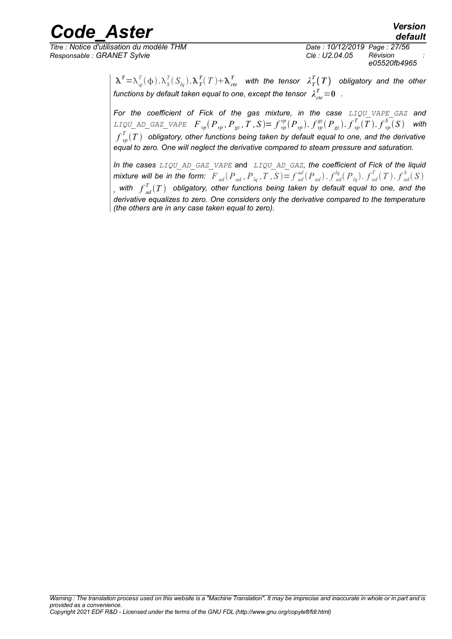*Titre : Notice d'utilisation du modèle THM Date : 10/12/2019 Page : 27/56 Responsable : GRANET Sylvie Clé : U2.04.05 Révision :*

*e05520fb4965*

 $\lambda^T = \lambda_{\phi}^T$  $T^T_\phi(\Phi)$  .  $\lambda^T_S(S_{lq})$  .  $\lambda^T_T(T)+\lambda^T_{cte}$  with the tensor  $\lambda^T_T(T)$  obligatory and the other  $f$ unctions by default taken equal to one, except the tensor  $\;\lambda_{\mathit{cte}}^T \!=\! \mathbf{0}\;$  .

*For the coefficient of Fick of the gas mixture, in the case LIQU\_VAPE\_GAZ and* LIQU\_AD\_GAZ\_VAPE  $F_{vp}(P_{vp},P_{gz},T,S)=f^{\nu p}_{vp}(P_{vp})$  .  $f^{\varepsilon z}_{vp}(P_{gz})$  .  $f^T_{vp}$  $_{\nu p}^{T}(T)$  .  ${f}^S_{\nu p}$  $\int_{vn}^{S}(S)$  with *f vp*  $T\overline{T}_{vn}(T)$  obligatory, other functions being taken by default equal to one, and the derivative *equal to zero. One will neglect the derivative compared to steam pressure and saturation.* 

*In the cases LIQU\_AD\_GAZ\_VAPE* and *LIQU\_AD\_GAZ, the coefficient of Fick of the liquid* mixture will be in the form:  $\;F_{\;ad}(P_{\;ad}$  ,  $P_{\;lg}$  ,  $T$  ,  $S$   $)$   $=$   $f^{ad}_{\;ad}(P_{\;ad})$  .  $f^{lq}_{\;ad}(P_{\;lg})$  .  $f^{T}_{\;ad}$  $_{ad}^{T}(T)$  .  ${f}^S_{ad}$  $\int_{ad}^{S}(S)$ , with  $f^{\, T}_{\, ad}$  $T\over T_{ad}(T)$  obligatory, other functions being taken by default equal to one, and the *derivative equalizes to zero. One considers only the derivative compared to the temperature (the others are in any case taken equal to zero).*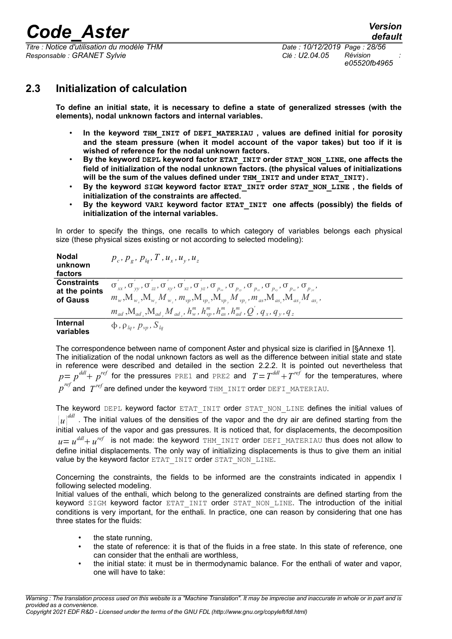*Titre : Notice d'utilisation du modèle THM Date : 10/12/2019 Page : 28/56 Responsable : GRANET Sylvie Clé : U2.04.05 Révision :*

*e05520fb4965*

### **2.3 Initialization of calculation**

<span id="page-27-0"></span>**To define an initial state, it is necessary to define a state of generalized stresses (with the elements), nodal unknown factors and internal variables.**

- **In the keyword THM\_INIT of DEFI\_MATERIAU , values are defined initial for porosity and the steam pressure (when it model account of the vapor takes) but too if it is wished of reference for the nodal unknown factors.**
- **By the keyword DEPL keyword factor ETAT\_INIT order STAT\_NON\_LINE, one affects the field of initialization of the nodal unknown factors. (the physical values of initializations will be the sum of the values defined under THM\_INIT and under ETAT\_INIT).**
- By the keyword SIGM keyword factor **ETAT** INIT order STAT NON LINE, the fields of **initialization of the constraints are affected.**
- **By the keyword VARI keyword factor ETAT\_INIT one affects (possibly) the fields of initialization of the internal variables.**

In order to specify the things, one recalls to which category of variables belongs each physical size (these physical sizes existing or not according to selected modeling):

| <b>Nodal</b><br>unknown                         | $p_c$ , $p_g$ , $p_{lq}$ , $T$ , $u_x$ , $u_y$ , $u_z$                                                                                                                                                  |
|-------------------------------------------------|---------------------------------------------------------------------------------------------------------------------------------------------------------------------------------------------------------|
| factors                                         |                                                                                                                                                                                                         |
| <b>Constraints</b><br>at the points<br>of Gauss | $\sigma_{_{xx}}, \sigma_{_{yy}}, \sigma_{_{zz}}, \sigma_{_{xy}}, \sigma_{_{xz}}, \sigma_{_{yz}}, \sigma_{_{p_x}}, \sigma_{_{p_w}}, \sigma_{_{p_z}}, \sigma_{_{p_y}}, \sigma_{_{p_z}}, \sigma_{_{p_z}},$ |
|                                                 | $m_{ad}$ , $M_{ad}$ , $M_{ad}$ , $M_{ad}$ , $h_w^m$ , $h_w^m$ , $h_{\text{v},b}^m$ , $h_{\text{ad}}^m$ , $Q'$ , $q_x$ , $q_y$ , $q_z$                                                                   |
| <b>Internal</b><br>variables                    | $\Phi$ , $\rho_{lq}$ , $p_{vp}$ , $S_{lq}$                                                                                                                                                              |

The correspondence between name of component Aster and physical size is clarified in [§Annexe 1]. The initialization of the nodal unknown factors as well as the difference between initial state and state in reference were described and detailed in the section [2.2.2.](#page-11-0) It is pointed out nevertheless that  $p = p^{ddl} + p^{ref}$  for the pressures PRE1 and PRE2 and  $T = T^{ddl} + T^{ref}$  for the temperatures, where  $p^{\mathit{ref}}$  and  $\mathit{T}^{\mathit{ref}}$  are defined under the keyword  $\texttt{THM\_INIT}$  order <code>DEFI\_MATERIAU.</code>

The keyword DEPL keyword factor ETAT\_INIT order STAT\_NON\_LINE defines the initial values of  ${[u]}^{ddl}$  . The initial values of the densities of the vapor and the dry air are defined starting from the initial values of the vapor and gas pressures. It is noticed that, for displacements, the decomposition  $u\!=u^{ddl}\!+u^{ref}$  is not made: the keyword  $\text{\tiny{THM\_INIT}}$  order <code>DEFI\_MATERIAU</code> thus does not allow to define initial displacements. The only way of initializing displacements is thus to give them an initial value by the keyword factor ETAT\_INIT order STAT\_NON\_LINE.

Concerning the constraints, the fields to be informed are the constraints indicated in appendix I following selected modeling.

Initial values of the enthali, which belong to the generalized constraints are defined starting from the keyword SIGM keyword factor ETAT\_INIT order STAT\_NON\_LINE. The introduction of the initial conditions is very important, for the enthali. In practice, one can reason by considering that one has three states for the fluids:

- the state running,
- the state of reference: it is that of the fluids in a free state. In this state of reference, one can consider that the enthali are worthless,
- the initial state: it must be in thermodynamic balance. For the enthali of water and vapor, one will have to take: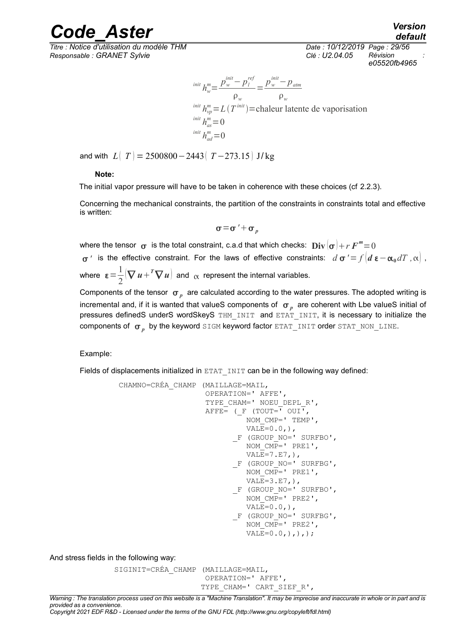*Titre : Notice d'utilisation du modèle THM Date : 10/12/2019 Page : 29/56 Responsable : GRANET Sylvie Clé : U2.04.05 Révision :*

*default e05520fb4965*

$$
\begin{aligned}\n\lim_{m} h_{w}^{m} &= \frac{p_{w}^{init} - p_{l}^{ref}}{p_{w}} = \frac{p_{w}^{init} - p_{atm}}{p_{w}} \\
\lim_{m} h_{vp}^{m} &= L \left( T^{\text{init}} \right) = \text{chaleur latente de vaporisation} \\
\lim_{m} h_{as}^{m} &= 0 \\
\lim_{m} h_{ad}^{m} &= 0\n\end{aligned}
$$

and with  $L[T] = 2500800 - 2443[T - 273.15]$  J/kg

#### **Note:**

The initial vapor pressure will have to be taken in coherence with these choices (cf [2.2.3\)](#page-13-0).

Concerning the mechanical constraints, the partition of the constraints in constraints total and effective is written:

$$
\sigma\!=\!\sigma^{\,\prime}\!+\!\sigma_{_{p}}
$$

where the tensor  $\,\boldsymbol{\sigma}\,$  is the total constraint, c.a.d that which checks:  $\,\mathbf{Div}\big(\boldsymbol{\sigma}\big) {+} \,r\,F^{\prime\prime\prime\prime} {=} 0$ *σ* ' is the effective constraint. For the laws of effective constraints:  $d$  σ '=  $f$   $|$  $d$  ε −  $\alpha$ <sub>0</sub> $d$ T ,  $\alpha$  $|$  , where  $\varepsilon = \frac{1}{2}$ 2  $(\nabla \, \pmb{u} + {}^T \nabla \, \pmb{u})$  and  $\,\,{}_{\mathfrak{C}}\,$  represent the internal variables.

Components of the tensor  $\sigma_{p}^{\text{}}$  are calculated according to the water pressures. The adopted writing is incremental and, if it is wanted that valueS components of  $\sigma_{_{p}}$  are coherent with Lbe valueS initial of pressures definedS underS wordSkeyS THM\_INIT and ETAT\_INIT, it is necessary to initialize the  $\mathsf{components\ of\ }\ \sigma_{_{p}}$  by the keyword <code>SIGM</code> keyword factor <code>ETAT\_INIT</code> order <code>STAT\_NON\_LINE.</code>

#### Example:

Fields of displacements initialized in ETAT INIT can be in the following way defined:

```
 CHAMNO=CRÉA_CHAMP (MAILLAGE=MAIL,
                      OPERATION=' AFFE', 
                     TYPE CHAM=' NOEU DEPL R',
                     AFFE= (F (TOUT=" OUT", NOM_CMP=' TEMP',
                              VALE = 0.0, ),
                            F (GROUP NO=' SURFBO',
                              NOM CMP=' PRE1',
                              VALE=7.E7, ),F (GROUP NO=' SURFBG',
                              NOM CMP=' PRE1',
                              VALE=3.E7,),
                            _F (GROUP_NO=' SURFBO',
                              NOM CMP=' PRE2',
                              VAL\bar{E}=0.0, ),F (GROUP NO=' SURFBG',
                              NOM \overline{CMP}=' PRE2',
                              VALE = 0.0, ( ), ),
```
And stress fields in the following way:

SIGINIT=CRÉA\_CHAMP (MAILLAGE=MAIL, OPERATION=' AFFE', TYPE\_CHAM=' CART\_SIEF\_R',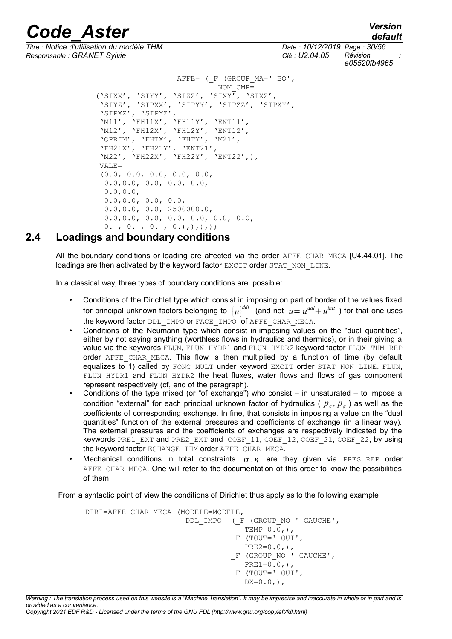*default*

*Titre : Notice d'utilisation du modèle THM Date : 10/12/2019 Page : 30/56 Responsable : GRANET Sylvie Clé : U2.04.05 Révision :*

*e05520fb4965*

```
AFFE= (F (GROUP MA=' BO',
                             NOM_CMP=
  ('SIXX', 'SIYY', 'SIZZ', 'SIXY', 'SIXZ',
   'SIYZ', 'SIPXX', 'SIPYY', 'SIPZZ', 'SIPXY',
   'SIPXZ', 'SIPYZ',
 'M11', 'FH11X', 'FH11Y', 'ENT11',
 'M12', 'FH12X', 'FH12Y', 'ENT12',
 'QPRIM', 'FHTX', 'FHTY', 'M21',
 'FH21X', 'FH21Y', 'ENT21',
   'M22', 'FH22X', 'FH22Y', 'ENT22',),
 VAT.E= (0.0, 0.0, 0.0, 0.0, 0.0,
   0.0,0.0, 0.0, 0.0, 0.0,
  0.0, 0.0, 0.0,0.0, 0.0, 0.0,
   0.0,0.0, 0.0, 2500000.0,
   0.0,0.0, 0.0, 0.0, 0.0, 0.0, 0.0,
  0. , 0. , 0. , 0.),),),);
```
### **2.4 Loadings and boundary conditions**

<span id="page-29-0"></span>All the boundary conditions or loading are affected via the order  $A$ FFE\_CHAR\_MECA [U4.44.01]. The loadings are then activated by the keyword factor EXCIT order STAT\_NON\_LINE.

In a classical way, three types of boundary conditions are possible:

- Conditions of the Dirichlet type which consist in imposing on part of border of the values fixed for principal unknown factors belonging to  $\left| u\right| ^{ddl}~$  (and not  $\left| u\right| =u^{ddl}+u^{init}$  ) for that one uses the keyword factor DDL IMPO or FACE\_IMPO of AFFE\_CHAR\_MECA.
- Conditions of the Neumann type which consist in imposing values on the "dual quantities", either by not saying anything (worthless flows in hydraulics and thermics), or in their giving a value via the keywords FLUN, FLUN\_HYDR1 and FLUN\_HYDR2 keyword factor FLUX\_THM\_REP order AFFE CHAR MECA. This flow is then multiplied by a function of time (by default equalizes to 1) called by FONC MULT under keyword EXCIT order STAT NON LINE. FLUN, FLUN HYDR1 and FLUN HYDR2 the heat fluxes, water flows and flows of gas component represent respectively (cf, end of the paragraph).
- Conditions of the type mixed (or "of exchange") who consist in unsaturated to impose a condition "external" for each principal unknown factor of hydraulics (  $p_c$  ,  $p_g$  ) as well as the coefficients of corresponding exchange. In fine, that consists in imposing a value on the "dual quantities" function of the external pressures and coefficients of exchange (in a linear way). The external pressures and the coefficients of exchanges are respectively indicated by the keywords PRE1\_EXT and PRE2\_EXT and COEF\_11, COEF\_12, COEF\_21, COEF\_22, by using the keyword factor ECHANGE\_THM order AFFE\_CHAR\_MECA.
- Mechanical conditions in total constraints  $\sigma$  *n* are they given via PRES\_REP order AFFE\_CHAR\_MECA. One will refer to the documentation of this order to know the possibilities of them.

From a syntactic point of view the conditions of Dirichlet thus apply as to the following example

```
DIRI=AFFE_CHAR_MECA (MODELE=MODELE,
                       DDL_IMPO= (_F (GROUP NO=' GAUCHE',
                                    TEMP=0.0,),
                                   _F (TOUT=' OUI',
                                    PRE2=0.0,),
                                  F (GROUP NO=' GAUCHE',
                                   PRE1=0.0,),
                                   _F (TOUT=' OUI',
                                    DX=0.0,),
```
*Warning : The translation process used on this website is a "Machine Translation". It may be imprecise and inaccurate in whole or in part and is provided as a convenience. Copyright 2021 EDF R&D - Licensed under the terms of the GNU FDL (http://www.gnu.org/copyleft/fdl.html)*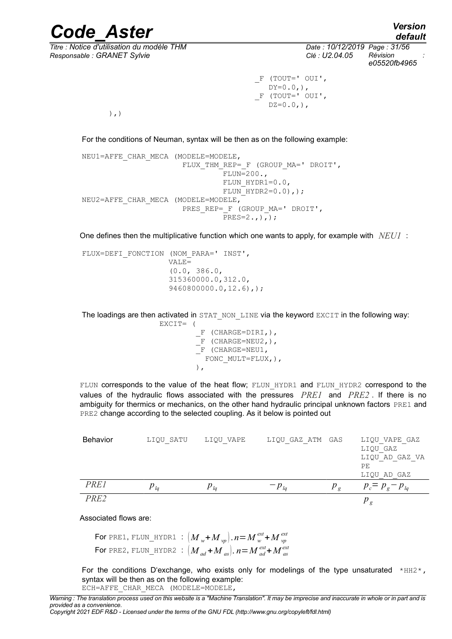*Titre : Notice d'utilisation du modèle THM Date : 10/12/2019 Page : 31/56 Responsable : GRANET Sylvie Clé : U2.04.05 Révision :*

*default e05520fb4965*

 \_F (TOUT=' OUI',  $DY=0.0, )$ , \_F (TOUT=' OUI',  $DZ=0.0,)$ ,

),)

For the conditions of Neuman, syntax will be then as on the following example:

```
NEU1=AFFE_CHAR_MECA (MODELE=MODELE,
                        FLUX THM REP= F (GROUP MA=' DROIT',
                                  FLUN=200.,
                                 FLUN HYDR1=0.0,
                                 FLUNHYDR2=0.0), ;
NEU2=AFFE_CHAR_MECA (MODELE=MODELE,
                        PRES_REP=_F (GROUP_MA=' DROIT',
                                 PRES=2., \overline{)};
```
One defines then the multiplicative function which one wants to apply, for example with *NEU1* :

*Code\_Aster Version*

FLUX=DEFI\_FONCTION (NOM\_PARA=' INST', VALE= (0.0, 386.0, 315360000.0,312.0, 9460800000.0,12.6),);

The loadings are then activated in STAT\_NON\_LINE via the keyword EXCIT in the following way: EXCIT= ( F (CHARGE=DIRI, ),

 $-F$  (CHARGE=NEU2, ),  $\overline{F}$  (CHARGE=NEU1, FONC MULT=FLUX, ),  $\left( \begin{array}{c} 0 \\ 0 \end{array} \right)$ ,

FLUN corresponds to the value of the heat flow; FLUN HYDR1 and FLUN HYDR2 correspond to the values of the hydraulic flows associated with the pressures *PRE1* and *PRE2* . If there is no ambiguity for thermics or mechanics, on the other hand hydraulic principal unknown factors PRE1 and PRE2 change according to the selected coupling. As it below is pointed out

| <b>Behavior</b> | LIQU SATU | LIQU VAPE | LIQU GAZ ATM GAS |               | LIQU VAPE GAZ<br>LIQU GAZ<br>LIQU AD GAZ VA<br>PЕ |
|-----------------|-----------|-----------|------------------|---------------|---------------------------------------------------|
|                 |           |           |                  |               | LIQU AD GAZ                                       |
| <b>PRE1</b>     | $p_{lq}$  | $p_{lq}$  | $-p_{lq}$        | $p_{\varphi}$ | $p_c = p_g - p_{lq}$                              |
| PRE2            |           |           |                  |               | $P_{g}$                                           |

Associated flows are:

```
\mathsf{For\ PRE1,\ FLUN\_HYDR1}\ :\ \big( {M\mathstrut}_{\scriptscriptstyle{\cal W}}+{M\mathstrut}_{\scriptscriptstyle{\cal Vp}}\big) . n\!=\!{M\mathstrut}_{\scriptscriptstyle{\cal W}}^{\scriptscriptstyle\mathsf{ext}}+{M\mathstrut}_{\scriptscriptstyle{\cal Vp}}^{\scriptscriptstyle\mathsf{ext}}\mathsf{For~PRE2,~FLUN\_HYDR2~}: \big( M_{\mathit{ad}} + M_{\mathit{as}} \big) . \, n \mathord{=} M_{\mathit{ad}}^{\mathit{ext}} \mathord{+} M_{\mathit{as}}^{\mathit{ext}}
```
For the conditions D'exchange, who exists only for modelings of the type unsaturated \*HH2\***,** syntax will be then as on the following example: ECH=AFFE\_CHAR\_MECA (MODELE=MODELE,

*Warning : The translation process used on this website is a "Machine Translation". It may be imprecise and inaccurate in whole or in part and is provided as a convenience.*

*Copyright 2021 EDF R&D - Licensed under the terms of the GNU FDL (http://www.gnu.org/copyleft/fdl.html)*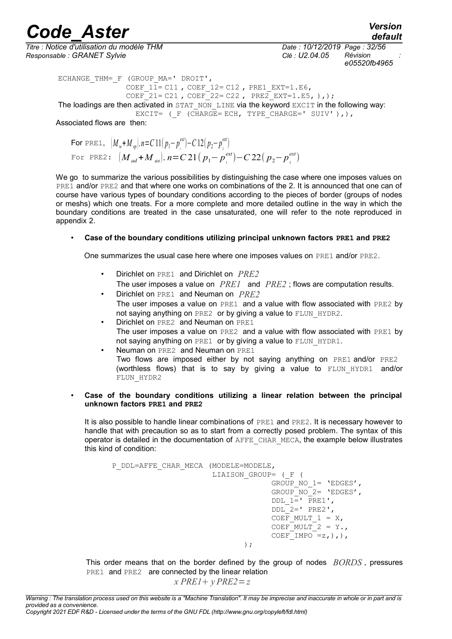*default*

*Titre : Notice d'utilisation du modèle THM Date : 10/12/2019 Page : 32/56 Responsable : GRANET Sylvie Clé : U2.04.05 Révision :*

*e05520fb4965*

ECHANGE\_THM=\_F (GROUP\_MA=' DROIT', COEF  $1\overline{1}=$  C11, COEF 12= C12, PRE1 EXT=1.E6, COEF 21= C21, COEF 22= C22, PRE2 EXT=1.E5, ), ); The loadings are then activated in STAT\_NON\_LINE via the keyword EXCIT in the following way: EXCIT= (  $F$  (CHARGE= ECH, TYPE CHARGE=' SUIV' ), ), Associated flows are then:

 $\mathbf{F}$ or PRE1,  $\left| M_w + M_{vp} \right| n = C \left( 11 \left( p_1 - p_1^{ext} \right) - C \left( 12 \left( p_2 - p_2^{ext} \right) \right) \right|$ For PRE2:  $(M_{ad} + M_{as})$ .  $n = C 21(p_1 - p_1^{ext}) - C 22(p_2 - p_2^{ext})$ 

We go to summarize the various possibilities by distinguishing the case where one imposes values on PRE1 and/or PRE2 and that where one works on combinations of the 2. It is announced that one can of course have various types of boundary conditions according to the pieces of border (groups of nodes or meshs) which one treats. For a more complete and more detailed outline in the way in which the boundary conditions are treated in the case unsaturated, one will refer to the note reproduced in appendix 2.

#### • **Case of the boundary conditions utilizing principal unknown factors PRE1 and PRE2**

One summarizes the usual case here where one imposes values on PRE1 and/or PRE2.

- Dirichlet on PRE1 and Dirichlet on *PRE2* The user imposes a value on *PRE1* and *PRE2* ; flows are computation results.
- Dirichlet on PRE1 and Neuman on *PRE2* The user imposes a value on  $PRE1$  and a value with flow associated with  $PRE2$  by not saying anything on PRE2 or by giving a value to FLUN HYDR2.
- Dirichlet on PRE2 and Neuman on PRE1 The user imposes a value on PRE2 and a value with flow associated with PRE1 by not saying anything on PRE1 or by giving a value to FLUN HYDR1.
- Neuman on PRE2 and Neuman on PRE1 Two flows are imposed either by not saying anything on PRE1 and/or PRE2 (worthless flows) that is to say by giving a value to FLUN HYDR1 and/or FLUN\_HYDR2

#### • **Case of the boundary conditions utilizing a linear relation between the principal unknown factors PRE1 and PRE2**

It is also possible to handle linear combinations of PRE1 and PRE2. It is necessary however to handle that with precaution so as to start from a correctly posed problem. The syntax of this operator is detailed in the documentation of AFFE\_CHAR\_MECA, the example below illustrates this kind of condition:

```
P_DDL=AFFE_CHAR_MECA (MODELE=MODELE,
                      LIAISON_GROUP= (_F (
                                 GROUP NO 1= 'EDGES',
                                 GROUP NO 2= 'EDGES',
                                 DDL 1=' PRE1',
                                 DDL<sup>2='</sup> PRE2',
                                 COEF MULT 1 = X,
                                 CDEFMULT2 = Y.
                                 CDEF IMPO = z,),\frac{1}{2}
```
This order means that on the border defined by the group of nodes *BORDS* , pressures PRE1 and PRE2 are connected by the linear relation

$$
x \, PRE1 + y \, PRE2 = z
$$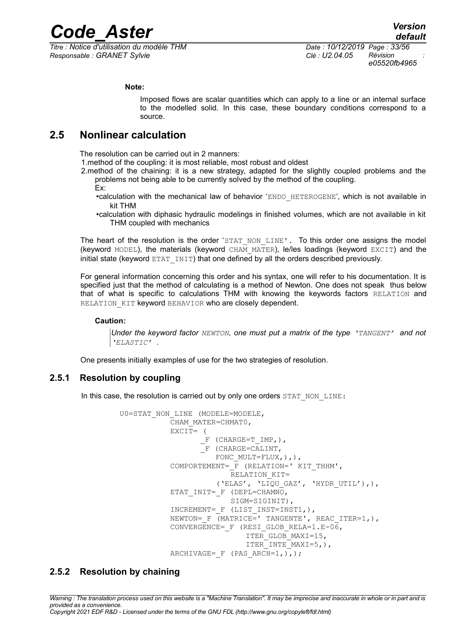*Responsable : GRANET Sylvie Clé : U2.04.05 Révision :*

*Titre : Notice d'utilisation du modèle THM Date : 10/12/2019 Page : 33/56 e05520fb4965*

#### **Note:**

Imposed flows are scalar quantities which can apply to a line or an internal surface to the modelled solid. In this case, these boundary conditions correspond to a source.

#### **2.5 Nonlinear calculation**

<span id="page-32-2"></span>The resolution can be carried out in 2 manners:

1.method of the coupling: it is most reliable, most robust and oldest

- 2.method of the chaining: it is a new strategy, adapted for the slightly coupled problems and the problems not being able to be currently solved by the method of the coupling.
	- Ex:
	- •calculation with the mechanical law of behavior 'ENDO\_HETEROGENE', which is not available in kit THM
	- •calculation with diphasic hydraulic modelings in finished volumes, which are not available in kit THM coupled with mechanics

The heart of the resolution is the order 'STAT\_NON\_LINE'. To this order one assigns the model (keyword MODEL), the materials (keyword CHAM\_MATER), le/les loadings (keyword EXCIT) and the initial state (keyword ETAT INIT) that one defined by all the orders described previously.

For general information concerning this order and his syntax, one will refer to his documentation. It is specified just that the method of calculating is a method of Newton. One does not speak thus below that of what is specific to calculations THM with knowing the keywords factors RELATION and RELATION KIT keyword BEHAVIOR who are closely dependent.

#### **Caution:**

*Under the keyword factor NEWTON, one must put a matrix of the type 'TANGENT' and not 'ELASTIC' .*

<span id="page-32-1"></span>One presents initially examples of use for the two strategies of resolution.

#### **2.5.1 Resolution by coupling**

In this case, the resolution is carried out by only one orders STAT\_NON\_LINE:

```
U0=STAT_NON_LINE (MODELE=MODELE,
            CHAM_MATER=CHMAT0,
            EXCI\bar{T}= (
                   F (CHARGE=T IMP, ),
                  -F (CHARGE=CALINT,
                      FONC MULT=FLUX, ),,
            COMPORTEMENT= \overline{F} (RELATION=' KIT_THHM',
                          RELATION_KIT=
                      ('ELAS', 'LIQU_GAZ', 'HYDR_UTIL'),),
            ETAT_INIT= F (DEPL=CHAMNO,
                          SIGM=SIGINIT),
            INCREMENT=_F (LIST_INST=INST1,),
           NEWTON= F (MATRICE=' TANGENTE', REAC ITER=1,),
           CONVERGENCE= F (RESI GLOB RELA=1.E-06,
                             ITER_GLOB_MAXI=15,
                             ITER INTE MAXI=5,),
           ARCHIVAGE= F (PAS ARCH=1,),);
```
#### <span id="page-32-0"></span>**2.5.2 Resolution by chaining**

*Warning : The translation process used on this website is a "Machine Translation". It may be imprecise and inaccurate in whole or in part and is provided as a convenience. Copyright 2021 EDF R&D - Licensed under the terms of the GNU FDL (http://www.gnu.org/copyleft/fdl.html)*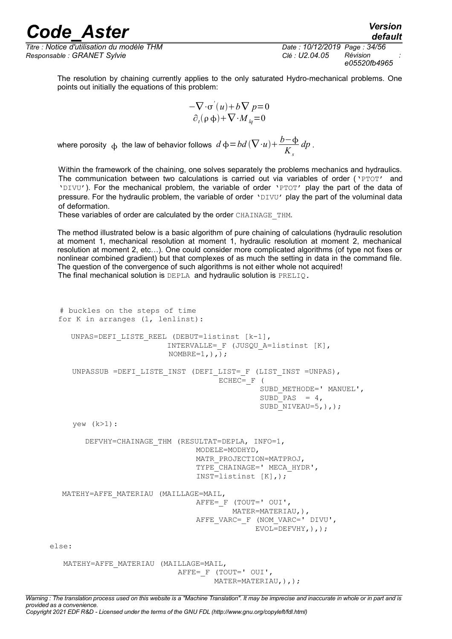*Titre : Notice d'utilisation du modèle THM Date : 10/12/2019 Page : 34/56 Responsable : GRANET Sylvie Clé : U2.04.05 Révision :*

*e05520fb4965*

*default*

The resolution by chaining currently applies to the only saturated Hydro-mechanical problems. One points out initially the equations of this problem:

$$
-\nabla \cdot \sigma'(u) + b\nabla p = 0
$$
  

$$
\partial_t(\rho \phi) + \nabla \cdot M_{lq} = 0
$$

where porosity  $\phi$  the law of behavior follows  $d\,\phi\!=\!bd\,(\nabla\!\cdot\!u)\!+\!\displaystyle\frac{b\!-\!\phi}{\nu}$ *Ks dp* .

Within the framework of the chaining, one solves separately the problems mechanics and hydraulics. The communication between two calculations is carried out via variables of order ('PTOT' and 'DIVU'). For the mechanical problem, the variable of order 'PTOT' play the part of the data of pressure. For the hydraulic problem, the variable of order 'DIVU' play the part of the voluminal data of deformation.

These variables of order are calculated by the order CHAINAGE THM.

The method illustrated below is a basic algorithm of pure chaining of calculations (hydraulic resolution at moment 1, mechanical resolution at moment 1, hydraulic resolution at moment 2, mechanical resolution at moment 2, etc…). One could consider more complicated algorithms (of type not fixes or nonlinear combined gradient) but that complexes of as much the setting in data in the command file. The question of the convergence of such algorithms is not either whole not acquired! The final mechanical solution is DEPLA and hydraulic solution is PRELIQ.

```
# buckles on the steps of time
 for K in arranges (1, lenlinst):
    UNPAS=DEFI LISTE REEL (DEBUT=listinst [k-1],
                            INTERVALLE=_F (JUSQU_A=listinst [K],
                           NOMBRE=1, \overline{)};
     UNPASSUB =DEFI_LISTE_INST (DEFI_LIST= F (LIST_INST =UNPAS),
                                       ECHEC=F (
                                                SUBD_METHODE=' MANUEL',
                                                SUBD PAS = 4,
                                                SUBD_NIVEAU=5,),);
     yew (k>1):
        DEFVHY=CHAINAGE THM (RESULTAT=DEPLA, INFO=1,
                                  MODELE=MODHYD,
                                 MATR_PROJECTION=MATPROJ,
                                  TYPE_CHAINAGE=' MECA_HYDR',
                                  INST=listinst [K],);
  MATEHY=AFFE_MATERIAU (MAILLAGE=MAIL,
                                 AFFE= F (TOUT=' OUI',
                                         MATER=MATERIAU,),
                                  AFFE_VARC=_F (NOM_VARC=' DIVU',
                                               EVOL=DEFVHY, \ldots);
else:
  MATEHY=AFFE_MATERIAU (MAILLAGE=MAIL,
                             AFFE= F (TOUT=' OUI',
                                      MATER=MATERIAU,),);
```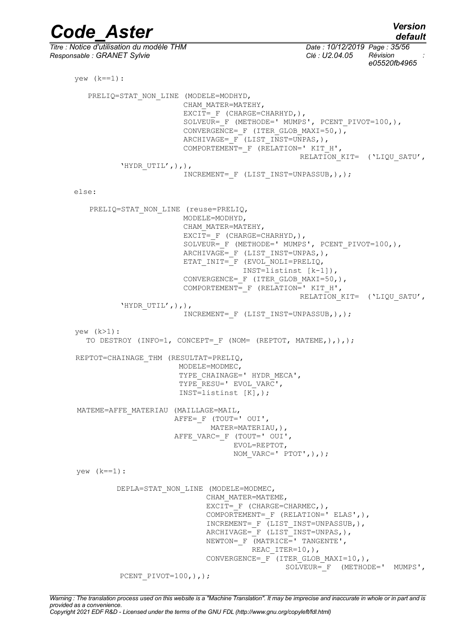*Code\_Aster Version default Titre : Notice d'utilisation du modèle THM Date : 10/12/2019 Page : 35/56 Responsable : GRANET Sylvie Clé : U2.04.05 Révision : e05520fb4965* yew (k==1): PRELIQ=STAT\_NON\_LINE (MODELE=MODHYD, CHAM\_MATER=MATEHY,  $EXCI$ <sup>T</sup>= F (CHARGE=CHARHYD,), SOLVEUR= F (METHODE=' MUMPS', PCENT PIVOT=100,), CONVERGENCE= F (ITER GLOB MAXI=50,), ARCHIVAGE=  $F^{-}$ (LIST INST=UNPAS,), COMPORTEMENT=  $F$  (RELATION=' KIT H', RELATION KIT= ('LIQU SATU', 'HYDR UTIL',  $),$ INCREMENT= F (LIST INST=UNPASSUB, ), ) ; else: PRELIQ=STAT\_NON\_LINE (reuse=PRELIQ, MODELE=MODHYD, CHAM\_MATER=MATEHY, EXCIT= F (CHARGE=CHARHYD,), SOLVEUR=  $F$  (METHODE=' MUMPS', PCENT PIVOT=100,),  $\overline{ARCHIVAGE}$  F (LIST INST=UNPAS,), ETAT\_INIT=\_F (EVOL\_NOLI=PRELIQ,  $INST=\overline{l}$ istinst  $[k-1]$ ), CONVERGENCE= F (ITER GLOB MAXI=50,), COMPORTEMENT=  $F$  (RELATION=' KIT H', RELATION KIT= ('LIQU SATU', 'HYDR UTIL', $),$ INCREMENT= F (LIST INST=UNPASSUB,),); yew (k>1): TO DESTROY (INFO=1, CONCEPT=  $F$  (NOM= (REPTOT, MATEME,),),); REPTOT=CHAINAGE THM (RESULTAT=PRELIQ, MODELE=MODMEC, TYPE CHAINAGE=' HYDR MECA', TYPE\_RESU=' EVOL VARC',  $INST=listinst$   $[K]$ , ); MATEME=AFFE\_MATERIAU (MAILLAGE=MAIL, AFFE= F (TOUT=' OUI', MATER=MATERIAU,), AFFE\_VARC=\_F (TOUT=' OUI', EVOL=REPTOT, NOM\_VARC=' PTOT',),);  $vew (k==1):$ DEPLA=STAT\_NON\_LINE (MODELE=MODMEC, CHAM\_MATER=MATEME, EXCIT=  $F$  (CHARGE=CHARMEC,), COMPORTEMENT= F (RELATION=' ELAS',), INCREMENT=\_F (LIST\_INST=UNPASSUB,), ARCHIVAGE=\_F (LIST\_INST=UNPAS,), NEWTON= F (MATRICE=' TANGENTE', REAC\_ITER=10, ), CONVERGENCE=  $\overline{F}$  (ITER GLOB MAXI=10,), SOLVEUR= F (METHODE=' MUMPS', PCENT\_PIVOT=100,),);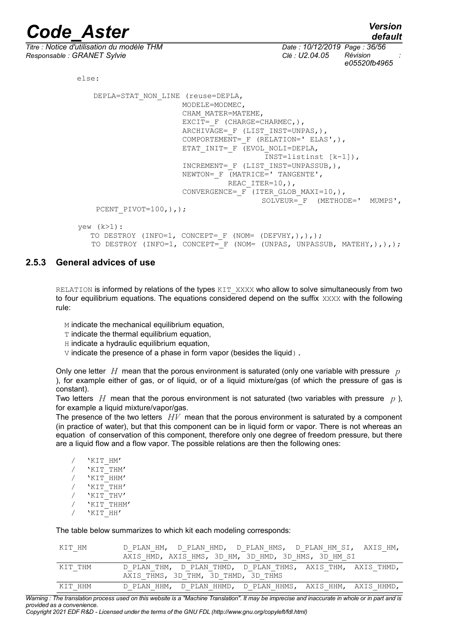*Titre : Notice d'utilisation du modèle THM Date : 10/12/2019 Page : 36/56 Responsable : GRANET Sylvie Clé : U2.04.05 Révision :*

```
default
e05520fb4965
```

```
else:
```

```
DEPLA=STAT_NON_LINE (reuse=DEPLA,
                     MODELE=MODMEC,
                      CHAM_MATER=MATEME,
                     EXCIT= F (CHARGE=CHARMEC,),
                     ARCHIVAGE= F (LIST INST=UNPAS,),
                     COMPORTEMENT= F (RELATION=' ELAS',),
                     ETAT_INIT= \overline{F} (EVOL NOLI=DEPLA,
                                         INST=listinst [k-1]),
                      INCREMENT=_F (LIST_INST=UNPASSUB,),
                     NEWTON= F (MATRICE=' TANGENTE',
                               REAC_ITER=10, ),
                     CONVERGENCE= F^{-} (ITER GLOB MAXI=10,),
                                       SOLVEUR= F (METHODE=' MUMPS',
PCENT PIVOT=100,),);
```
yew (k>1):

```
TO DESTROY (INFO=1, CONCEPT= F (NOM= (DEFVHY,),),);
TO DESTROY (INFO=1, CONCEPT= F (NOM= (UNPAS, UNPASSUB, MATEHY,),),);
```
#### **2.5.3 General advices of use**

<span id="page-35-0"></span>RELATION is informed by relations of the types KIT\_XXXX who allow to solve simultaneously from two to four equilibrium equations. The equations considered depend on the suffix XXXX with the following rule:

M indicate the mechanical equilibrium equation,

- $T$  indicate the thermal equilibrium equation,
- H indicate a hydraulic equilibrium equation,
- $V$  indicate the presence of a phase in form vapor (besides the liquid).

Only one letter *H* mean that the porous environment is saturated (only one variable with pressure *p* ), for example either of gas, or of liquid, or of a liquid mixture/gas (of which the pressure of gas is constant).

Two letters *H* mean that the porous environment is not saturated (two variables with pressure *p* ), for example a liquid mixture/vapor/gas.

The presence of the two letters *HV* mean that the porous environment is saturated by a component (in practice of water), but that this component can be in liquid form or vapor. There is not whereas an equation of conservation of this component, therefore only one degree of freedom pressure, but there are a liquid flow and a flow vapor. The possible relations are then the following ones:

| 'KIT HM'  |       |
|-----------|-------|
| 'KIT      | THM'  |
| 'KIT HHM' |       |
| 'KIT THH' |       |
| 'KIT      | THV'  |
| 'KIT      | THHM' |
| 'KIT HH'  |       |

The table below summarizes to which kit each modeling corresponds:

| KIT HM  | D PLAN HM, D PLAN HMD, D PLAN HMS, D PLAN HM SI, AXIS HM,<br>AXIS HMD, AXIS HMS, 3D HM, 3D HMD, 3D HMS, 3D HM SI |
|---------|------------------------------------------------------------------------------------------------------------------|
| KIT THM | D PLAN THM, D PLAN THMD, D PLAN THMS, AXIS THM, AXIS THMD,<br>AXIS THMS, 3D THM, 3D THMD, 3D THMS                |
| KIT HHM | D PLAN HHM, D PLAN HHMD, D PLAN HHMS, AXIS HHM, AXIS HHMD,                                                       |

*Warning : The translation process used on this website is a "Machine Translation". It may be imprecise and inaccurate in whole or in part and is provided as a convenience.*

*Copyright 2021 EDF R&D - Licensed under the terms of the GNU FDL (http://www.gnu.org/copyleft/fdl.html)*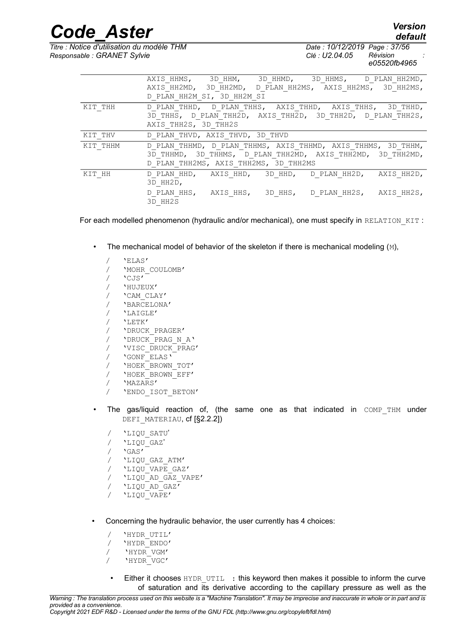*Titre : Notice d'utilisation du modèle THM Date : 10/12/2019 Page : 37/56 Responsable : GRANET Sylvie Clé : U2.04.05 Révision :*

*e05520fb4965*

|          |                                       |  | AXIS HHMS, 3D HHM, 3D HHMD, 3D HHMS, D PLAN HH2MD,           |
|----------|---------------------------------------|--|--------------------------------------------------------------|
|          |                                       |  | AXIS HH2MD, 3D HH2MD, D PLAN HH2MS, AXIS HH2MS, 3D HH2MS,    |
|          | D PLAN HH2M SI, 3D HH2M SI            |  |                                                              |
| KIT THH  |                                       |  | D PLAN THHD, D PLAN THHS, AXIS THHD, AXIS THHS, 3D THHD,     |
|          |                                       |  | 3D THHS, D PLAN THH2D, AXIS THH2D, 3D THH2D, D PLAN THH2S,   |
|          | AXIS THH2S, 3D THH2S                  |  |                                                              |
| KIT THV  | D PLAN THVD, AXIS THVD, 3D THVD       |  |                                                              |
| KIT THHM |                                       |  | D PLAN THHMD, D PLAN THHMS, AXIS THHMD, AXIS THHMS, 3D THHM, |
|          |                                       |  | 3D THHMD, 3D THHMS, D PLAN THH2MD, AXIS THH2MD, 3D THH2MD,   |
|          | D PLAN THH2MS, AXIS THH2MS, 3D THH2MS |  |                                                              |
| KIT HH   |                                       |  | D PLAN HHD, AXIS HHD, 3D HHD, D PLAN HH2D, AXIS HH2D,        |
|          | 3D HH2D,                              |  |                                                              |
|          |                                       |  | D PLAN HHS, AXIS HHS, 3D HHS, D PLAN HH2S, AXIS HH2S,        |
|          | 3D HH2S                               |  |                                                              |

For each modelled phenomenon (hydraulic and/or mechanical), one must specify in RELATION KIT :

- The mechanical model of behavior of the skeleton if there is mechanical modeling  $(M)$ ,
	- / 'ELAS'
	- / 'MOHR\_COULOMB'
	- / 'CJS'
	- / 'HUJEUX'
	- / 'CAM\_CLAY'
	- / 'BARCELONA'
	- / 'LAIGLE'
	- / 'LETK'
	- / 'DRUCK\_PRAGER'
	-
	- / **'**DRUCK\_PRAG\_N\_A**'**<br>/ **'**VISC\_DRUCK\_PRAG / 'VISC\_DRUCK\_PRAG'
	- / 'GONF\_ELAS'
	- / 'HOEK\_BROWN\_TOT'
	- / 'HOEK\_BROWN\_EFF'
	- / 'MAZARS'
	- / 'ENDO\_ISOT\_BETON'
- The gas/liquid reaction of, (the same one as that indicated in COMP THM under DEFI MATERIAU, cf [§2.2.2])
	- / 'LIQU\_SATU'
	- / 'LIQU\_GAZ'
	- / 'GAS'
	- / 'LIQU\_GAZ\_ATM'
	- / 'LIQU\_VAPE\_GAZ'
	- / 'LIQU\_AD\_GAZ\_VAPE'
	- / 'LIQU\_AD\_GAZ'
	- / 'LIQU\_VAPE'
- Concerning the hydraulic behavior, the user currently has 4 choices:
	- / 'HYDR\_UTIL'
	- / 'HYDR\_ENDO'
	- / 'HYDR\_VGM'
	- / 'HYDR\_VGC'
	- Either it chooses  $HYDR$  UTIL : this keyword then makes it possible to inform the curve of saturation and its derivative according to the capillary pressure as well as the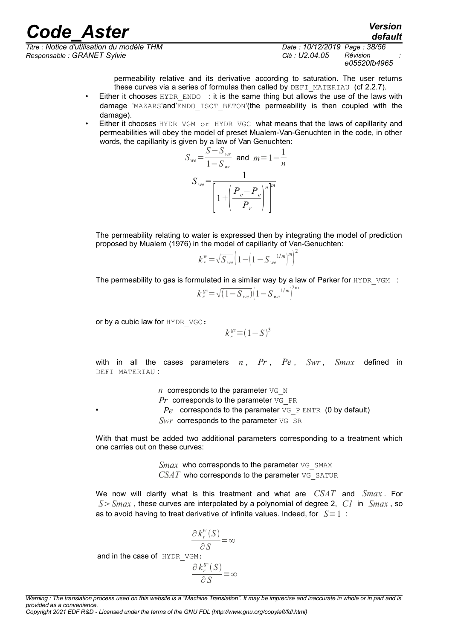*Titre : Notice d'utilisation du modèle THM Date : 10/12/2019 Page : 38/56 Responsable : GRANET Sylvie Clé : U2.04.05 Révision :*

*e05520fb4965*

*default*

permeability relative and its derivative according to saturation. The user returns these curves via a series of formulas then called by DEFI\_MATERIAU (cf [2.2.7\)](#page-16-0).

- Either it chooses  $HYPR$  ENDO : it is the same thing but allows the use of the laws with damage 'MAZARS'and'ENDO\_ISOT\_BETON'(the permeability is then coupled with the damage).
- Either it chooses HYDR\_VGM or HYDR\_VGC what means that the laws of capillarity and permeabilities will obey the model of preset Mualem-Van-Genuchten in the code, in other words, the capillarity is given by a law of Van Genuchten:

$$
S_{we} = \frac{S - S_{wr}}{1 - S_{wr}} \text{ and } m = 1 - \frac{1}{n}
$$

$$
S_{we} = \frac{1}{\left[1 + \left(\frac{P_c - P_e}{P_r}\right)^n\right]^m}
$$

The permeability relating to water is expressed then by integrating the model of prediction proposed by Mualem (1976) in the model of capillarity of Van-Genuchten:

$$
{k_{\,r}^{\,w}} \!=\!\! \sqrt{S_{\,we}} \Bigl(1 \!-\! \bigl(1-S_{\,we}^{\, -1/m} \bigr)^{\!m} \Bigr)^{\!2}
$$

The permeability to gas is formulated in a similar way by a law of Parker for  $HYPR$  VGM :

$$
k_{\it r}^{\it g z}\!=\!\sqrt{\left(1\!-\!S_{{\it we}}\right)}\!\!\left(1\!-\!S_{{\it we}}^{-1/m}\!\right)^{\!2m}
$$

or by a cubic law for HYDR VGC:

$$
k_r^{gz} = (1 - S)^3
$$

with in all the cases parameters  $n$ ,  $Pr$ ,  $Pe$ ,  $Swr$ ,  $Smax$  defined in DEFI\_MATERIAU :

 $n$  corresponds to the parameter  $VG$  N

 $Pr$  corresponds to the parameter  $VG$  PR

 $Pe$  corresponds to the parameter VG P ENTR (0 by default)

*Swr* corresponds to the parameter VG SR

With that must be added two additional parameters corresponding to a treatment which one carries out on these curves:

> *Smax* who corresponds to the parameter VG SMAX CSAT who corresponds to the parameter VG SATUR

We now will clarify what is this treatment and what are *CSAT* and *Smax* . For *SSmax* , these curves are interpolated by a polynomial of degree 2, *C1* in *Smax* , so as to avoid having to treat derivative of infinite values. Indeed, for  $S=1$ :

$$
\frac{\partial k_r^{\text{w}}(S)}{\partial S} = \infty
$$
\nand in the case of HYDR\_VGM:\n
$$
\frac{\partial k_r^{\text{gg}}(S)}{\partial S} = \infty
$$

*Warning : The translation process used on this website is a "Machine Translation". It may be imprecise and inaccurate in whole or in part and is provided as a convenience.*

*Copyright 2021 EDF R&D - Licensed under the terms of the GNU FDL (http://www.gnu.org/copyleft/fdl.html)*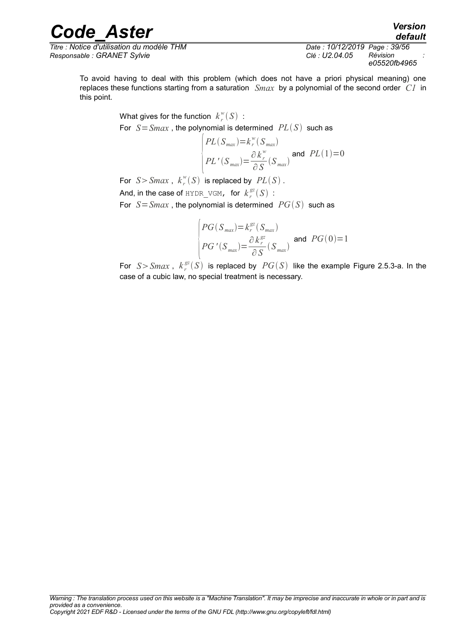*Titre : Notice d'utilisation du modèle THM Date : 10/12/2019 Page : 39/56 Responsable : GRANET Sylvie Clé : U2.04.05 Révision :*

*e05520fb4965*

*default*

To avoid having to deal with this problem (which does not have a priori physical meaning) one replaces these functions starting from a saturation *Smax* by a polynomial of the second order *C1* in this point.

What gives for the function  $k_r^w(S)$  :

For  $S = Smax$ , the polynomial is determined  $PL(S)$  such as

$$
\begin{cases}\nPL(S_{max})=k_r^w(S_{max}) \\
PL'(S_{max})=\frac{\partial k_r^w}{\partial S}(S_{max})\n\end{cases}\n\text{ and }\nPL(1)=0
$$

For  $S > Smax$ ,  $k_r^w(S)$  is replaced by  $PL(S)$ .

And, in the case of  $\texttt{HYDR\_VGM}_{\bm{r}}$  for  $k_r^{\texttt{gz}}(S)$  :

For  $S = Smax$ , the polynomial is determined  $PG(S)$  such as

$$
\begin{cases}\nPG(S_{max}) = k_r^{gz}(S_{max}) \\
PG'(S_{max}) = \frac{\partial k_r^{gz}}{\partial S}(S_{max})\n\end{cases}\n\text{ and } PG(0) = 1
$$

For  $S > Smax$ ,  $k_r^{gz}(S)$  is replaced by  $PG(S)$  like the example [Figure 2.5.3-a.](#page-39-0) In the case of a cubic law, no special treatment is necessary.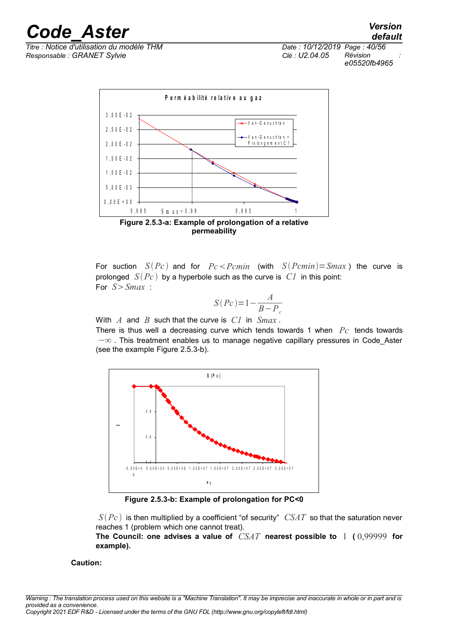*Responsable : GRANET Sylvie Clé : U2.04.05 Révision :*



<span id="page-39-0"></span>

For suction  $S(Pc)$  and for  $Pc < Pcmin$  (with  $S(Pcmin) = Smax$ ) the curve is prolonged  $S(Pc)$  by a hyperbole such as the curve is  $CI$  in this point: For *SSmax* :

$$
S(Pc)=1-\frac{A}{B-P_c}
$$

With *A* and *B* such that the curve is *C1* in *Smax* .

There is thus well a decreasing curve which tends towards 1 when *Pc* tends towards  $-\infty$ . This treatment enables us to manage negative capillary pressures in Code Aster (see the example [Figure 2.5.3-b\)](#page-39-1).



<span id="page-39-1"></span>**Figure 2.5.3-b: Example of prolongation for PC<0**

*S Pc* is then multiplied by a coefficient "of security" *CSAT* so that the saturation never reaches 1 (problem which one cannot treat).

**The Council: one advises a value of** *CSAT* **nearest possible to** 1 **(** 0,99999 **for example).**

#### **Caution:**

*Warning : The translation process used on this website is a "Machine Translation". It may be imprecise and inaccurate in whole or in part and is provided as a convenience. Copyright 2021 EDF R&D - Licensed under the terms of the GNU FDL (http://www.gnu.org/copyleft/fdl.html)*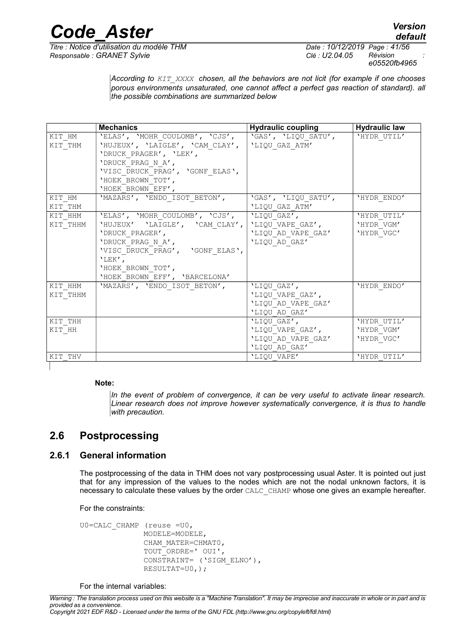*Responsable : GRANET Sylvie Clé : U2.04.05 Révision :*

*Titre : Notice d'utilisation du modèle THM Date : 10/12/2019 Page : 41/56 e05520fb4965*

> *According to KIT\_XXXX chosen, all the behaviors are not licit (for example if one chooses porous environments unsaturated, one cannot affect a perfect gas reaction of standard). all the possible combinations are summarized below*

|          | <b>Mechanics</b>                        | <b>Hydraulic coupling</b> | <b>Hydraulic law</b> |
|----------|-----------------------------------------|---------------------------|----------------------|
| KIT HM   | 'ELAS', 'MOHR COULOMB', 'CJS',          | 'GAS', 'LIQU SATU',       | 'HYDR UTIL'          |
| KIT THM  | 'HUJEUX', 'LAIGLE', 'CAM CLAY',         | 'LIQU GAZ ATM'            |                      |
|          | 'DRUCK PRAGER', 'LEK',                  |                           |                      |
|          | 'DRUCK PRAG N A',                       |                           |                      |
|          | 'VISC DRUCK PRAG', 'GONF ELAS',         |                           |                      |
|          | 'HOEK BROWN TOT',                       |                           |                      |
|          | 'HOEK BROWN EFF',                       |                           |                      |
| KIT HM   | 'MAZARS', 'ENDO_ISOT_BETON',            | 'GAS', 'LIQU_SATU',       | 'HYDR ENDO'          |
| KIT THM  |                                         | 'LIQU GAZ ATM'            |                      |
| KIT HHM  | 'ELAS', 'MOHR COULOMB', 'CJS',          | 'LIQU GAZ',               | 'HYDR UTIL'          |
| KIT THHM | $'$ HUJEUX' $'$ LAIGLE', $'$ CAM CLAY', | 'LIQU VAPE GAZ',          | 'HYDR VGM'           |
|          | 'DRUCK PRAGER',                         | 'LIQU AD VAPE GAZ'        | 'HYDR VGC'           |
|          | 'DRUCK PRAG N A',                       | 'LIQU AD GAZ'             |                      |
|          | 'VISC DRUCK PRAG', 'GONF ELAS',         |                           |                      |
|          | $'$ LEK $'$ ,                           |                           |                      |
|          | 'HOEK BROWN TOT',                       |                           |                      |
|          | 'HOEK BROWN EFF', 'BARCELONA'           |                           |                      |
| KIT HHM  | 'MAZARS', 'ENDO ISOT BETON',            | 'LIQU GAZ',               | 'HYDR ENDO'          |
| KIT THHM |                                         | 'LIQU VAPE GAZ',          |                      |
|          |                                         | 'LIQU AD VAPE GAZ'        |                      |
|          |                                         | 'LIQU AD GAZ'             |                      |
| KIT THH  |                                         | 'LIQU GAZ',               | 'HYDR UTIL'          |
| KIT HH   |                                         | 'LIQU VAPE GAZ',          | 'HYDR VGM'           |
|          |                                         | 'LIQU AD_VAPE_GAZ'        | 'HYDR VGC'           |
|          |                                         | 'LIQU AD GAZ'             |                      |
| KIT THV  |                                         | 'LIQU VAPE'               | 'HYDR UTIL'          |

#### **Note:**

I

*In the event of problem of convergence, it can be very useful to activate linear research. Linear research does not improve however systematically convergence, it is thus to handle with precaution.*

#### <span id="page-40-1"></span>**2.6 Postprocessing**

#### **2.6.1 General information**

<span id="page-40-0"></span>The postprocessing of the data in THM does not vary postprocessing usual Aster. It is pointed out just that for any impression of the values to the nodes which are not the nodal unknown factors, it is necessary to calculate these values by the order CALC\_CHAMP whose one gives an example hereafter.

For the constraints:

```
U0=CALC_CHAMP (reuse =U0,
                MODELE=MODELE,
               CHAM_MATER=CHMAT0,
                TOUT_ORDRE=' OUI',
                CONSTRAINT= ('SIGM_ELNO'),
                RESULTAT=U0,);
```
For the internal variables:

*default*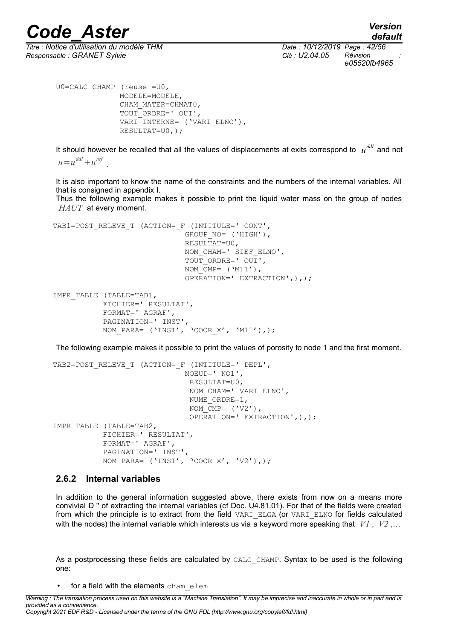*default*

*Titre : Notice d'utilisation du modèle THM Date : 10/12/2019 Page : 42/56 Responsable : GRANET Sylvie Clé : U2.04.05 Révision :*

```
U0=CALC_CHAMP (reuse =U0,
                MODELE=MODELE,
                 CHAM_MATER=CHMAT0,
                 TOUT_ORDRE=' OUI',
                VARI<sup>I</sup>INTERNE= ('VARI ELNO'),
                 RESULTAT=U0,);
```
It should however be recalled that all the values of displacements at exits correspond to  $|u^{ddt}|$  and not  $u = u^{ddl} + u^{ref}$ .

It is also important to know the name of the constraints and the numbers of the internal variables. All that is consigned in appendix I.

Thus the following example makes it possible to print the liquid water mass on the group of nodes *HAUT* at every moment.

```
TAB1=POST RELEVE T (ACTION= F (INTITULE=' CONT',
                               GROUP NO= ('HIGH'),
                               RESULTAT=U0,
                                NOM_CHAM=' SIEF_ELNO',
                               TOUT ORDRE=' OUI',
                               NOM \overline{CMP} ('M11'),
                                OPERATION=' EXTRACTION',),);
IMPR_TABLE (TABLE=TAB1,
            FICHIER=' RESULTAT',
            FORMAT=' AGRAF',
             PAGINATION=' INST',
```
NOM PARA=  $('INST', 'COOR X', 'M11'),);$ 

The following example makes it possible to print the values of porosity to node 1 and the first moment.

```
TAB2=POST_RELEVE_T (ACTION= F (INTITULE=' DEPL',
                                NOEUD=' NO1', 
                                 RESULTAT=U0,
                                 NOM_CHAM=' VARI_ELNO',
                                NUME ORDRE=1,
                                NOM \overline{C}MP = ('V2'),
                                 OPERATION=' EXTRACTION',),);
IMPR_TABLE (TABLE=TAB2,
            FICHIER=' RESULTAT',
             FORMAT=' AGRAF',
            PAGINATION=' INST',
           NOM PARA= ('INST', 'COOR X', 'V2');
```
#### <span id="page-41-0"></span>**2.6.2 Internal variables**

In addition to the general information suggested above, there exists from now on a means more convivial D '' of extracting the internal variables (cf Doc. U4.81.01). For that of the fields were created from which the principle is to extract from the field VARI\_ELGA (or VARI\_ELNO for fields calculated with the nodes) the internal variable which interests us via a keyword more speaking that *V1* , *V2* ,…

As a postprocessing these fields are calculated by CALC\_CHAMP. Syntax to be used is the following one:

• for a field with the elements cham elem

*Warning : The translation process used on this website is a "Machine Translation". It may be imprecise and inaccurate in whole or in part and is provided as a convenience. Copyright 2021 EDF R&D - Licensed under the terms of the GNU FDL (http://www.gnu.org/copyleft/fdl.html)*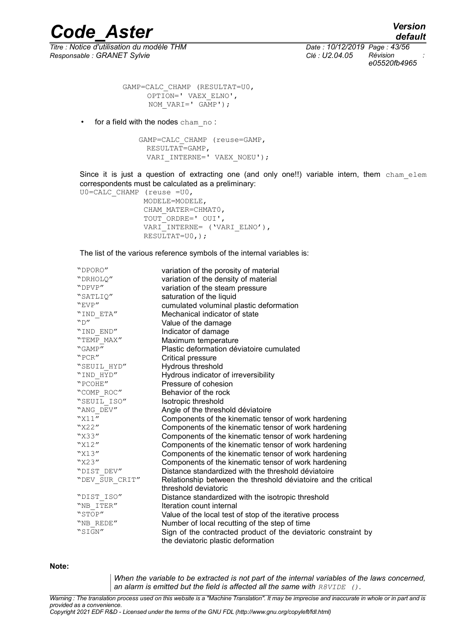*Titre : Notice d'utilisation du modèle THM Date : 10/12/2019 Page : 43/56 Responsable : GRANET Sylvie Clé : U2.04.05 Révision :*

*default e05520fb4965*

```
GAMP=CALC_CHAMP (RESULTAT=U0,
     OPTION=' VAEX_ELNO',
     NOM VARI=' GAMP');
```
• for a field with the nodes cham no :

GAMP=CALC\_CHAMP (reuse=GAMP, RESULTAT=GAMP, VARI\_INTERNE=' VAEX\_NOEU');

Since it is just a question of extracting one (and only one!!) variable intern, them cham elem correspondents must be calculated as a preliminary:

```
U0=CALC_CHAMP (reuse =U0,
               MODELE=MODELE,
              CHAM MATER=CHMAT0,
               TOUT_ORDRE=' OUI',
              VARI INTERNE= ('VARI ELNO'),
               RESULTAT=U0,);
```
The list of the various reference symbols of the internal variables is:

| "DPORO"        | variation of the porosity of material                          |
|----------------|----------------------------------------------------------------|
| "DRHOLQ"       | variation of the density of material                           |
| "DPVP"         | variation of the steam pressure                                |
| "SATLIQ"       | saturation of the liquid                                       |
| "EVP"          | cumulated voluminal plastic deformation                        |
| "IND ETA"      | Mechanical indicator of state                                  |
| "D"            | Value of the damage                                            |
| "IND END"      | Indicator of damage                                            |
| "TEMP MAX"     | Maximum temperature                                            |
| "GAMP"         | Plastic deformation déviatoire cumulated                       |
| "PCR"          | Critical pressure                                              |
| "SEUIL HYD"    | <b>Hydrous threshold</b>                                       |
| "IND HYD"      | Hydrous indicator of irreversibility                           |
| "PCOHE"        | Pressure of cohesion                                           |
| "COMP ROC"     | Behavior of the rock                                           |
| "SEUIL ISO"    | Isotropic threshold                                            |
| "ANG DEV"      | Angle of the threshold déviatoire                              |
| "X11"          | Components of the kinematic tensor of work hardening           |
| "X22"          | Components of the kinematic tensor of work hardening           |
| "X33"          | Components of the kinematic tensor of work hardening           |
| "X12"          | Components of the kinematic tensor of work hardening           |
| "X13"          | Components of the kinematic tensor of work hardening           |
| "X23"          | Components of the kinematic tensor of work hardening           |
| "DIST DEV"     | Distance standardized with the threshold déviatoire            |
| "DEV SUR CRIT" | Relationship between the threshold déviatoire and the critical |
|                | threshold deviatoric                                           |
| "DIST ISO"     | Distance standardized with the isotropic threshold             |
| "NB ITER"      | Iteration count internal                                       |
| ``STOP''       | Value of the local test of stop of the iterative process       |
| "NB REDE"      | Number of local recutting of the step of time                  |
| "SIGN"         | Sign of the contracted product of the deviatoric constraint by |
|                | the deviatoric plastic deformation                             |

#### **Note:**

*When the variable to be extracted is not part of the internal variables of the laws concerned, an alarm is emitted but the field is affected all the same with R8VIDE ().*

*Warning : The translation process used on this website is a "Machine Translation". It may be imprecise and inaccurate in whole or in part and is provided as a convenience.*

*Copyright 2021 EDF R&D - Licensed under the terms of the GNU FDL (http://www.gnu.org/copyleft/fdl.html)*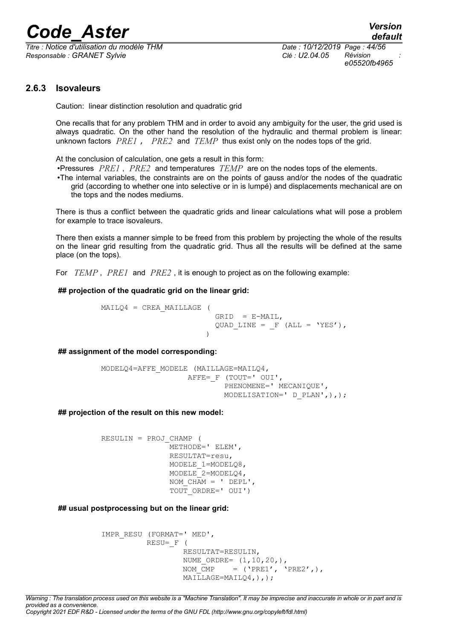*Titre : Notice d'utilisation du modèle THM Date : 10/12/2019 Page : 44/56 Responsable : GRANET Sylvie Clé : U2.04.05 Révision :*

#### **2.6.3 Isovaleurs**

<span id="page-43-0"></span>Caution: linear distinction resolution and quadratic grid

One recalls that for any problem THM and in order to avoid any ambiguity for the user, the grid used is always quadratic. On the other hand the resolution of the hydraulic and thermal problem is linear: unknown factors *PRE1* , *PRE2* and *TEMP* thus exist only on the nodes tops of the grid.

At the conclusion of calculation, one gets a result in this form:

•Pressures *PRE1* , *PRE2* and temperatures *TEMP* are on the nodes tops of the elements.

•The internal variables, the constraints are on the points of gauss and/or the nodes of the quadratic grid (according to whether one into selective or in is lumpé) and displacements mechanical are on the tops and the nodes mediums.

There is thus a conflict between the quadratic grids and linear calculations what will pose a problem for example to trace isovaleurs.

There then exists a manner simple to be freed from this problem by projecting the whole of the results on the linear grid resulting from the quadratic grid. Thus all the results will be defined at the same place (on the tops).

For *TEMP* , *PRE1* and *PRE2* , it is enough to project as on the following example:

**## projection of the quadratic grid on the linear grid:**

 $MAILQ4 = CREA MAILLAGE ($  GRID = E-MAIL, QUAD LINE =  $F$  (ALL = 'YES'), )

**## assignment of the model corresponding:**

```
MODELQ4=AFFE_MODELE (MAILLAGE=MAILQ4,
                   AFFE= F (TOUT=' OUI',
                             PHENOMENE=' MECANIQUE',
                             MODELISATION=' D_PLAN',),);
```
**## projection of the result on this new model:**

 $RESULIN = PROJ CHAMP$  ( METHODE=' ELEM', RESULTAT=resu, MODELE\_1=MODELQ8, MODELE\_2=MODELQ4, NOM CHAM =  $'$  DEPL', TOUT\_ORDRE=' OUI')

**## usual postprocessing but on the linear grid:**

```
IMPR_RESU (FORMAT=' MED',
          RESU=F (
                    RESULTAT=RESULIN,
                   NUME ORDRE= (1,10,20,),
                   NOM \overline{C}MP = ('PRE1', 'PRE2',),
                    MAILLAGE=MAILQ4,),);
```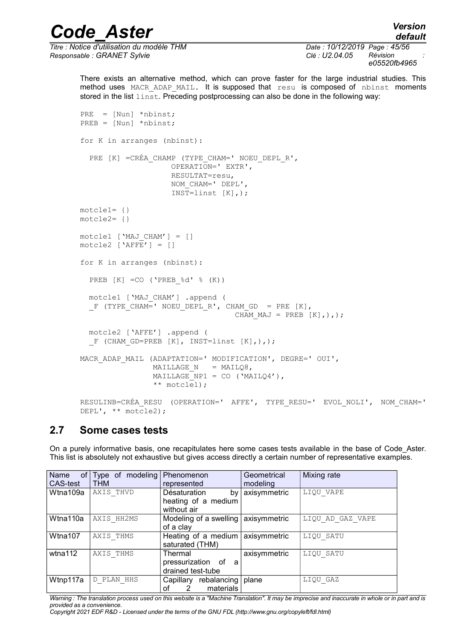*Code\_Aster Version default*

*Titre : Notice d'utilisation du modèle THM Date : 10/12/2019 Page : 45/56 Responsable : GRANET Sylvie Clé : U2.04.05 Révision :*

*e05520fb4965*

There exists an alternative method, which can prove faster for the large industrial studies. This method uses MACR ADAP MAIL. It is supposed that resu is composed of nbinst moments stored in the list linst. Preceding postprocessing can also be done in the following way:

```
PRE = [Nun] *nbinst;
PREB = [Nun] *nbinst;
for K in arranges (nbinst):
   PRE [K] =CRÉA_CHAMP (TYPE_CHAM=' NOEU_DEPL_R',
                     OPERATION=' EXTR',
                     RESULTAT=resu,
                     NOM_CHAM=' DEPL',
                      INST=linst [K],);
motcle1= {}
motcle2= {}
motcle1 ['MAJ_CHAM'] = []
\text{motcle2} ['AFFE'] = []
for K in arranges (nbinst):
  PREB [K] = CO ('PREB \frac{1}{6} (K))
   motcle1 ['MAJ_CHAM'] .append (
  F (TYPE CHAM=' NOEU DEPL R', CHAM GD = PRE [K],
                                   CHAM MAJ = PREB [K],),);
   motcle2 ['AFFE'] .append (
  F (CHAM GD=PREB [K], INST=linst [K],),);
MACR_ADAP_MAIL (ADAPTATION=' MODIFICATION', DEGRE=' OUI',
                MAILLAGE N = MAILQ8,
                MAILLAGE NP1 = CO ('MAILQ4'),
                 ** motcle1);
RESULINB=CRÉA_RESU (OPERATION=' AFFE', TYPE_RESU=' EVOL_NOLI', NOM_CHAM='
DEPL', ** motcle2);
```
### <span id="page-44-0"></span>**2.7 Some cases tests**

On a purely informative basis, one recapitulates here some cases tests available in the base of Code\_Aster. This list is absolutely not exhaustive but gives access directly a certain number of representative examples.

| <b>Name</b><br>0f<br><b>CAS-test</b> | Type of modeling<br><b>THM</b> | Phenomenon<br>represented                                             | Geometrical<br>modeling | Mixing rate      |
|--------------------------------------|--------------------------------|-----------------------------------------------------------------------|-------------------------|------------------|
| Wtna109a                             | AXIS THVD                      | Désaturation<br>by <sub>1</sub><br>heating of a medium<br>without air | axisymmetric            | LIQU VAPE        |
| Wtna110a                             | AXIS HH2MS                     | Modeling of a swelling<br>of a clay                                   | axisymmetric            | LIOU AD GAZ VAPE |
| Wtna107                              | AXIS THMS                      | Heating of a medium<br>saturated (THM)                                | axisymmetric            | LIQU SATU        |
| wtna112                              | AXIS THMS                      | Thermal<br>pressurization of a<br>drained test-tube                   | axisymmetric            | LIQU SATU        |
| Wtnp117a                             | D PLAN HHS                     | Capillary rebalancing<br>materials<br>2<br>οf                         | plane                   | LIQU GAZ         |

*Warning : The translation process used on this website is a "Machine Translation". It may be imprecise and inaccurate in whole or in part and is provided as a convenience.*

*Copyright 2021 EDF R&D - Licensed under the terms of the GNU FDL (http://www.gnu.org/copyleft/fdl.html)*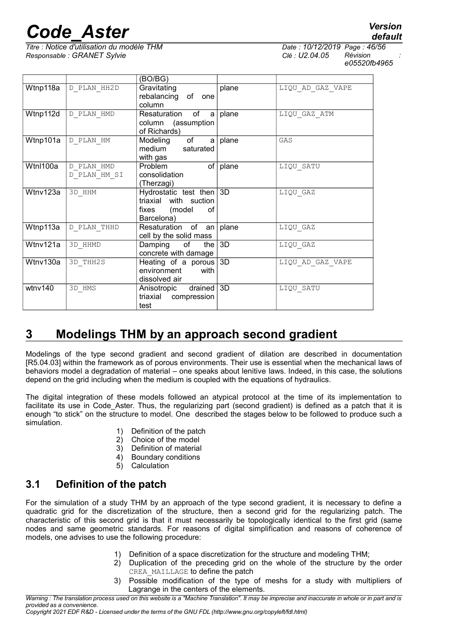*Titre : Notice d'utilisation du modèle THM Date : 10/12/2019 Page : 46/56 Responsable : GRANET Sylvie Clé : U2.04.05 Révision :*

*default*

|          |              | (BO/BG)                                              |                 |                  |
|----------|--------------|------------------------------------------------------|-----------------|------------------|
| Wtnp118a | D PLAN HH2D  | Gravitating<br>rebalancing of one                    | plane           | LIQU AD GAZ VAPE |
|          |              | column                                               |                 |                  |
| Wtnp112d | D PLAN HMD   | Resaturation of a plane<br>column (assumption        |                 | LIQU GAZ ATM     |
|          |              | of Richards)                                         |                 |                  |
| Wtnp101a | D PLAN HM    | of $a \mid$ plane<br>Modeling<br>medium saturated    |                 | GAS              |
|          |              | with gas                                             |                 |                  |
| Wtnl100a | D PLAN HMD   | Problem                                              | of $ $ plane    | LIQU SATU        |
|          | D PLAN HM SI | consolidation                                        |                 |                  |
|          |              | (Therzagi)                                           |                 |                  |
| Wtnv123a | 3D HHM       | Hydrostatic test then 3D                             |                 | LIQU GAZ         |
|          |              | triaxial with suction                                |                 |                  |
|          |              | fixes (model of                                      |                 |                  |
|          |              | Barcelona)                                           |                 |                  |
| Wtnp113a | D PLAN THHD  | Resaturation of an   plane<br>cell by the solid mass |                 | LIQU GAZ         |
| Wtnv121a | 3D HHMD      | Damping of the                                       | $\overline{3D}$ | LIQU GAZ         |
|          |              | concrete with damage                                 |                 |                  |
| Wtnv130a | 3D THH2S     | Heating of a porous                                  | 3D              | LIQU AD GAZ VAPE |
|          |              | environment<br>with                                  |                 |                  |
|          |              | dissolved air                                        |                 |                  |
| wtnv140  | 3D HMS       | Anisotropic drained 3D                               |                 | LIQU SATU        |
|          |              | triaxial compression                                 |                 |                  |
|          |              | test                                                 |                 |                  |

### <span id="page-45-1"></span>**3 Modelings THM by an approach second gradient**

Modelings of the type second gradient and second gradient of dilation are described in documentation [R5.04.03] within the framework as of porous environments. Their use is essential when the mechanical laws of behaviors model a degradation of material – one speaks about lenitive laws. Indeed, in this case, the solutions depend on the grid including when the medium is coupled with the equations of hydraulics.

The digital integration of these models followed an atypical protocol at the time of its implementation to facilitate its use in Code Aster. Thus, the regularizing part (second gradient) is defined as a patch that it is enough "to stick" on the structure to model. One described the stages below to be followed to produce such a simulation.

- 1) Definition of the patch
- 2) Choice of the model
- 3) Definition of material
- 4) Boundary conditions
- 5) Calculation

### <span id="page-45-0"></span>**3.1 Definition of the patch**

For the simulation of a study THM by an approach of the type second gradient, it is necessary to define a quadratic grid for the discretization of the structure, then a second grid for the regularizing patch. The characteristic of this second grid is that it must necessarily be topologically identical to the first grid (same nodes and same geometric standards. For reasons of digital simplification and reasons of coherence of models, one advises to use the following procedure:

- 1) Definition of a space discretization for the structure and modeling THM;
- 2) Duplication of the preceding grid on the whole of the structure by the order CREA\_MAILLAGE to define the patch
- 3) Possible modification of the type of meshs for a study with multipliers of Lagrange in the centers of the elements.

*Warning : The translation process used on this website is a "Machine Translation". It may be imprecise and inaccurate in whole or in part and is provided as a convenience.*

*Copyright 2021 EDF R&D - Licensed under the terms of the GNU FDL (http://www.gnu.org/copyleft/fdl.html)*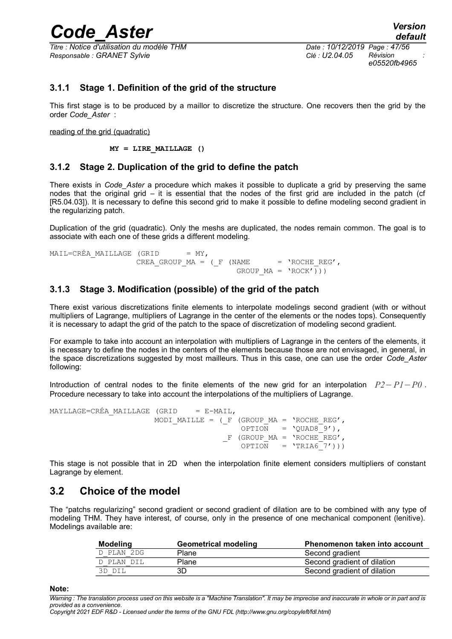*Responsable : GRANET Sylvie Clé : U2.04.05 Révision :*

*Titre : Notice d'utilisation du modèle THM Date : 10/12/2019 Page : 47/56 e05520fb4965*

#### <span id="page-46-3"></span>**3.1.1 Stage 1. Definition of the grid of the structure**

This first stage is to be produced by a maillor to discretize the structure. One recovers then the grid by the order *Code\_Aster* :

reading of the grid (quadratic)

**MY = LIRE\_MAILLAGE ()**

#### <span id="page-46-2"></span>**3.1.2 Stage 2. Duplication of the grid to define the patch**

There exists in *Code\_Aster* a procedure which makes it possible to duplicate a grid by preserving the same nodes that the original grid – it is essential that the nodes of the first grid are included in the patch (cf [R5.04.03]). It is necessary to define this second grid to make it possible to define modeling second gradient in the regularizing patch.

Duplication of the grid (quadratic). Only the meshs are duplicated, the nodes remain common. The goal is to associate with each one of these grids a different modeling.

MAIL=CRÉA MAILLAGE (GRID = MY, CREA GROUP  $MA = (F (NAME = 'ROCHE REG',$ GROUP  $MA = 'ROCK')$ ))

#### <span id="page-46-1"></span>**3.1.3 Stage 3. Modification (possible) of the grid of the patch**

There exist various discretizations finite elements to interpolate modelings second gradient (with or without multipliers of Lagrange, multipliers of Lagrange in the center of the elements or the nodes tops). Consequently it is necessary to adapt the grid of the patch to the space of discretization of modeling second gradient.

For example to take into account an interpolation with multipliers of Lagrange in the centers of the elements, it is necessary to define the nodes in the centers of the elements because those are not envisaged, in general, in the space discretizations suggested by most mailleurs. Thus in this case, one can use the order *Code\_Aster* following:

Introduction of central nodes to the finite elements of the new grid for an interpolation *P2*−*P1*−*P0* . Procedure necessary to take into account the interpolations of the multipliers of Lagrange.

```
MAYLLAGE=CRÉA MAILLAGE (GRID = E-MAIL,
                      MODI MAILLE = (F (GROUP MA = 'ROCHE REG',
                                        OPTION = 'QUADS'9'),
                                     F (GROUP MA = 'ROCHE REG',
                                        OPTION = 'TRIA6'7')))
```
This stage is not possible that in 2D when the interpolation finite element considers multipliers of constant Lagrange by element.

### <span id="page-46-0"></span>**3.2 Choice of the model**

The "patchs regularizing" second gradient or second gradient of dilation are to be combined with any type of modeling THM. They have interest, of course, only in the presence of one mechanical component (lenitive). Modelings available are:

| <b>Modeling</b> | <b>Geometrical modeling</b> | Phenomenon taken into account |
|-----------------|-----------------------------|-------------------------------|
| D PLAN 2DG      | Plane                       | Second gradient               |
| . PIAN DII      | Plane                       | Second gradient of dilation   |
| 3D DIL          | ЗD                          | Second gradient of dilation   |

**Note:**

*Copyright 2021 EDF R&D - Licensed under the terms of the GNU FDL (http://www.gnu.org/copyleft/fdl.html)*

*Warning : The translation process used on this website is a "Machine Translation". It may be imprecise and inaccurate in whole or in part and is provided as a convenience.*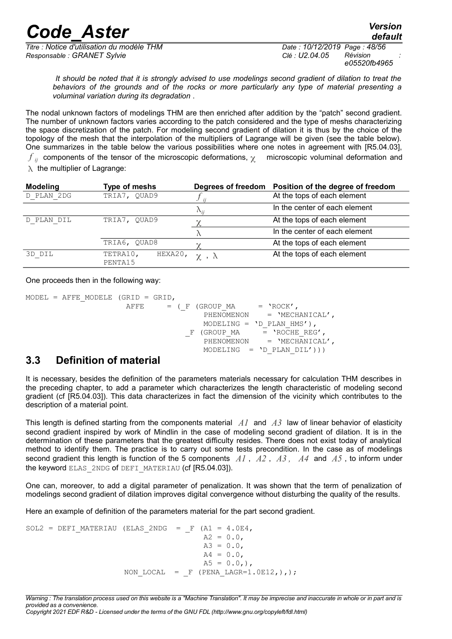*Titre : Notice d'utilisation du modèle THM Date : 10/12/2019 Page : 48/56 Responsable : GRANET Sylvie Clé : U2.04.05 Révision :*

*e05520fb4965*

*default*

*It should be noted that it is strongly advised to use modelings second gradient of dilation to treat the behaviors of the grounds and of the rocks or more particularly any type of material presenting a voluminal variation during its degradation* .

The nodal unknown factors of modelings THM are then enriched after addition by the "patch" second gradient. The number of unknown factors varies according to the patch considered and the type of meshs characterizing the space discretization of the patch. For modeling second gradient of dilation it is thus by the choice of the topology of the mesh that the interpolation of the multipliers of Lagrange will be given (see the table below). One summarizes in the table below the various possibilities where one notes in agreement with [R5.04.03],  $f_{ij}^{\parallel}$  components of the tensor of the microscopic deformations,  $\chi^{\parallel}$  microscopic voluminal deformation and

 $\lambda$  the multiplier of Lagrange:

| <b>Modeling</b> | Type of meshs                  |                    | Degrees of freedom Position of the degree of freedom |
|-----------------|--------------------------------|--------------------|------------------------------------------------------|
| D PLAN 2DG      | TRIA7, QUAD9                   | ii                 | At the tops of each element                          |
|                 |                                | $\Lambda_{ii}$     | In the center of each element                        |
| D PLAN DIL      | TRIA7, OUAD9                   |                    | At the tops of each element                          |
|                 |                                |                    | In the center of each element                        |
|                 | TRIA6, QUAD8                   |                    | At the tops of each element                          |
| 3D DIL          | TETRA10,<br>HEXA20,<br>PENTA15 | $\chi$ , $\lambda$ | At the tops of each element                          |

One proceeds then in the following way:

```
MODEL = AFFE MODELE (GRID = GRID,
                     AFFE = (F (GROUP MA = 'ROCK',
                                      PHENOMENON = 'MECHANICAL',MODELING = 'D PLAN HMS'),
                                  \overline{F} (GROUP MA = 'ROCHE_REG',
                                      PHENOMENON = 'MECHANICAL',
                                     MODELING = 'D PLAN DIL')))
```
### <span id="page-47-0"></span>**3.3 Definition of material**

It is necessary, besides the definition of the parameters materials necessary for calculation THM describes in the preceding chapter, to add a parameter which characterizes the length characteristic of modeling second gradient (cf [R5.04.03]). This data characterizes in fact the dimension of the vicinity which contributes to the description of a material point.

This length is defined starting from the components material *A1* and *A3* law of linear behavior of elasticity second gradient inspired by work of Mindlin in the case of modeling second gradient of dilation. It is in the determination of these parameters that the greatest difficulty resides. There does not exist today of analytical method to identify them. The practice is to carry out some tests precondition. In the case as of modelings second gradient this length is function of the 5 components *A1* , *A2* , *A3 , A4* and *A5* , to inform under the keyword ELAS 2NDG of DEFI\_MATERIAU (cf [R5.04.03]).

One can, moreover, to add a digital parameter of penalization. It was shown that the term of penalization of modelings second gradient of dilation improves digital convergence without disturbing the quality of the results.

Here an example of definition of the parameters material for the part second gradient.

```
SOL2 = DEFI MATERIAU (ELAS 2NDG = F (A1 = 4.0E4,
                                      A2 = 0.0A3 = 0.0.
                                      A4 = 0.0,
                                      A5 = 0.0,),NON LOCAL = F (PENA LAGR=1.0E12,),);
```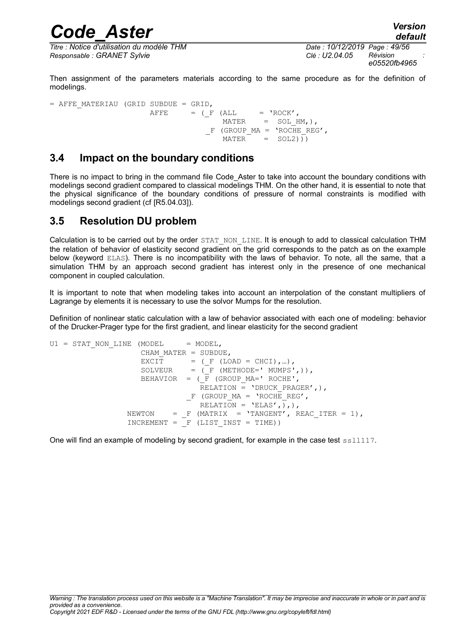*Titre : Notice d'utilisation du modèle THM Date : 10/12/2019 Page : 49/56 Responsable : GRANET Sylvie Clé : U2.04.05 Révision :*

*default e05520fb4965*

Then assignment of the parameters materials according to the same procedure as for the definition of modelings.

 $=$  AFFE MATERIAU (GRID SUBDUE = GRID, AFFE  $=$  (  $F$  (ALL  $=$  'ROCK',  $MATER$  = SOL  $HM,$ ),  $F$  (GROUP MA = 'ROCHE REG',  $MATER$  =  $SOL2)$ )

### <span id="page-48-1"></span>**3.4 Impact on the boundary conditions**

There is no impact to bring in the command file Code. Aster to take into account the boundary conditions with modelings second gradient compared to classical modelings THM. On the other hand, it is essential to note that the physical significance of the boundary conditions of pressure of normal constraints is modified with modelings second gradient (cf [R5.04.03]).

### <span id="page-48-0"></span>**3.5 Resolution DU problem**

Calculation is to be carried out by the order STAT\_NON\_LINE. It is enough to add to classical calculation THM the relation of behavior of elasticity second gradient on the grid corresponds to the patch as on the example below (keyword ELAS). There is no incompatibility with the laws of behavior. To note, all the same, that a simulation THM by an approach second gradient has interest only in the presence of one mechanical component in coupled calculation.

It is important to note that when modeling takes into account an interpolation of the constant multipliers of Lagrange by elements it is necessary to use the solvor Mumps for the resolution.

Definition of nonlinear static calculation with a law of behavior associated with each one of modeling: behavior of the Drucker-Prager type for the first gradient, and linear elasticity for the second gradient

```
UI = STAT NON LINE (MODEL = MODEL, CHAM_MATER = SUBDUE,
                                  EXCIT = (F (LOAD = CHCI),...),
                                  SOLVEUR = (F (METHODE=' MUMPS',)),
                                  BEHAVIOR = (\overline{F} (GROUP MA=' ROCHE',
                                                        RELATION = 'DRUCH PRAGER',),
                                                   F (GROUP MA = 'ROCHE REG',
                                              \begin{array}{c} \n\hline\n\end{array} \n\begin{array}{c} \n\text{RELATION} = \n\begin{array}{c} \n\text{ELAS}', \text{)}, \text{)}, \n\end{array}<br>
= \n\begin{array}{c} \n\text{F} \n\end{array} \n(\text{MATRIX} = \n\begin{array}{c} \n\text{YANGENT}', \n\end{array}NEWTON = F (MATRIX = 'TANGENT', REAC ITER = 1),
                             INCREMENT = <math>F (LIST INST = TIME))
```
One will find an example of modeling by second gradient, for example in the case test ssll1117.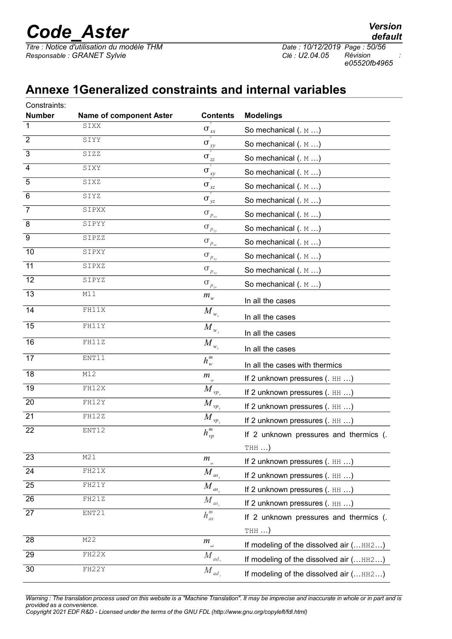*Titre : Notice d'utilisation du modèle THM Date : 10/12/2019 Page : 50/56 Responsable : GRANET Sylvie Clé : U2.04.05 Révision :*

*e05520fb4965*

### <span id="page-49-0"></span>**Annexe 1Generalized constraints and internal variables**

| Constraints:<br><b>Number</b> |                                 |                                               |                                        |
|-------------------------------|---------------------------------|-----------------------------------------------|----------------------------------------|
| $\mathbf{1}$                  | Name of component Aster<br>SIXX | <b>Contents</b>                               | <b>Modelings</b>                       |
| $\overline{2}$                | SIYY                            | $\sigma_{xx}$                                 | So mechanical (. M )                   |
|                               |                                 | $\sigma_{\underline{y}\underline{y}}$         | So mechanical (. M )                   |
| 3                             | SIZZ                            | $\sigma_{\scriptscriptstyle zz}$              | So mechanical (. M )                   |
| $\overline{4}$                | SIXY                            | $\sigma_{xy}$                                 | So mechanical (. M )                   |
| 5                             | SIXZ                            | $\sigma_{\rm \scriptscriptstyle xz}$          | So mechanical $($ . $M$ $)$            |
| $\overline{6}$                | SIYZ                            | $\sigma_{\rm yz}$                             | So mechanical $($ . $M$ $)$            |
| $\overline{7}$                | SIPXX                           | $\sigma_{\underline{p_{xx}}}$                 | So mechanical (. M )                   |
| 8                             | SIPYY                           | $\sigma_{p_{\rm yy}}$                         | So mechanical (. M )                   |
| $\overline{9}$                | SIPZZ                           | $\sigma_{_{\underline{p_z}}}$                 | So mechanical (. M )                   |
| 10                            | SIPXY                           | $\sigma_{_{\underline{p_{xy}}}}$              | So mechanical (. M )                   |
| $\overline{11}$               | SIPXZ                           | $\sigma_{_{\underline{p_{xz}}}}$              | So mechanical (. M )                   |
| 12                            | SIPYZ                           | $\sigma_{_{p_{yz}}}$                          | So mechanical (. M )                   |
| 13                            | M11                             | $m_{w}$                                       | In all the cases                       |
| $\overline{14}$               | FH11X                           | $\overline{\boldsymbol{M}}_{w_{\mathrm{x}}}$  | In all the cases                       |
| 15                            | FH11Y                           | $\boldsymbol{\bar{M}}_{w_y}$                  | In all the cases                       |
| $\overline{16}$               | FH11Z                           | $\overline{M}_{w_z}$                          | In all the cases                       |
| 17                            | ENT11                           | $h_w^m$                                       | In all the cases with thermics         |
| $\overline{18}$               | M12                             | $\boldsymbol{m}$<br>vp                        | If 2 unknown pressures (. HH )         |
| 19                            | FH12X                           | $\overline{M}_{\nu p_{\scriptscriptstyle x}}$ | If 2 unknown pressures (. HH )         |
| $\overline{20}$               | FH12Y                           | $\bar{\overline{M}}_{vp_{y}}$                 | If 2 unknown pressures (. HH )         |
| $\overline{21}$               | FH12Z                           | $\bar{M}^{}_{\nu p_{z}}$                      | If 2 unknown pressures (. HH )         |
| $\overline{22}$               | ENT12                           | $h_{vp}^m$                                    | If 2 unknown pressures and thermics (. |
|                               |                                 |                                               | THH )                                  |
| $\overline{2}3$               | M21                             | $\boldsymbol{m}$                              | If 2 unknown pressures (. HH )         |
| 24                            | FH21X                           | $\overline{M}_{as_{\bar{x}}}$                 | If 2 unknown pressures (. HH )         |
| 25                            | FH21Y                           | $M_{as_y}$                                    | If 2 unknown pressures (. HH )         |
| 26                            | FH21Z                           | $M$ $_{as_z}$                                 | If 2 unknown pressures (. HH )         |
| 27                            | ENT21                           | $h_{as}^m$                                    | If 2 unknown pressures and thermics (. |
|                               |                                 |                                               | $THH$                                  |
| 28                            | M22                             | m<br>ad                                       | If modeling of the dissolved air (HH2) |
| 29                            | FH22X                           | $\overline{M}_{ad_x}$                         | If modeling of the dissolved air (HH2) |
| 30                            | FH22Y                           | $\overline{M}_{ad_y}$                         | If modeling of the dissolved air (HH2) |
|                               |                                 |                                               |                                        |

*Warning : The translation process used on this website is a "Machine Translation". It may be imprecise and inaccurate in whole or in part and is provided as a convenience. Copyright 2021 EDF R&D - Licensed under the terms of the GNU FDL (http://www.gnu.org/copyleft/fdl.html)*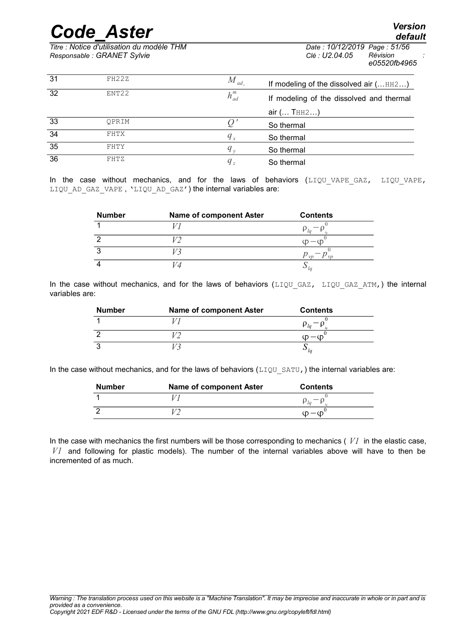*Code\_Aster Version default*

*Titre : Notice d'utilisation du modèle THM Date : 10/12/2019 Page : 51/56 Responsable : GRANET Sylvie Clé : U2.04.05 Révision :*

*e05520fb4965*

| 31              | FH22Z | $M_{ad}$   | If modeling of the dissolved air $(HH2)$ |
|-----------------|-------|------------|------------------------------------------|
| 32              | ENT22 | $h^m_{ad}$ | If modeling of the dissolved and thermal |
|                 |       |            | air $($ THH2)                            |
| 33              | OPRIM |            | So thermal                               |
| $\overline{34}$ | FHTX  | $q_{x}$    | So thermal                               |
| 35              | FHTY  | $q_{v}$    | So thermal                               |
| 36              | FHTZ  | $q_{z}$    | So thermal                               |

In the case without mechanics, and for the laws of behaviors (LIQU VAPE GAZ, LIQU VAPE, LIQU\_AD\_GAZ\_VAPE, 'LIQU\_AD\_GAZ') the internal variables are:

| <b>Number</b> | <b>Name of component Aster</b> | <b>Contents</b>                |
|---------------|--------------------------------|--------------------------------|
|               |                                |                                |
|               |                                |                                |
|               |                                | $\nu_{vp}$<br>1.7 <sub>r</sub> |
|               |                                | ∼                              |

In the case without mechanics, and for the laws of behaviors (LIQU GAZ, LIQU GAZ ATM,) the internal variables are:

| <b>Number</b> | <b>Name of component Aster</b> | <b>Contents</b> |
|---------------|--------------------------------|-----------------|
|               |                                | $P_{la}$        |
|               |                                |                 |
|               |                                | ມ               |

In the case without mechanics, and for the laws of behaviors  $(LIQU-SATU)$ , the internal variables are:

| <b>Number</b> | Name of component Aster | <b>Contents</b> |
|---------------|-------------------------|-----------------|
|               |                         | Ρ               |
|               |                         | w               |

In the case with mechanics the first numbers will be those corresponding to mechanics ( *V1* in the elastic case, *V1* and following for plastic models). The number of the internal variables above will have to then be incremented of as much.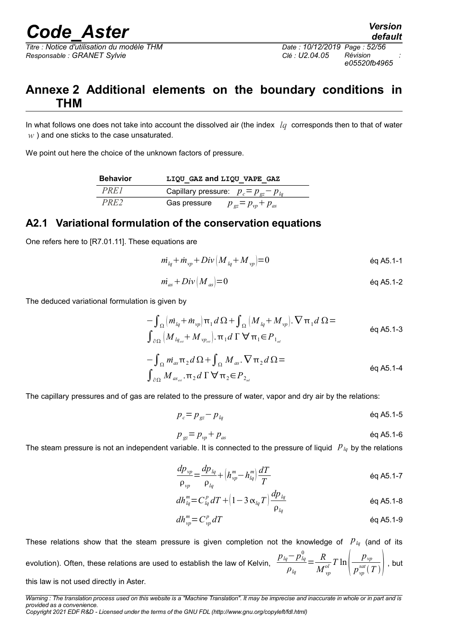*Responsable : GRANET Sylvie Clé : U2.04.05 Révision :*

*Titre : Notice d'utilisation du modèle THM Date : 10/12/2019 Page : 52/56 e05520fb4965*

*default*

### <span id="page-51-0"></span>**Annexe 2 Additional elements on the boundary conditions in THM**

In what follows one does not take into account the dissolved air (the index *lq* corresponds then to that of water *w* ) and one sticks to the case unsaturated.

We point out here the choice of the unknown factors of pressure.

| <b>Behavior</b> | LIQU GAZ and LIQU VAPE GAZ                  |  |
|-----------------|---------------------------------------------|--|
| <i>PRE1</i>     | Capillary pressure: $p_c = p_{gz} - p_{lq}$ |  |
| PRE2            | Gas pressure<br>$p_{gz} = p_{vp} + p_{as}$  |  |

### **A2.1 Variational formulation of the conservation equations**

One refers here to [R7.01.11]. These equations are

$$
\dot{m}_{lq} + \dot{m}_{vp} + Div \left( M_{lq} + M_{vp} \right) = 0
$$
 eq A5.1-1

$$
m_{as} + Div(M_{as}) = 0 \qquad \qquad \text{eq A5.1-2}
$$

The deduced variational formulation is given by

$$
-\int_{\Omega} \left( m_{lq} + m_{vp} \right) \pi_1 d\Omega + \int_{\Omega} \left( M_{lq} + M_{vp} \right) \cdot \nabla \pi_1 d\Omega =
$$
  

$$
\int_{\partial \Omega} \left( M_{lq_{\text{ext}}} + M_{vp_{\text{ext}}} \right) \cdot \pi_1 d\Gamma \nabla \pi_1 \in P_{l_{\text{ext}}}
$$
 eq A5.1-3

$$
-\int_{\Omega} m_{as}\pi_2 d\Omega + \int_{\Omega} M_{as} \cdot \nabla \pi_2 d\Omega =
$$
  

$$
\int_{\partial \Omega} M_{as_{ca}} \cdot \pi_2 d\Gamma \nabla \pi_2 \in P_{2_{ad}}
$$
 eq A5.1-4

The capillary pressures and of gas are related to the pressure of water, vapor and dry air by the relations:

$$
p_c = p_{gz} - p_{lq} \tag{6q A5.1-5}
$$

$$
p_{gz} = p_{vp} + p_{as}
$$

The steam pressure is not an independent variable. It is connected to the pressure of liquid  $p_{lq}$  by the relations

$$
\frac{dp_{vp}}{\rho_{vp}} = \frac{dp_{lq}}{\rho_{lq}} + \left(h_{vp}^m - h_{lq}^m\right)\frac{dT}{T}
$$
\n
$$
\text{Eq A5.1-7}
$$

$$
dh''_{lq} = C_{lq}^p dT + (1 - 3 \alpha_{lq} T) \frac{dp_{lq}}{\rho_{lq}}
$$
 eq A5.1-8

$$
dh_{vp}^m = C_{vp}^p dT
$$

These relations show that the steam pressure is given completion not the knowledge of *plq* (and of its evolution). Often, these relations are used to establish the law of Kelvin, *plq*−*plq* 0 *ρlq*  $=\frac{R}{\sqrt{R}}$  $\frac{R}{M_{vp}^{ol}}T\ln\left(\frac{1}{p}\right)$ *pvp*  $\left| \frac{p^{\,sat}_p}{p^{\,sat}_{\,vp}(T)} \right|$  , but this law is not used directly in Aster.

*Warning : The translation process used on this website is a "Machine Translation". It may be imprecise and inaccurate in whole or in part and is provided as a convenience. Copyright 2021 EDF R&D - Licensed under the terms of the GNU FDL (http://www.gnu.org/copyleft/fdl.html)*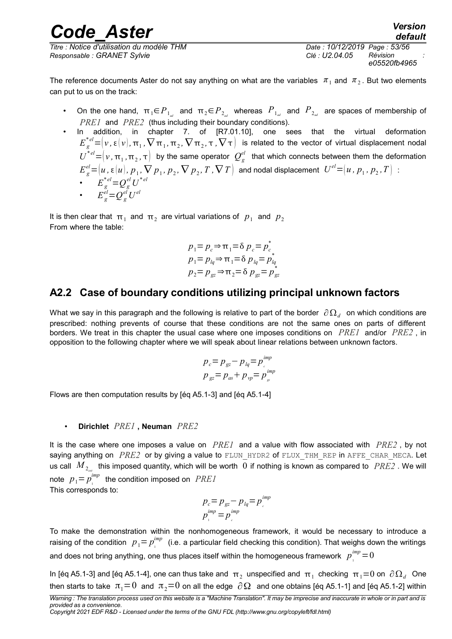*Titre : Notice d'utilisation du modèle THM Date : 10/12/2019 Page : 53/56 Responsable : GRANET Sylvie Clé : U2.04.05 Révision :*

*e05520fb4965*

*default*

The reference documents Aster do not say anything on what are the variables  $\pi_1$  and  $\pi_2$ . But two elements can put to us on the track:

- On the one hand,  $\pi_1 \in P_{1_{ad}}$  and  $\pi_2 \in P_{2_{ad}}$  whereas  $P_{1_{ad}}$  and  $P_{2_{ad}}$  are spaces of membership of *PRE1* and *PRE2* (thus including their boundary conditions).
- In addition, in chapter 7. of [R7.01.10], one sees that the virtual deformation  $E^{*el}_g= \!\!\left(\nu,\epsilon(\nu),\pi_1,\nabla\pi_1,\pi_2,\nabla\pi_2,\tau,\nabla\tau\right)\,$  is related to the vector of virtual displacement nodal  $U^{*el}\!=\!\!\big(\nu,\bm{\pi}_1,\bm{\pi}_2,\bm{\tau}\big)$  by the same operator  $|Q_{g}^{el}|$  that which connects between them the deformation  $E^{el}_g {=} [u$  , ε $[u]$  ,  $p_{\overline{1}}, \overline{\nabla}\, p_{\overline{1}}, p_{\overline{2}}, \overline{\nabla}\, p_{\overline{2}}, T$  ,  $\overline{\nabla}\, T\, \overline{\nabla}\, T\, \overline{\nabla}\,$  and nodal displacement  $\;U^{el} {=} [u$  ,  $p_{\overline{1}}, p_{\overline{2}}, T\, ]\;$  : •  $E_g^* = Q_g^{el} U^*$ <sup>el</sup> •  $E_g^{el} = Q_g^{el} U^{el}$

It is then clear that  $\pi_1$  and  $\pi_2$  are virtual variations of  $p_1$  and  $p_2$ From where the table:

$$
p_1 = p_c \Rightarrow \pi_1 = \delta \ p_c = p_c^*
$$
  
\n
$$
p_1 = p_{lq} \Rightarrow \pi_1 = \delta \ p_{lq} = p_{lq}^*
$$
  
\n
$$
p_2 = p_{gz} \Rightarrow \pi_2 = \delta \ p_{gz} = p_{gz}^*
$$

### **A2.2 Case of boundary conditions utilizing principal unknown factors**

What we say in this paragraph and the following is relative to part of the border  $\,\partial\,\Omega_d\,$  on which conditions are prescribed: nothing prevents of course that these conditions are not the same ones on parts of different borders. We treat in this chapter the usual case where one imposes conditions on *PRE1* and/or *PRE2* , in opposition to the following chapter where we will speak about linear relations between unknown factors.

$$
p_c = p_{gz} - p_{lq} = p_e^{imp}
$$
  

$$
p_{gz} = p_{as} + p_{vp} = p_e^{imp}
$$

Flows are then computation results by [éq A5.1-3] and [éq A5.1-4]

#### • **Dirichlet** *PRE1* **, Neuman** *PRE2*

It is the case where one imposes a value on *PRE1* and a value with flow associated with *PRE2* , by not saying anything on  $\ PRE2$  or by giving a value to FLUN\_HYDR2 of FLUX\_THM\_REP in AFFE\_CHAR\_MECA. Let us call  $\left. M_{\rm \,2_{\rm\scriptscriptstyle ext}}\right.$  this imposed quantity, which will be worth  $\rm\,0$  if nothing is known as compared to  $\rm\, PRE2$  . We will note  $p_1 = p_1^{imp}$  the condition imposed on  $PREI$ 

This corresponds to:

$$
p_c = p_{gz} - p_{lq} = p_c^{imp}
$$
  

$$
p_1^{imp} = p_c^{imp}
$$

To make the demonstration within the nonhomogeneous framework, it would be necessary to introduce a raising of the condition  $|p_1=p_\perp^{imp}|$  (i.e. a particular field checking this condition). That weighs down the writings and does not bring anything, one thus places itself within the homogeneous framework  $\left\|p_{\bot}^{imp}\!=\!0\right\|$ 

In [éq A5.1-3] and [éq A5.1-4], one can thus take and  $\pi_2$  unspecified and  $\pi_1$  checking  $\pi_1=0$  on  $\partial\Omega_d$  One then starts to take  $\pi_1=0$  and  $\pi_2=0$  on all the edge  $\partial\Omega$  and one obtains [éq A5.1-1] and [éq A5.1-2] within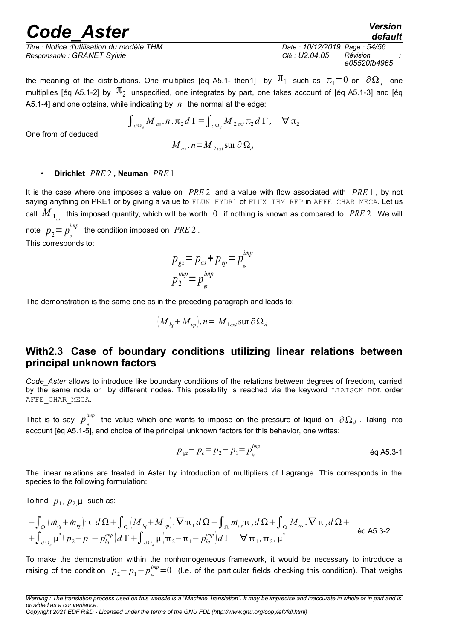*Titre : Notice d'utilisation du modèle THM Date : 10/12/2019 Page : 54/56 Responsable : GRANET Sylvie Clé : U2.04.05 Révision :*

*e05520fb4965*

*default*

$$
\int_{\partial\Omega_d} M_{as}.n.\pi_2 d\Gamma = \int_{\partial\Omega_d} M_{2ext}\pi_2 d\Gamma, \quad \forall \pi_2
$$

One from of deduced

*M*  $_{as}$  *n* = *M*  $_{2,ast}$  sur ∂ Ω<sub>d</sub>

#### • **Dirichlet** *PRE* 2 **, Neuman** *PRE* 1

It is the case where one imposes a value on *PRE* 2 and a value with flow associated with *PRE* 1 , by not saying anything on PRE1 or by giving a value to FLUN HYDR1 of FLUX THM REP in AFFE CHAR MECA. Let us call  $\left. M_{\ 1_{_{ext}}} \right.$  this imposed quantity, which will be worth  $\ 0$  if nothing is known as compared to  $\ PRE$   $2$  . We will note  $p_{2}$ = $p_{2}^{imp}$  the condition imposed on  $\emph{PRE2}$  . This corresponds to:

$$
p_{gz} = p_{as} + p_{vp} = p_{g}^{imp}
$$
  

$$
p_2^{imp} = p_{g}^{imp}
$$

The demonstration is the same one as in the preceding paragraph and leads to:

$$
(M_{lq} + M_{vp}).n = M_{1ext} \operatorname{sur} \partial \Omega_d
$$

### **With2.3 Case of boundary conditions utilizing linear relations between principal unknown factors**

*Code\_Aster* allows to introduce like boundary conditions of the relations between degrees of freedom, carried by the same node or by different nodes. This possibility is reached via the keyword LIAISON DDL order AFFE\_CHAR\_MECA.

That is to say  $p_{_{_{I_q}}}^{imp}$  the value which one wants to impose on the pressure of liquid on  $\,\partial\,\Omega_{_d}$  . Taking into account [éq A5.1-5], and choice of the principal unknown factors for this behavior, one writes:

$$
p_{gz} - p_c = p_2 - p_1 = p_{l_q}^{imp}
$$

The linear relations are treated in Aster by introduction of multipliers of Lagrange. This corresponds in the species to the following formulation:

To find  $p_1, p_2, \mu$  such as:

$$
- \int_{\Omega} \left( \dot{m}_{lq} + \dot{m}_{vp} \right) \pi_1 d \Omega + \int_{\Omega} \left( M_{lq} + M_{vp} \right) \cdot \nabla \pi_1 d \Omega - \int_{\Omega} \dot{m}_{as} \pi_2 d \Omega + \int_{\Omega} M_{as} \cdot \nabla \pi_2 d \Omega +
$$
  
+ 
$$
\int_{\partial \Omega_a} \mu^* \left( p_2 - p_1 - p_{lq}^{imp} \right) d \Gamma + \int_{\partial \Omega_a} \mu \left( \pi_2 - \pi_1 - p_{lq}^{imp} \right) d \Gamma \quad \forall \pi_1, \pi_2, \mu^*
$$
 eq A5.3-2

To make the demonstration within the nonhomogeneous framework, it would be necessary to introduce a raising of the condition  $p_2-p_1-p^{imp}_{l_q}=0$  (I.e. of the particular fields checking this condition). That weighs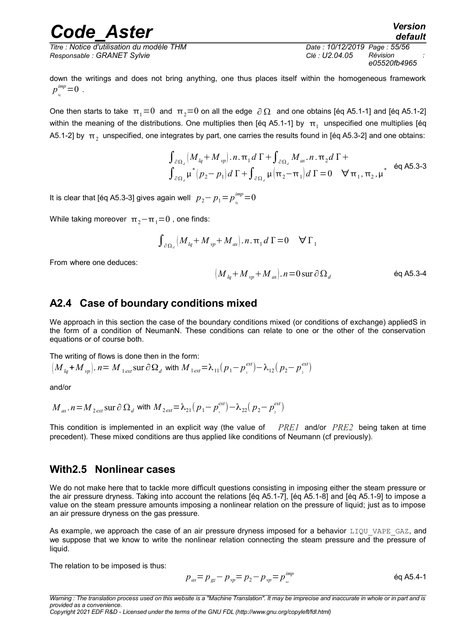*Titre : Notice d'utilisation du modèle THM Date : 10/12/2019 Page : 55/56 Responsable : GRANET Sylvie Clé : U2.04.05 Révision :*

*e05520fb4965*

*default*

down the writings and does not bring anything, one thus places itself within the homogeneous framework  $p$   $_{l_q}^{imp}$   $\!=$   $\!0$  .

One then starts to take  $\pi_1=0$  and  $\pi_2=0$  on all the edge  $\partial \Omega$  and one obtains [éq A5.1-1] and [éq A5.1-2] within the meaning of the distributions. One multiplies then [éq A5.1-1] by  $\pi_1^-$  unspecified one multiplies [éq A5.1-2] by  $\pi_2$  unspecified, one integrates by part, one carries the results found in [éq A5.3-2] and one obtains:

$$
\int_{\partial \Omega_d} \left( M_{lq} + M_{vp} \right) \cdot n \cdot \pi_1 d \Gamma + \int_{\partial \Omega_d} M_{as} \cdot n \cdot \pi_2 d \Gamma +
$$
\n
$$
\int_{\partial \Omega_d} \mu^* \left( p_2 - p_1 \right) d \Gamma + \int_{\partial \Omega_d} \mu \left( \pi_2 - \pi_1 \right) d \Gamma = 0 \quad \forall \pi_1, \pi_2, \mu^* \quad \text{eq A5.3-3}
$$

It is clear that [éq A5.3-3] gives again well  $p_2-p_1\!=\!p_{_{l_q}}^{^{imp}}\!=\!0$ 

While taking moreover  $\pi_2-\pi_1=0$ , one finds:

$$
\int_{\partial \Omega_d} \left[ M_{lq} + M_{vp} + M_{as} \right] . n. \pi_1 d \Gamma = 0 \quad \forall \Gamma_1
$$

From where one deduces:

$$
\left(M_{lq} + M_{vp} + M_{as}\right) \cdot n = 0 \text{ sur } \partial \Omega_d \qquad \text{eq A5.3-4}
$$

#### **A2.4 Case of boundary conditions mixed**

We approach in this section the case of the boundary conditions mixed (or conditions of exchange) appliedS in the form of a condition of NeumanN. These conditions can relate to one or the other of the conservation equations or of course both.

The writing of flows is done then in the form:

 $(M_{lq} + M_{vp})$ .  $n = M_{1,ext}$ sur ∂ $\Omega_d$  with  $M_{1,ext} = \lambda_{11}(p_1 - p_1^{ext}) - \lambda_{12}(p_2 - p_2^{ext})$ 

and/or

$$
M_{as}.n\!=\!M_{2ext}\!\sin\partial\Omega_d\;\text{with}\;M_{2ext}\!=\!\lambda_{21}\!\left(p_1\!-p_{\rm i}^{\rm ext}\right)\!-\!\lambda_{22}\!\left(p_2\!-p_{\rm i}^{\rm ext}\right)
$$

This condition is implemented in an explicit way (the value of *PRE1* and/or *PRE2* being taken at time precedent). These mixed conditions are thus applied like conditions of Neumann (cf previously).

#### **With2.5 Nonlinear cases**

We do not make here that to tackle more difficult questions consisting in imposing either the steam pressure or the air pressure dryness. Taking into account the relations [éq A5.1-7], [éq A5.1-8] and [éq A5.1-9] to impose a value on the steam pressure amounts imposing a nonlinear relation on the pressure of liquid; just as to impose an air pressure dryness on the gas pressure.

As example, we approach the case of an air pressure dryness imposed for a behavior  $LIQU$  VAPE GAZ, and we suppose that we know to write the nonlinear relation connecting the steam pressure and the pressure of liquid.

The relation to be imposed is thus:

$$
p_{as} = p_{gz} - p_{vp} = p_2 - p_{vp} = p_{\mu}^{imp}
$$

*Warning : The translation process used on this website is a "Machine Translation". It may be imprecise and inaccurate in whole or in part and is provided as a convenience. Copyright 2021 EDF R&D - Licensed under the terms of the GNU FDL (http://www.gnu.org/copyleft/fdl.html)*